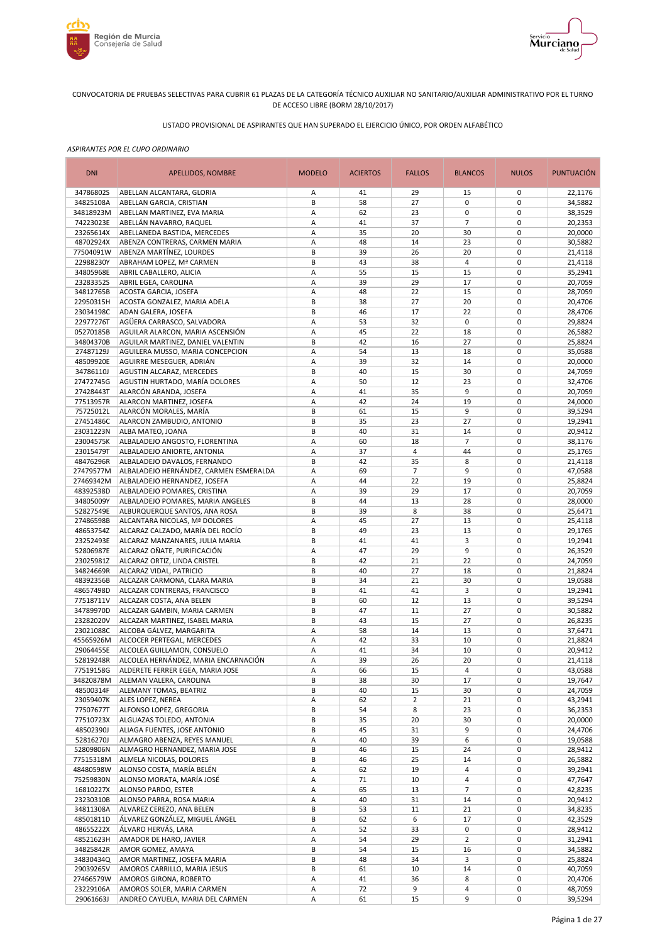



# LISTADO PROVISIONAL DE ASPIRANTES QUE HAN SUPERADO EL EJERCICIO ÚNICO, POR ORDEN ALFABÉTICO

| <b>DNI</b>             | APELLIDOS, NOMBRE                                                      | <b>MODELO</b> | <b>ACIERTOS</b> | <b>FALLOS</b>       | <b>BLANCOS</b> | <b>NULOS</b>               | <b>PUNTUACIÓN</b>  |
|------------------------|------------------------------------------------------------------------|---------------|-----------------|---------------------|----------------|----------------------------|--------------------|
| 34786802S              | ABELLAN ALCANTARA, GLORIA                                              | Α             | 41              | 29                  | 15             | 0                          | 22,1176            |
| 34825108A              | ABELLAN GARCIA, CRISTIAN                                               | B             | 58              | 27                  | 0              | 0                          | 34,5882            |
| 34818923M              | ABELLAN MARTINEZ, EVA MARIA                                            | Α             | 62              | 23                  | 0              | $\mathbf 0$                | 38,3529            |
| 74223023E              | ABELLÁN NAVARRO, RAQUEL                                                | Α             | 41              | 37                  | $\overline{7}$ | 0                          | 20,2353            |
| 23265614X<br>48702924X | ABELLANEDA BASTIDA, MERCEDES<br>ABENZA CONTRERAS, CARMEN MARIA         | Α<br>Α        | 35<br>48        | 20<br>14            | 30<br>23       | $\mathbf 0$<br>0           | 20,0000<br>30,5882 |
| 77504091W              | ABENZA MARTÍNEZ, LOURDES                                               | B             | 39              | 26                  | 20             | $\mathbf 0$                | 21,4118            |
| 22988230Y              | ABRAHAM LOPEZ, Mª CARMEN                                               | B             | 43              | 38                  | 4              | $\mathbf 0$                | 21,4118            |
| 34805968E              | ABRIL CABALLERO, ALICIA                                                | Α             | 55              | 15                  | 15             | $\mathbf 0$                | 35,2941            |
| 23283352S              | ABRIL EGEA, CAROLINA                                                   | Α             | 39              | 29                  | 17             | $\mathbf 0$                | 20,7059            |
| 34812765B              | ACOSTA GARCIA, JOSEFA                                                  | Α             | 48              | 22                  | 15             | $\mathbf 0$                | 28,7059            |
| 22950315H              | ACOSTA GONZALEZ, MARIA ADELA                                           | B             | 38              | 27                  | 20             | $\mathbf 0$                | 20,4706            |
| 23034198C              | ADAN GALERA, JOSEFA                                                    | B             | 46              | 17                  | 22             | $\mathbf 0$                | 28,4706            |
| 22977276T              | AGÜERA CARRASCO, SALVADORA                                             | Α             | 53              | 32                  | 0              | $\mathbf 0$                | 29,8824            |
| 05270185B              | AGUILAR ALARCON, MARIA ASCENSIÓN                                       | Α             | 45              | 22                  | 18             | $\mathbf 0$                | 26,5882            |
| 34804370B              | AGUILAR MARTINEZ, DANIEL VALENTIN                                      | B             | 42              | 16                  | 27             | $\mathbf 0$<br>$\mathbf 0$ | 25,8824            |
| 27487129J<br>48509920E | AGUILERA MUSSO, MARIA CONCEPCION<br>AGUIRRE MESEGUER, ADRIÁN           | Α<br>A        | 54<br>39        | 13<br>32            | 18<br>14       | $\mathbf 0$                | 35,0588<br>20,0000 |
| 34786110J              | AGUSTIN ALCARAZ, MERCEDES                                              | B             | 40              | 15                  | 30             | 0                          | 24,7059            |
| 27472745G              | AGUSTIN HURTADO, MARÍA DOLORES                                         | А             | 50              | 12                  | 23             | $\mathbf 0$                | 32,4706            |
| 27428443T              | ALARCÓN ARANDA, JOSEFA                                                 | А             | 41              | 35                  | 9              | 0                          | 20,7059            |
| 77513957R              | ALARCON MARTINEZ, JOSEFA                                               | A             | 42              | 24                  | 19             | $\mathbf 0$                | 24,0000            |
| 75725012L              | ALARCÓN MORALES, MARÍA                                                 | B             | 61              | 15                  | 9              | $\mathbf 0$                | 39,5294            |
| 27451486C              | ALARCON ZAMBUDIO, ANTONIO                                              | B             | 35              | 23                  | 27             | $\mathbf 0$                | 19,2941            |
| 23031223N              | ALBA MATEO, JOANA                                                      | B             | 40              | 31                  | 14             | 0                          | 20,9412            |
| 23004575K              | ALBALADEJO ANGOSTO, FLORENTINA                                         | Α             | 60              | 18                  | $\overline{7}$ | $\mathbf 0$                | 38,1176            |
| 23015479T              | ALBALADEJO ANIORTE, ANTONIA                                            | A             | 37              | 4                   | 44             | 0                          | 25,1765            |
| 48476296R              | ALBALADEJO DAVALOS, FERNANDO<br>ALBALADEJO HERNÁNDEZ, CARMEN ESMERALDA | B             | 42<br>69        | 35                  | 8<br>9         | $\mathbf 0$<br>0           | 21,4118            |
| 27479577M<br>27469342M | ALBALADEJO HERNANDEZ, JOSEFA                                           | Α<br>Α        | 44              | 7<br>22             | 19             | $\mathbf 0$                | 47,0588<br>25,8824 |
| 48392538D              | ALBALADEJO POMARES, CRISTINA                                           | Α             | 39              | 29                  | 17             | 0                          | 20,7059            |
| 34805009Y              | ALBALADEJO POMARES, MARIA ANGELES                                      | B             | 44              | 13                  | 28             | $\mathbf 0$                | 28,0000            |
| 52827549E              | ALBURQUERQUE SANTOS, ANA ROSA                                          | B             | 39              | 8                   | 38             | $\mathbf 0$                | 25,6471            |
| 27486598B              | ALCANTARA NICOLAS, Mª DOLORES                                          | Α             | 45              | 27                  | 13             | $\mathbf 0$                | 25,4118            |
| 48653754Z              | ALCARAZ CALZADO, MARÍA DEL ROCÍO                                       | B             | 49              | 23                  | 13             | $\mathbf 0$                | 29,1765            |
| 23252493E              | ALCARAZ MANZANARES, JULIA MARIA                                        | B             | 41              | 41                  | 3              | $\mathbf 0$                | 19,2941            |
| 52806987E              | ALCARAZ OÑATE, PURIFICACIÓN                                            | Α             | 47              | 29                  | 9              | $\mathbf 0$                | 26,3529            |
| 23025981Z              | ALCARAZ ORTIZ, LINDA CRISTEL                                           | B             | 42              | 21                  | 22             | $\mathbf 0$                | 24,7059            |
| 34824669R              | ALCARAZ VIDAL, PATRICIO                                                | B             | 40              | 27                  | 18             | $\mathbf 0$                | 21,8824            |
| 48392356B<br>48657498D | ALCAZAR CARMONA, CLARA MARIA<br>ALCAZAR CONTRERAS, FRANCISCO           | B<br>B        | 34<br>41        | 21<br>41            | 30<br>3        | $\mathbf 0$<br>$\mathbf 0$ | 19,0588<br>19,2941 |
| 77518711V              | ALCAZAR COSTA, ANA BELEN                                               | B             | 60              | 12                  | 13             | $\mathbf 0$                | 39,5294            |
| 34789970D              | ALCAZAR GAMBIN, MARIA CARMEN                                           | B             | 47              | 11                  | 27             | $\mathbf 0$                | 30,5882            |
| 23282020V              | ALCAZAR MARTINEZ, ISABEL MARIA                                         | B             | 43              | 15                  | 27             | 0                          | 26,8235            |
| 23021088C              | ALCOBA GÁLVEZ, MARGARITA                                               | Α             | 58              | 14                  | 13             | $\mathbf 0$                | 37,6471            |
| 45565926M              | ALCOCER PERTEGAL, MERCEDES                                             | А             | 42              | 33                  | 10             | 0                          | 21,8824            |
| 29064455E              | ALCOLEA GUILLAMON, CONSUELO                                            | A             | 41              | 34                  | 10             | $\mathbf 0$                | 20,9412            |
| 52819248R              | ALCOLEA HERNÁNDEZ, MARIA ENCARNACIÓN                                   | A             | 39              | 26                  | 20             | $\mathbf 0$                | 21,4118            |
| 77519158G              | ALDERETE FERRER EGEA, MARIA JOSE                                       | Α             | 66              | 15                  | 4              | 0                          | 43,0588            |
| 34820878M              | ALEMAN VALERA, CAROLINA                                                | B             | 38              | 30                  | 17             | 0                          | 19,7647            |
| 48500314F              | ALEMANY TOMAS, BEATRIZ                                                 | B             | 40              | 15                  | 30             | 0                          | 24,7059            |
| 23059407K<br>77507677T | ALES LOPEZ, NEREA<br>ALFONSO LOPEZ, GREGORIA                           | А<br>B        | 62<br>54        | $\overline{2}$<br>8 | 21<br>23       | 0<br>0                     | 43,2941<br>36,2353 |
| 77510723X              | ALGUAZAS TOLEDO, ANTONIA                                               | В             | 35              | 20                  | 30             | 0                          | 20,0000            |
| 48502390J              | ALIAGA FUENTES, JOSE ANTONIO                                           | B             | 45              | 31                  | 9              | 0                          | 24,4706            |
| 52816270J              | ALMAGRO ABENZA, REYES MANUEL                                           | Α             | 40              | 39                  | 6              | 0                          | 19,0588            |
| 52809806N              | ALMAGRO HERNANDEZ, MARIA JOSE                                          | B             | 46              | 15                  | 24             | 0                          | 28,9412            |
| 77515318M              | ALMELA NICOLAS, DOLORES                                                | B             | 46              | 25                  | 14             | 0                          | 26,5882            |
| 48480598W              | ALONSO COSTA, MARÍA BELÉN                                              | Α             | 62              | 19                  | 4              | 0                          | 39,2941            |
| 75259830N              | ALONSO MORATA, MARÍA JOSÉ                                              | Α             | 71              | 10                  | 4              | 0                          | 47,7647            |
| 16810227X              | ALONSO PARDO, ESTER                                                    | Α             | 65              | 13                  | $\overline{7}$ | $\mathbf 0$                | 42,8235            |
| 23230310B              | ALONSO PARRA, ROSA MARIA                                               | Α             | 40              | 31                  | 14             | 0                          | 20,9412            |
| 34811308A              | ALVAREZ CEREZO, ANA BELEN                                              | B             | 53              | 11                  | 21             | 0                          | 34,8235            |
| 48501811D<br>48655222X | ÁLVAREZ GONZÁLEZ, MIGUEL ÁNGEL<br>ÁLVARO HERVÁS, LARA                  | B<br>Α        | 62<br>52        | 6<br>33             | 17<br>0        | 0<br>0                     | 42,3529<br>28,9412 |
| 48521623H              | AMADOR DE HARO, JAVIER                                                 | Α             | 54              | 29                  | $\overline{2}$ | 0                          | 31,2941            |
| 34825842R              | AMOR GOMEZ, AMAYA                                                      | B             | 54              | 15                  | 16             | 0                          | 34,5882            |
| 34830434Q              | AMOR MARTINEZ, JOSEFA MARIA                                            | B             | 48              | 34                  | 3              | 0                          | 25,8824            |
| 29039265V              | AMOROS CARRILLO, MARIA JESUS                                           | B             | 61              | 10                  | 14             | 0                          | 40,7059            |
| 27466579W              | AMOROS GIRONA, ROBERTO                                                 | Α             | 41              | 36                  | 8              | 0                          | 20,4706            |
| 23229106A              | AMOROS SOLER, MARIA CARMEN                                             | А             | 72              | 9                   | 4              | 0                          | 48,7059            |
| 29061663J              | ANDREO CAYUELA, MARIA DEL CARMEN                                       | Α             | 61              | 15                  | 9              | 0                          | 39,5294            |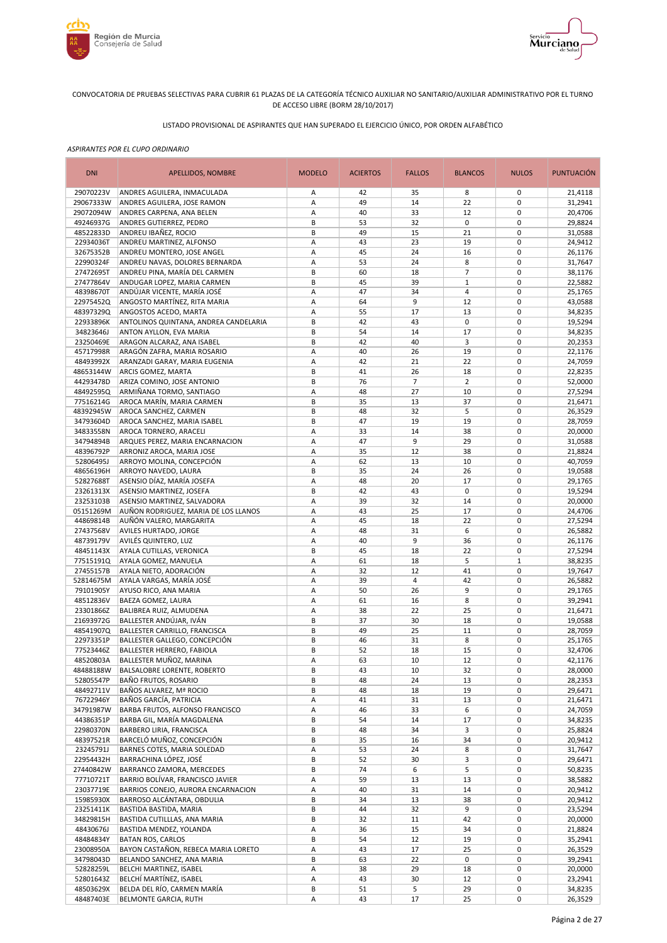



# LISTADO PROVISIONAL DE ASPIRANTES QUE HAN SUPERADO EL EJERCICIO ÚNICO, POR ORDEN ALFABÉTICO

| <b>DNI</b>             | APELLIDOS, NOMBRE                                                | <b>MODELO</b> | <b>ACIERTOS</b> | <b>FALLOS</b>  | <b>BLANCOS</b>    | <b>NULOS</b>               | <b>PUNTUACIÓN</b>  |
|------------------------|------------------------------------------------------------------|---------------|-----------------|----------------|-------------------|----------------------------|--------------------|
| 29070223V              | ANDRES AGUILERA, INMACULADA                                      | А             | 42              | 35             | 8                 | 0                          | 21,4118            |
| 29067333W              | ANDRES AGUILERA, JOSE RAMON                                      | А             | 49              | 14             | 22                | $\mathbf 0$                | 31,2941            |
| 29072094W              | ANDRES CARPENA, ANA BELEN                                        | Α             | 40              | 33             | 12                | $\mathbf 0$                | 20,4706            |
| 49246937G<br>48522833D | ANDRES GUTIERREZ, PEDRO<br>ANDREU IBAÑEZ, ROCIO                  | B<br>B        | 53<br>49        | 32<br>15       | $\mathbf 0$<br>21 | $\mathbf 0$<br>$\mathbf 0$ | 29,8824<br>31,0588 |
| 22934036T              | ANDREU MARTINEZ, ALFONSO                                         | Α             | 43              | 23             | 19                | $\mathbf 0$                | 24,9412            |
| 32675352B              | ANDREU MONTERO, JOSE ANGEL                                       | А             | 45              | 24             | 16                | $\mathbf 0$                | 26,1176            |
| 22990324F              | ANDREU NAVAS, DOLORES BERNARDA                                   | Α             | 53              | 24             | 8                 | $\mathbf 0$                | 31,7647            |
| 27472695T              | ANDREU PINA, MARÍA DEL CARMEN                                    | B             | 60              | 18             | $\overline{7}$    | $\mathbf 0$                | 38,1176            |
| 27477864V              | ANDUGAR LOPEZ, MARIA CARMEN                                      | B             | 45              | 39             | $\mathbf{1}$      | $\mathbf 0$                | 22,5882            |
| 48398670T              | ANDÚJAR VICENTE, MARÍA JOSÉ                                      | А             | 47              | 34             | 4                 | $\mathbf 0$                | 25,1765            |
| 22975452Q              | ANGOSTO MARTÍNEZ, RITA MARIA                                     | Α             | 64              | 9              | 12                | $\mathbf 0$                | 43,0588            |
| 48397329Q<br>22933896K | <b>ANGOSTOS ACEDO, MARTA</b>                                     | Α<br>B        | 55<br>42        | 17<br>43       | 13<br>$\pmb{0}$   | $\mathbf 0$<br>$\mathbf 0$ | 34,8235<br>19,5294 |
| 34823646J              | ANTOLINOS QUINTANA, ANDREA CANDELARIA<br>ANTON AYLLON, EVA MARIA | B             | 54              | 14             | 17                | $\mathbf 0$                | 34,8235            |
| 23250469E              | ARAGON ALCARAZ, ANA ISABEL                                       | B             | 42              | 40             | 3                 | $\mathbf 0$                | 20,2353            |
| 45717998R              | ARAGÓN ZAFRA, MARIA ROSARIO                                      | А             | 40              | 26             | 19                | $\mathbf 0$                | 22,1176            |
| 48493992X              | ARANZADI GARAY, MARIA EUGENIA                                    | А             | 42              | 21             | 22                | $\mathbf 0$                | 24,7059            |
| 48653144W              | ARCIS GOMEZ, MARTA                                               | B             | 41              | 26             | 18                | $\mathbf 0$                | 22,8235            |
| 44293478D              | ARIZA COMINO, JOSE ANTONIO                                       | B             | 76              | $\overline{7}$ | $\overline{2}$    | $\mathbf 0$                | 52,0000            |
| 48492595Q              | ARMIÑANA TORMO, SANTIAGO                                         | Α             | 48              | 27             | 10                | $\mathbf 0$                | 27,5294            |
| 77516214G              | AROCA MARÍN, MARIA CARMEN                                        | B             | 35              | 13             | 37                | $\mathbf 0$                | 21,6471            |
| 48392945W              | AROCA SANCHEZ, CARMEN                                            | B             | 48              | 32             | 5                 | $\pmb{0}$                  | 26,3529            |
| 34793604D<br>34833558N | AROCA SANCHEZ, MARIA ISABEL                                      | B<br>Α        | 47<br>33        | 19<br>14       | 19<br>38          | $\mathbf 0$<br>$\pmb{0}$   | 28,7059<br>20,0000 |
| 34794894B              | AROCA TORNERO, ARACELI<br>ARQUES PEREZ, MARIA ENCARNACION        | Α             | 47              | 9              | 29                | $\mathbf 0$                | 31,0588            |
| 48396792P              | ARRONIZ AROCA, MARIA JOSE                                        | Α             | 35              | 12             | 38                | $\mathbf 0$                | 21,8824            |
| 52806495J              | ARROYO MOLINA, CONCEPCIÓN                                        | А             | 62              | 13             | 10                | $\mathbf 0$                | 40,7059            |
| 48656196H              | ARROYO NAVEDO, LAURA                                             | B             | 35              | 24             | 26                | $\mathbf 0$                | 19,0588            |
| 52827688T              | ASENSIO DÍAZ, MARÍA JOSEFA                                       | Α             | 48              | 20             | 17                | $\mathbf 0$                | 29,1765            |
| 23261313X              | ASENSIO MARTINEZ, JOSEFA                                         | B             | 42              | 43             | $\mathbf 0$       | $\mathbf 0$                | 19,5294            |
| 23253103B              | ASENSIO MARTINEZ, SALVADORA                                      | А             | 39              | 32             | 14                | $\mathbf 0$                | 20,0000            |
| 05151269M              | AUÑON RODRIGUEZ, MARIA DE LOS LLANOS                             | А             | 43              | 25             | 17                | $\mathbf 0$                | 24,4706            |
| 44869814B<br>27437568V | AUÑÓN VALERO, MARGARITA<br><b>AVILES HURTADO, JORGE</b>          | А<br>А        | 45<br>48        | 18<br>31       | 22<br>6           | $\mathbf 0$<br>$\mathbf 0$ | 27,5294<br>26,5882 |
| 48739179V              | AVILÉS QUINTERO, LUZ                                             | Α             | 40              | 9              | 36                | $\mathbf 0$                | 26,1176            |
| 48451143X              | AYALA CUTILLAS, VERONICA                                         | B             | 45              | 18             | 22                | $\mathbf 0$                | 27,5294            |
| 77515191Q              | AYALA GOMEZ, MANUELA                                             | А             | 61              | 18             | 5                 | $\mathbf 1$                | 38,8235            |
| 27455157B              | AYALA NIETO, ADORACIÓN                                           | Α             | 32              | 12             | 41                | $\mathbf 0$                | 19,7647            |
| 52814675M              | AYALA VARGAS, MARÍA JOSÉ                                         | Α             | 39              | $\overline{4}$ | 42                | $\mathbf 0$                | 26,5882            |
| 79101905Y              | AYUSO RICO, ANA MARIA                                            | Α             | 50              | 26             | 9                 | $\mathbf 0$                | 29,1765            |
| 48512836V              | BAEZA GOMEZ, LAURA                                               | Α             | 61              | 16             | 8                 | $\mathbf 0$                | 39,2941            |
| 23301866Z              | BALIBREA RUIZ, ALMUDENA                                          | А             | 38              | 22             | 25                | $\mathbf 0$                | 21,6471            |
| 21693972G<br>48541907Q | BALLESTER ANDÚJAR, IVÁN<br>BALLESTER CARRILLO, FRANCISCA         | B<br>B        | 37<br>49        | 30<br>25       | 18<br>11          | $\mathbf 0$<br>$\mathbf 0$ | 19,0588<br>28,7059 |
| 22973351P              | BALLESTER GALLEGO, CONCEPCIÓN                                    | B             | 46              | 31             | 8                 | $\pmb{0}$                  | 25,1765            |
| 77523446Z              | <b>BALLESTER HERRERO, FABIOLA</b>                                | B             | 52              | 18             | 15                | $\pmb{0}$                  | 32,4706            |
| 48520803A              | BALLESTER MUÑOZ, MARINA                                          | А             | 63              | 10             | 12                | $\mathbf 0$                | 42,1176            |
| 48488188W              | BALSALOBRE LORENTE, ROBERTO                                      | В             | 43              | 10             | 32                | 0                          | 28,0000            |
| 52805547P              | <b>BAÑO FRUTOS, ROSARIO</b>                                      | B             | 48              | 24             | 13                | 0                          | 28,2353            |
| 48492711V              | BAÑOS ALVAREZ, Mª ROCIO                                          | В             | 48              | 18             | 19                | $\mathbf 0$                | 29,6471            |
| 76722946Y              | <b>BAÑOS GARCÍA, PATRICIA</b>                                    | Α             | 41              | 31             | 13                | 0                          | 21,6471            |
| 34791987W              | BARBA FRUTOS, ALFONSO FRANCISCO<br>BARBA GIL, MARÍA MAGDALENA    | Α             | 46              | 33<br>14       | 6                 | $\pmb{0}$<br>$\pmb{0}$     | 24,7059            |
| 44386351P<br>22980370N | <b>BARBERO LIRIA, FRANCISCA</b>                                  | В<br>В        | 54<br>48        | 34             | 17<br>3           | $\pmb{0}$                  | 34,8235<br>25,8824 |
| 48397521R              | BARCELÓ MUÑOZ, CONCEPCIÓN                                        | B             | 35              | 16             | 34                | $\pmb{0}$                  | 20,9412            |
| 23245791J              | BARNES COTES, MARIA SOLEDAD                                      | Α             | 53              | 24             | 8                 | $\mathbf 0$                | 31,7647            |
| 22954432H              | BARRACHINA LÓPEZ, JOSÉ                                           | В             | 52              | 30             | 3                 | $\pmb{0}$                  | 29,6471            |
| 27440842W              | BARRANCO ZAMORA, MERCEDES                                        | B             | 74              | 6              | 5                 | $\mathbf 0$                | 50,8235            |
| 77710721T              | BARRIO BOLÍVAR, FRANCISCO JAVIER                                 | А             | 59              | 13             | 13                | $\pmb{0}$                  | 38,5882            |
| 23037719E              | BARRIOS CONEJO, AURORA ENCARNACION                               | Α             | 40              | 31             | 14                | $\pmb{0}$                  | 20,9412            |
| 15985930X              | BARROSO ALCÁNTARA, OBDULIA                                       | В             | 34              | 13             | 38                | $\pmb{0}$                  | 20,9412            |
| 23251411K              | BASTIDA BASTIDA, MARIA                                           | В             | 44              | 32             | 9                 | $\pmb{0}$                  | 23,5294            |
| 34829815H              | BASTIDA CUTILLLAS, ANA MARIA                                     | B             | 32              | 11             | 42                | $\pmb{0}$                  | 20,0000            |
| 48430676J<br>48484834Y | BASTIDA MENDEZ, YOLANDA<br><b>BATAN ROS, CARLOS</b>              | Α<br>B        | 36<br>54        | 15<br>12       | 34<br>19          | $\pmb{0}$<br>$\pmb{0}$     | 21,8824<br>35,2941 |
| 23008950A              | BAYON CASTAÑON, REBECA MARIA LORETO                              | Α             | 43              | 17             | 25                | $\pmb{0}$                  | 26,3529            |
| 34798043D              | BELANDO SANCHEZ, ANA MARIA                                       | B             | 63              | 22             | 0                 | $\pmb{0}$                  | 39,2941            |
| 52828259L              | BELCHI MARTINEZ, ISABEL                                          | А             | 38              | 29             | 18                | $\pmb{0}$                  | 20,0000            |
| 52801643Z              | BELCHÍ MARTÍNEZ, ISABEL                                          | Α             | 43              | 30             | 12                | 0                          | 23,2941            |
| 48503629X              | BELDA DEL RÍO, CARMEN MARÍA                                      | В             | 51              | 5              | 29                | $\pmb{0}$                  | 34,8235            |
| 48487403E              | BELMONTE GARCIA, RUTH                                            | А             | 43              | 17             | 25                | 0                          | 26,3529            |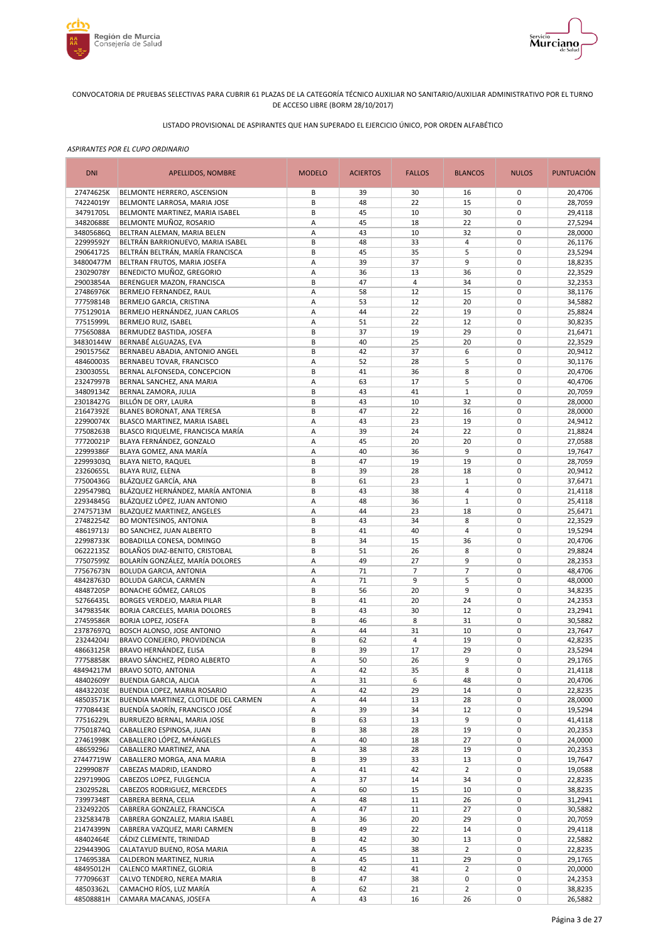



# LISTADO PROVISIONAL DE ASPIRANTES QUE HAN SUPERADO EL EJERCICIO ÚNICO, POR ORDEN ALFABÉTICO

| <b>DNI</b>             | <b>APELLIDOS, NOMBRE</b>                                         | <b>MODELO</b> | <b>ACIERTOS</b> | <b>FALLOS</b>  | <b>BLANCOS</b>                | <b>NULOS</b>               | <b>PUNTUACIÓN</b>  |
|------------------------|------------------------------------------------------------------|---------------|-----------------|----------------|-------------------------------|----------------------------|--------------------|
| 27474625K              | BELMONTE HERRERO, ASCENSION                                      | В             | 39              | 30             | 16                            | 0                          | 20,4706            |
| 74224019Y              | BELMONTE LARROSA, MARIA JOSE                                     | B             | 48              | 22             | 15                            | $\mathbf 0$                | 28,7059            |
| 34791705L              | BELMONTE MARTINEZ, MARIA ISABEL                                  | B             | 45              | 10             | 30                            | $\mathbf 0$                | 29,4118            |
| 34820688E              | BELMONTE MUÑOZ, ROSARIO                                          | А             | 45<br>43        | 18<br>10       | 22<br>32                      | $\mathbf 0$<br>$\mathbf 0$ | 27,5294            |
| 34805686Q<br>22999592Y | BELTRAN ALEMAN, MARIA BELEN<br>BELTRÁN BARRIONUEVO, MARIA ISABEL | А<br>B        | 48              | 33             | 4                             | $\mathbf 0$                | 28,0000<br>26,1176 |
| 29064172S              | BELTRÁN BELTRÁN, MARÍA FRANCISCA                                 | B             | 45              | 35             | 5                             | $\mathbf 0$                | 23,5294            |
| 34800477M              | BELTRAN FRUTOS, MARIA JOSEFA                                     | А             | 39              | 37             | 9                             | $\mathbf 0$                | 18,8235            |
| 23029078Y              | BENEDICTO MUÑOZ, GREGORIO                                        | А             | 36              | 13             | 36                            | $\mathbf 0$                | 22,3529            |
| 29003854A              | BERENGUER MAZON, FRANCISCA                                       | B             | 47              | $\overline{4}$ | 34                            | $\mathbf 0$                | 32,2353            |
| 27486976K              | BERMEJO FERNANDEZ, RAUL                                          | А             | 58              | 12             | 15                            | $\mathbf 0$                | 38,1176            |
| 77759814B              | BERMEJO GARCIA, CRISTINA                                         | Α             | 53              | 12             | 20                            | $\mathbf 0$                | 34,5882            |
| 77512901A              | BERMEJO HERNÁNDEZ, JUAN CARLOS                                   | А             | 44              | 22             | 19                            | $\mathbf 0$                | 25,8824            |
| 77515999L              | BERMEJO RUIZ, ISABEL                                             | А             | 51              | 22             | 12                            | $\mathbf 0$                | 30,8235            |
| 77565088A              | BERMUDEZ BASTIDA, JOSEFA                                         | B             | 37              | 19             | 29                            | $\mathbf 0$                | 21,6471            |
| 34830144W              | BERNABÉ ALGUAZAS, EVA                                            | B             | 40              | 25             | 20                            | $\mathbf 0$<br>$\mathbf 0$ | 22,3529            |
| 29015756Z<br>48460003S | BERNABEU ABADIA, ANTONIO ANGEL<br>BERNABEU TOVAR, FRANCISCO      | B<br>Α        | 42<br>52        | 37<br>28       | 6<br>5                        | $\mathbf 0$                | 20,9412<br>30,1176 |
| 23003055L              | BERNAL ALFONSEDA, CONCEPCION                                     | B             | 41              | 36             | 8                             | $\mathbf 0$                | 20,4706            |
| 23247997B              | BERNAL SANCHEZ, ANA MARIA                                        | А             | 63              | 17             | 5                             | $\mathbf 0$                | 40,4706            |
| 34809134Z              | BERNAL ZAMORA, JULIA                                             | B             | 43              | 41             | $\mathbf 1$                   | $\mathbf 0$                | 20,7059            |
| 23018427G              | BILLÓN DE ORY, LAURA                                             | B             | 43              | 10             | 32                            | $\mathbf 0$                | 28,0000            |
| 21647392E              | <b>BLANES BORONAT, ANA TERESA</b>                                | B             | 47              | 22             | 16                            | $\mathbf 0$                | 28,0000            |
| 22990074X              | BLASCO MARTINEZ, MARIA ISABEL                                    | А             | 43              | 23             | 19                            | $\mathbf 0$                | 24,9412            |
| 77508263B              | BLASCO RIQUELME, FRANCISCA MARÍA                                 | А             | 39              | 24             | 22                            | $\mathbf 0$                | 21,8824            |
| 77720021P              | BLAYA FERNÁNDEZ, GONZALO                                         | А             | 45              | 20             | 20                            | $\mathbf 0$                | 27,0588            |
| 22999386F              | BLAYA GOMEZ, ANA MARÍA                                           | Α             | 40              | 36             | 9                             | $\pmb{0}$                  | 19,7647            |
| 22999303Q              | BLAYA NIETO, RAQUEL                                              | B             | 47              | 19             | 19                            | $\mathbf 0$                | 28,7059            |
| 23260655L              | BLAYA RUIZ, ELENA                                                | B             | 39              | 28             | 18                            | $\mathbf 0$                | 20,9412            |
| 77500436G              | BLÁZQUEZ GARCÍA, ANA                                             | В             | 61              | 23             | $\mathbf{1}$                  | $\mathbf 0$                | 37,6471            |
| 22954798Q              | BLÁZQUEZ HERNÁNDEZ, MARÍA ANTONIA                                | B             | 43<br>48        | 38             | $\overline{4}$<br>$\mathbf 1$ | $\mathbf 0$<br>$\mathbf 0$ | 21,4118            |
| 22934845G<br>27475713M | BLÁZQUEZ LÓPEZ, JUAN ANTONIO<br>BLAZQUEZ MARTINEZ, ANGELES       | Α<br>А        | 44              | 36<br>23       | 18                            | $\mathbf 0$                | 25,4118<br>25,6471 |
| 27482254Z              | <b>BO MONTESINOS, ANTONIA</b>                                    | B             | 43              | 34             | 8                             | $\mathbf 0$                | 22,3529            |
| 48619713J              | <b>BO SANCHEZ, JUAN ALBERTO</b>                                  | B             | 41              | 40             | $\overline{4}$                | $\mathbf 0$                | 19,5294            |
| 22998733K              | BOBADILLA CONESA, DOMINGO                                        | B             | 34              | 15             | 36                            | $\mathbf 0$                | 20,4706            |
| 06222135Z              | BOLAÑOS DIAZ-BENITO, CRISTOBAL                                   | B             | 51              | 26             | 8                             | $\mathbf 0$                | 29,8824            |
| 77507599Z              | BOLARÍN GONZÁLEZ, MARÍA DOLORES                                  | Α             | 49              | 27             | 9                             | $\mathbf 0$                | 28,2353            |
| 77567673N              | <b>BOLUDA GARCIA, ANTONIA</b>                                    | А             | 71              | $\overline{7}$ | $\overline{7}$                | $\mathbf 0$                | 48,4706            |
| 48428763D              | <b>BOLUDA GARCIA, CARMEN</b>                                     | Α             | 71              | 9              | 5                             | $\mathbf 0$                | 48,0000            |
| 48487205P              | BONACHE GÓMEZ, CARLOS                                            | B             | 56              | 20             | 9                             | $\mathbf 0$                | 34,8235            |
| 52766435L              | BORGES VERDEJO, MARIA PILAR                                      | B             | 41              | 20             | 24                            | $\mathbf 0$                | 24,2353            |
| 34798354K              | BORJA CARCELES, MARIA DOLORES                                    | B             | 43              | 30             | 12                            | $\mathbf 0$                | 23,2941            |
| 27459586R              | <b>BORJA LOPEZ, JOSEFA</b><br>BOSCH ALONSO, JOSE ANTONIO         | B<br>А        | 46<br>44        | 8<br>31        | 31<br>10                      | $\mathbf 0$<br>$\mathbf 0$ | 30,5882            |
| 23787697Q<br>23244204J | BRAVO CONEJERO, PROVIDENCIA                                      | B             | 62              | 4              | 19                            | $\mathbf 0$                | 23,7647<br>42,8235 |
| 48663125R              | BRAVO HERNÁNDEZ, ELISA                                           | B             | 39              | 17             | 29                            | $\mathbf 0$                | 23,5294            |
| 77758858K              | BRAVO SÁNCHEZ, PEDRO ALBERTO                                     | A             | 50              | 26             | 9                             | $\mathbf 0$                | 29,1765            |
| 48494217M              | <b>BRAVO SOTO, ANTONIA</b>                                       | Α             | 42              | 35             | 8                             | 0                          | 21,4118            |
| 48402609Y              | <b>BUENDIA GARCIA, ALICIA</b>                                    | Α             | 31              | 6              | 48                            | 0                          | 20,4706            |
| 48432203E              | BUENDIA LOPEZ, MARIA ROSARIO                                     | А             | 42              | 29             | 14                            | 0                          | 22,8235            |
| 48503571K              | BUENDIA MARTINEZ, CLOTILDE DEL CARMEN                            | Α             | 44              | 13             | 28                            | $\pmb{0}$                  | 28,0000            |
| 77708443E              | BUENDÍA SAORÍN, FRANCISCO JOSÉ                                   | Α             | 39              | 34             | 12                            | $\pmb{0}$                  | 19,5294            |
| 77516229L              | BURRUEZO BERNAL, MARIA JOSE                                      | В             | 63              | 13             | 9                             | $\pmb{0}$                  | 41,4118            |
| 77501874Q              | CABALLERO ESPINOSA, JUAN                                         | В             | 38              | 28             | 19                            | $\pmb{0}$                  | 20,2353            |
| 27461998K              | CABALLERO LÓPEZ, MªÁNGELES                                       | Α             | 40              | 18             | 27                            | $\pmb{0}$                  | 24,0000            |
| 48659296J<br>27447719W | CABALLERO MARTINEZ, ANA<br>CABALLERO MORGA, ANA MARIA            | Α<br>В        | 38<br>39        | 28<br>33       | 19<br>13                      | $\pmb{0}$<br>$\pmb{0}$     | 20,2353<br>19,7647 |
| 22999087F              | CABEZAS MADRID, LEANDRO                                          | Α             | 41              | 42             | $\overline{2}$                | $\pmb{0}$                  | 19,0588            |
| 22971990G              | CABEZOS LOPEZ, FULGENCIA                                         | Α             | 37              | 14             | 34                            | $\pmb{0}$                  | 22,8235            |
| 23029528L              | CABEZOS RODRIGUEZ, MERCEDES                                      | Α             | 60              | 15             | 10                            | $\mathbf 0$                | 38,8235            |
| 73997348T              | CABRERA BERNA, CELIA                                             | Α             | 48              | 11             | 26                            | $\pmb{0}$                  | 31,2941            |
| 23249220S              | CABRERA GONZALEZ, FRANCISCA                                      | А             | 47              | 11             | 27                            | 0                          | 30,5882            |
| 23258347B              | CABRERA GONZALEZ, MARIA ISABEL                                   | Α             | 36              | 20             | 29                            | $\pmb{0}$                  | 20,7059            |
| 21474399N              | CABRERA VAZQUEZ, MARI CARMEN                                     | B             | 49              | 22             | 14                            | $\pmb{0}$                  | 29,4118            |
| 48402464E              | CÁDIZ CLEMENTE, TRINIDAD                                         | B             | 42              | 30             | 13                            | $\pmb{0}$                  | 22,5882            |
| 22944390G              | CALATAYUD BUENO, ROSA MARIA                                      | Α             | 45              | 38             | $\overline{2}$                | $\pmb{0}$                  | 22,8235            |
| 17469538A              | CALDERON MARTINEZ, NURIA                                         | Α             | 45              | 11             | 29                            | $\pmb{0}$                  | 29,1765            |
| 48495012H              | CALENCO MARTINEZ, GLORIA                                         | В             | 42              | 41             | $\overline{2}$                | $\pmb{0}$                  | 20,0000            |
| 77709663T              | CALVO TENDERO, NEREA MARIA<br>CAMACHO RÍOS, LUZ MARÍA            | B             | 47<br>62        | 38             | 0                             | $\pmb{0}$<br>$\pmb{0}$     | 24,2353            |
| 48503362L<br>48508881H | CAMARA MACANAS, JOSEFA                                           | А<br>Α        | 43              | 21<br>16       | $\overline{2}$<br>26          | 0                          | 38,8235            |
|                        |                                                                  |               |                 |                |                               |                            | 26,5882            |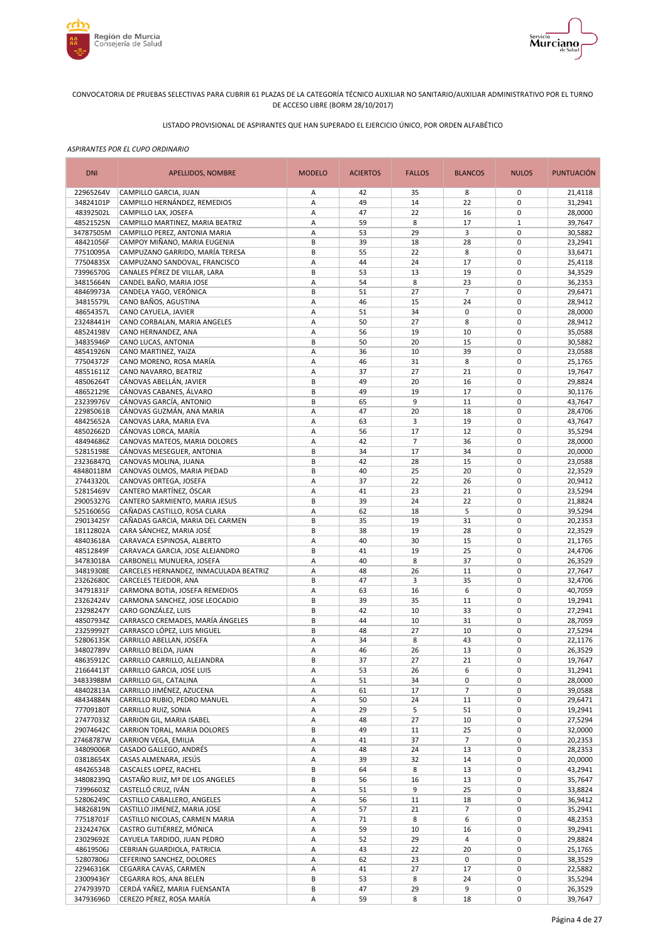



# LISTADO PROVISIONAL DE ASPIRANTES QUE HAN SUPERADO EL EJERCICIO ÚNICO, POR ORDEN ALFABÉTICO

| <b>DNI</b>             | APELLIDOS, NOMBRE                                                 | <b>MODELO</b> | <b>ACIERTOS</b> | <b>FALLOS</b>  | <b>BLANCOS</b>  | <b>NULOS</b>               | <b>PUNTUACIÓN</b>  |
|------------------------|-------------------------------------------------------------------|---------------|-----------------|----------------|-----------------|----------------------------|--------------------|
| 22965264V              | CAMPILLO GARCIA, JUAN                                             | Α             | 42              | 35             | 8               | 0                          | 21,4118            |
| 34824101P              | CAMPILLO HERNÁNDEZ, REMEDIOS                                      | А             | 49              | 14             | 22              | $\mathbf 0$                | 31,2941            |
| 48392502L              | CAMPILLO LAX, JOSEFA                                              | А             | 47              | 22             | 16              | $\mathbf 0$                | 28,0000            |
| 48521525N<br>34787505M | CAMPILLO MARTINEZ, MARIA BEATRIZ<br>CAMPILLO PEREZ, ANTONIA MARIA | Α<br>А        | 59<br>53        | 8<br>29        | 17<br>3         | $\mathbf 1$<br>$\mathbf 0$ | 39,7647<br>30,5882 |
| 48421056F              | CAMPOY MIÑANO, MARIA EUGENIA                                      | B             | 39              | 18             | 28              | $\mathbf 0$                | 23,2941            |
| 77510095A              | CAMPUZANO GARRIDO, MARÍA TERESA                                   | B             | 55              | 22             | 8               | $\mathbf 0$                | 33,6471            |
| 77504835X              | CAMPUZANO SANDOVAL, FRANCISCO                                     | А             | 44              | 24             | 17              | $\mathbf 0$                | 25,4118            |
| 73996570G              | CANALES PÉREZ DE VILLAR, LARA                                     | B             | 53              | 13             | 19              | $\mathbf 0$                | 34,3529            |
| 34815664N              | CANDEL BAÑO, MARIA JOSE                                           | Α             | 54              | 8              | 23              | $\mathbf 0$                | 36,2353            |
| 48469973A              | CANDELA YAGO, VERÓNICA                                            | B             | 51              | 27             | $\overline{7}$  | $\mathbf 0$                | 29,6471            |
| 34815579L              | CANO BAÑOS, AGUSTINA                                              | Α             | 46              | 15             | 24              | $\mathbf 0$                | 28,9412            |
| 48654357L              | CANO CAYUELA, JAVIER                                              | А             | 51              | 34             | $\pmb{0}$       | $\mathbf 0$<br>$\mathbf 0$ | 28,0000            |
| 23248441H<br>48524198V | CANO CORBALAN, MARIA ANGELES<br>CANO HERNANDEZ, ANA               | А<br>А        | 50<br>56        | 27<br>19       | 8<br>10         | $\mathbf 0$                | 28,9412<br>35,0588 |
| 34835946P              | CANO LUCAS, ANTONIA                                               | B             | 50              | 20             | 15              | $\mathbf 0$                | 30,5882            |
| 48541926N              | CANO MARTINEZ, YAIZA                                              | Α             | 36              | 10             | 39              | $\mathbf 0$                | 23,0588            |
| 77504372F              | CANO MORENO, ROSA MARÍA                                           | А             | 46              | 31             | 8               | $\mathbf 0$                | 25,1765            |
| 48551611Z              | CANO NAVARRO, BEATRIZ                                             | Α             | 37              | 27             | 21              | $\mathbf 0$                | 19,7647            |
| 48506264T              | CÁNOVAS ABELLÁN, JAVIER                                           | B             | 49              | 20             | 16              | $\mathbf 0$                | 29,8824            |
| 48652129E              | CÁNOVAS CABANES, ÁLVARO                                           | B             | 49              | 19             | 17              | $\mathbf 0$                | 30,1176            |
| 23239976V              | CÁNOVAS GARCÍA, ANTONIO                                           | B             | 65              | 9              | 11              | $\mathbf 0$                | 43,7647            |
| 22985061B              | CÁNOVAS GUZMÁN, ANA MARIA                                         | A             | 47              | 20             | 18              | $\mathbf 0$                | 28,4706            |
| 48425652A              | CANOVAS LARA, MARIA EVA                                           | А<br>А        | 63<br>56        | 3<br>17        | 19<br>12        | $\mathbf 0$<br>$\mathbf 0$ | 43,7647            |
| 48502662D<br>48494686Z | CÁNOVAS LORCA, MARÍA<br>CANOVAS MATEOS, MARIA DOLORES             | А             | 42              | $\overline{7}$ | 36              | $\mathbf 0$                | 35,5294<br>28,0000 |
| 52815198E              | CÁNOVAS MESEGUER, ANTONIA                                         | B             | 34              | 17             | 34              | $\pmb{0}$                  | 20,0000            |
| 23236847Q              | CANOVAS MOLINA, JUANA                                             | B             | 42              | 28             | 15              | $\mathbf 0$                | 23,0588            |
| 48480118M              | CANOVAS OLMOS, MARIA PIEDAD                                       | B             | 40              | 25             | 20              | $\mathbf 0$                | 22,3529            |
| 27443320L              | CANOVAS ORTEGA, JOSEFA                                            | А             | 37              | 22             | 26              | $\mathbf 0$                | 20,9412            |
| 52815469V              | CANTERO MARTÍNEZ, ÓSCAR                                           | А             | 41              | 23             | 21              | $\pmb{0}$                  | 23,5294            |
| 29005327G              | CANTERO SARMIENTO, MARIA JESUS                                    | B             | 39              | 24             | 22              | $\mathbf 0$                | 21,8824            |
| 52516065G              | CAÑADAS CASTILLO, ROSA CLARA                                      | А             | 62              | 18             | 5               | $\mathbf 0$                | 39,5294            |
| 29013425Y<br>18112802A | CAÑADAS GARCIA, MARIA DEL CARMEN<br>CARA SÁNCHEZ, MARIA JOSÉ      | B<br>B        | 35<br>38        | 19<br>19       | 31<br>28        | $\mathbf 0$<br>$\mathbf 0$ | 20,2353            |
| 48403618A              | CARAVACA ESPINOSA, ALBERTO                                        | Α             | 40              | 30             | 15              | $\mathbf 0$                | 22,3529<br>21,1765 |
| 48512849F              | CARAVACA GARCIA, JOSE ALEJANDRO                                   | B             | 41              | 19             | 25              | $\mathbf 0$                | 24,4706            |
| 34783018A              | CARBONELL MUNUERA, JOSEFA                                         | Α             | 40              | 8              | 37              | $\mathbf 0$                | 26,3529            |
| 34819308E              | CARCELES HERNANDEZ, INMACULADA BEATRIZ                            | Α             | 48              | 26             | 11              | $\mathbf 0$                | 27,7647            |
| 23262680C              | CARCELES TEJEDOR, ANA                                             | B             | 47              | 3              | 35              | $\mathbf 0$                | 32,4706            |
| 34791831F              | CARMONA BOTIA, JOSEFA REMEDIOS                                    | Α             | 63              | 16             | 6               | $\mathbf 0$                | 40,7059            |
| 23262424V              | CARMONA SANCHEZ, JOSE LEOCADIO                                    | B             | 39              | 35             | 11              | $\mathbf 0$                | 19,2941            |
| 23298247Y              | CARO GONZÁLEZ, LUIS                                               | B             | 42              | 10             | 33              | $\mathbf 0$                | 27,2941            |
| 48507934Z<br>23259992T | CARRASCO CREMADES, MARÍA ÁNGELES<br>CARRASCO LÓPEZ, LUIS MIGUEL   | B<br>B        | 44<br>48        | 10<br>27       | 31<br>10        | $\mathbf 0$<br>$\mathbf 0$ | 28,7059<br>27,5294 |
| 52806135K              | CARRILLO ABELLAN, JOSEFA                                          | А             | 34              | 8              | 43              | $\mathbf 0$                | 22,1176            |
| 34802789V              | CARRILLO BELDA, JUAN                                              | А             | 46              | 26             | 13              | $\mathbf 0$                | 26,3529            |
| 48635912C              | CARRILLO CARRILLO, ALEJANDRA                                      | B             | 37              | 27             | 21              | $\mathbf 0$                | 19,7647            |
| 21664413T              | CARRILLO GARCIA, JOSE LUIS                                        | Α             | 53              | 26             | 6               | 0                          | 31,2941            |
| 34833988M              | CARRILLO GIL, CATALINA                                            | Α             | 51              | 34             | $\pmb{0}$       | 0                          | 28,0000            |
| 48402813A              | CARRILLO JIMÉNEZ, AZUCENA                                         | А             | 61              | 17             | $\overline{7}$  | 0                          | 39,0588            |
| 48434884N              | CARRILLO RUBIO, PEDRO MANUEL                                      | Α             | 50              | 24             | 11              | 0                          | 29,6471            |
| 77709180T              | CARRILLO RUIZ, SONIA                                              | Α             | 29              | 5              | 51              | $\pmb{0}$                  | 19,2941            |
| 27477033Z              | CARRION GIL, MARIA ISABEL                                         | Α             | 48              | 27             | 10              | $\pmb{0}$                  | 27,5294            |
| 29074642C<br>27468787W | CARRION TORAL, MARIA DOLORES<br>CARRION VEGA, EMILIA              | В             | 49              | 11<br>37       | 25<br>7         | $\pmb{0}$<br>$\pmb{0}$     | 32,0000<br>20,2353 |
| 34809006R              | CASADO GALLEGO, ANDRÉS                                            | Α<br>Α        | 41<br>48        | 24             | 13              | $\pmb{0}$                  | 28,2353            |
| 03818654X              | CASAS ALMENARA, JESÚS                                             | Α             | 39              | 32             | 14              | $\pmb{0}$                  | 20,0000            |
| 48426534B              | CASCALES LOPEZ, RACHEL                                            | B             | 64              | 8              | 13              | $\mathbf 0$                | 43,2941            |
| 34808239Q              | CASTAÑO RUIZ, Mª DE LOS ANGELES                                   | В             | 56              | 16             | 13              | $\pmb{0}$                  | 35,7647            |
| 73996603Z              | CASTELLÓ CRUZ, IVÁN                                               | Α             | 51              | 9              | 25              | $\mathbf 0$                | 33,8824            |
| 52806249C              | CASTILLO CABALLERO, ANGELES                                       | Α             | 56              | 11             | 18              | $\pmb{0}$                  | 36,9412            |
| 34826819N              | CASTILLO JIMENEZ, MARIA JOSE                                      | Α             | 57              | 21             | $\overline{7}$  | $\mathbf 0$                | 35,2941            |
| 77518701F              | CASTILLO NICOLAS, CARMEN MARIA                                    | Α             | 71              | 8              | 6               | $\pmb{0}$                  | 48,2353            |
| 23242476X              | CASTRO GUTIÉRREZ, MÓNICA                                          | Α             | 59              | 10             | 16              | $\pmb{0}$                  | 39,2941            |
| 23029692E              | CAYUELA TARDIDO, JUAN PEDRO                                       | Α             | 52              | 29             | 4               | $\pmb{0}$<br>$\pmb{0}$     | 29,8824            |
| 48619506J<br>52807806J | CEBRIAN GUARDIOLA, PATRICIA<br>CEFERINO SANCHEZ, DOLORES          | Α<br>Α        | 43<br>62        | 22<br>23       | 20<br>$\pmb{0}$ | $\pmb{0}$                  | 25,1765<br>38,3529 |
| 22946316K              | CEGARRA CAVAS, CARMEN                                             | Α             | 41              | 27             | 17              | $\pmb{0}$                  | 22,5882            |
| 23009436Y              | CEGARRA ROS, ANA BELEN                                            | B             | 53              | 8              | 24              | 0                          | 35,5294            |
| 27479397D              | CERDÁ YAÑEZ, MARIA FUENSANTA                                      | В             | 47              | 29             | 9               | $\pmb{0}$                  | 26,3529            |
| 34793696D              | CEREZO PÉREZ, ROSA MARÍA                                          | А             | 59              | 8              | 18              | 0                          | 39,7647            |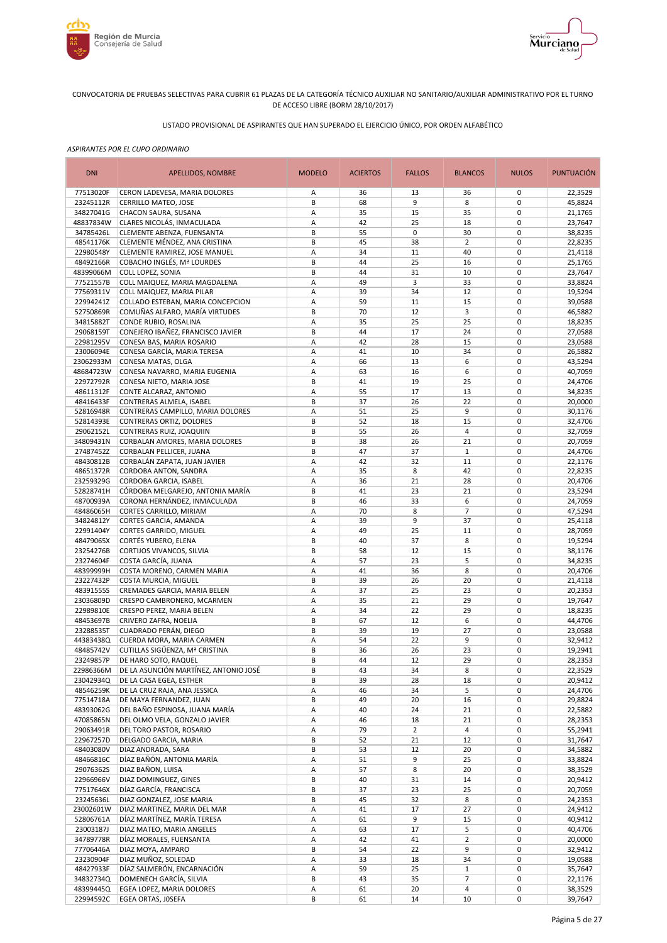



# LISTADO PROVISIONAL DE ASPIRANTES QUE HAN SUPERADO EL EJERCICIO ÚNICO, POR ORDEN ALFABÉTICO

| <b>DNI</b>             | APELLIDOS, NOMBRE                                                    | <b>MODELO</b> | <b>ACIERTOS</b> | <b>FALLOS</b>   | <b>BLANCOS</b>          | <b>NULOS</b>               | <b>PUNTUACIÓN</b>  |
|------------------------|----------------------------------------------------------------------|---------------|-----------------|-----------------|-------------------------|----------------------------|--------------------|
| 77513020F              | CERON LADEVESA, MARIA DOLORES                                        | Α             | 36              | 13              | 36                      | 0                          | 22,3529            |
| 23245112R              | CERRILLO MATEO, JOSE                                                 | B             | 68              | 9               | 8                       | $\mathbf 0$                | 45,8824            |
| 34827041G              | CHACON SAURA, SUSANA<br>CLARES NICOLÁS, INMACULADA                   | Α             | 35              | 15              | 35                      | $\mathbf 0$                | 21,1765            |
| 48837834W<br>34785426L | CLEMENTE ABENZA, FUENSANTA                                           | А<br>B        | 42<br>55        | 25<br>$\pmb{0}$ | 18<br>30                | $\pmb{0}$<br>$\mathbf 0$   | 23,7647<br>38,8235 |
| 48541176K              | CLEMENTE MÉNDEZ, ANA CRISTINA                                        | B             | 45              | 38              | $\overline{2}$          | $\pmb{0}$                  | 22,8235            |
| 22980548Y              | CLEMENTE RAMIREZ, JOSE MANUEL                                        | А             | 34              | 11              | 40                      | $\mathbf 0$                | 21,4118            |
| 48492166R              | COBACHO INGLÉS, Mª LOURDES                                           | B             | 44              | 25              | 16                      | $\mathbf 0$                | 25,1765            |
| 48399066M              | <b>COLL LOPEZ, SONIA</b>                                             | В             | 44              | 31              | 10                      | $\mathbf 0$                | 23,7647            |
| 77521557B              | COLL MAIQUEZ, MARIA MAGDALENA                                        | А             | 49              | 3               | 33                      | $\mathbf 0$                | 33,8824            |
| 77569311V              | COLL MAIQUEZ, MARIA PILAR                                            | А             | 39              | 34              | 12                      | $\mathbf 0$                | 19,5294            |
| 22994241Z              | COLLADO ESTEBAN, MARIA CONCEPCION                                    | А<br>B        | 59              | 11              | 15                      | $\mathbf 0$<br>$\mathbf 0$ | 39,0588            |
| 52750869R<br>34815882T | COMUÑAS ALFARO, MARÍA VIRTUDES<br>CONDE RUBIO, ROSALINA              | А             | 70<br>35        | 12<br>25        | 3<br>25                 | $\mathbf 0$                | 46,5882<br>18,8235 |
| 29068159T              | CONEJERO IBAÑEZ, FRANCISCO JAVIER                                    | B             | 44              | 17              | 24                      | $\mathbf 0$                | 27,0588            |
| 22981295V              | CONESA BAS, MARIA ROSARIO                                            | А             | 42              | 28              | 15                      | $\mathbf 0$                | 23,0588            |
| 23006094E              | CONESA GARCÍA, MARIA TERESA                                          | А             | 41              | 10              | 34                      | $\mathbf 0$                | 26,5882            |
| 23062933M              | CONESA MATAS, OLGA                                                   | А             | 66              | 13              | 6                       | $\mathbf 0$                | 43,5294            |
| 48684723W              | CONESA NAVARRO, MARIA EUGENIA                                        | Α             | 63              | 16              | 6                       | $\mathbf 0$                | 40,7059            |
| 22972792R              | CONESA NIETO, MARIA JOSE                                             | B             | 41              | 19              | 25                      | $\mathbf 0$                | 24,4706            |
| 48611312F              | CONTE ALCARAZ, ANTONIO                                               | Α             | 55              | 17              | 13                      | $\mathbf 0$                | 34,8235            |
| 48416433F              | CONTRERAS ALMELA, ISABEL                                             | B             | 37              | 26              | 22                      | $\mathbf 0$                | 20,0000            |
| 52816948R<br>52814393E | CONTRERAS CAMPILLO, MARIA DOLORES<br><b>CONTRERAS ORTIZ, DOLORES</b> | А<br>B        | 51<br>52        | 25<br>18        | 9<br>15                 | $\mathbf 0$<br>$\mathbf 0$ | 30,1176<br>32,4706 |
| 29062152L              | CONTRERAS RUIZ, JOAQUIIN                                             | B             | 55              | 26              | $\overline{4}$          | $\mathbf 0$                | 32,7059            |
| 34809431N              | CORBALAN AMORES, MARIA DOLORES                                       | B             | 38              | 26              | 21                      | $\mathbf 0$                | 20,7059            |
| 27487452Z              | CORBALAN PELLICER, JUANA                                             | B             | 47              | 37              | $\mathbf{1}$            | $\mathbf 0$                | 24,4706            |
| 48430812B              | CORBALÁN ZAPATA, JUAN JAVIER                                         | А             | 42              | 32              | 11                      | $\pmb{0}$                  | 22,1176            |
| 48651372R              | CORDOBA ANTON, SANDRA                                                | Α             | 35              | 8               | 42                      | $\pmb{0}$                  | 22,8235            |
| 23259329G              | CORDOBA GARCIA, ISABEL                                               | А             | 36              | 21              | 28                      | $\mathbf 0$                | 20,4706            |
| 52828741H              | CÓRDOBA MELGAREJO, ANTONIA MARÍA                                     | B             | 41              | 23              | 21                      | $\pmb{0}$                  | 23,5294            |
| 48700939A              | CORONA HERNÁNDEZ, INMACULADA                                         | B             | 46              | 33              | 6                       | $\mathbf 0$                | 24,7059            |
| 48486065H<br>34824812Y | CORTES CARRILLO, MIRIAM<br>CORTES GARCIA, AMANDA                     | А<br>А        | 70<br>39        | 8<br>9          | 7<br>37                 | $\mathbf 0$<br>$\mathbf 0$ | 47,5294<br>25,4118 |
| 22991404Y              | <b>CORTES GARRIDO, MIGUEL</b>                                        | Α             | 49              | 25              | 11                      | $\mathbf 0$                | 28,7059            |
| 48479065X              | CORTÉS YUBERO, ELENA                                                 | B             | 40              | 37              | 8                       | $\mathbf 0$                | 19,5294            |
| 23254276B              | CORTIJOS VIVANCOS, SILVIA                                            | B             | 58              | 12              | 15                      | $\mathbf 0$                | 38,1176            |
| 23274604F              | COSTA GARCÍA, JUANA                                                  | Α             | 57              | 23              | 5                       | $\mathbf 0$                | 34,8235            |
| 48399999H              | COSTA MORENO, CARMEN MARIA                                           | Α             | 41              | 36              | 8                       | $\mathbf 0$                | 20,4706            |
| 23227432P              | COSTA MURCIA, MIGUEL                                                 | B             | 39              | 26              | 20                      | $\mathbf 0$                | 21,4118            |
| 48391555S              | CREMADES GARCIA, MARIA BELEN                                         | А             | 37              | 25              | 23                      | $\mathbf 0$                | 20,2353            |
| 23036809D<br>22989810E | CRESPO CAMBRONERO, MCARMEN<br><b>CRESPO PEREZ, MARIA BELEN</b>       | Α<br>Α        | 35<br>34        | 21<br>22        | 29<br>29                | $\mathbf 0$<br>$\mathbf 0$ | 19,7647            |
| 48453697B              | CRIVERO ZAFRA, NOELIA                                                | B             | 67              | 12              | 6                       | $\mathbf 0$                | 18,8235<br>44,4706 |
| 23288535T              | CUADRADO PERÁN, DIEGO                                                | B             | 39              | 19              | 27                      | $\mathbf 0$                | 23,0588            |
| 44383438Q              | CUERDA MORA, MARIA CARMEN                                            | Α             | 54              | 22              | 9                       | $\mathbf 0$                | 32,9412            |
| 48485742V              | CUTILLAS SIGÜENZA, Mª CRISTINA                                       | B             | 36              | 26              | 23                      | $\mathbf 0$                | 19,2941            |
| 23249857P              | DE HARO SOTO, RAQUEL                                                 | B             | 44              | 12              | 29                      | $\mathbf 0$                | 28,2353            |
| 22986366M              | DE LA ASUNCIÓN MARTÍNEZ, ANTONIO JOSÉ                                | В             | 43              | 34              | 8                       | 0                          | 22,3529            |
| 23042934Q              | DE LA CASA EGEA, ESTHER                                              | B             | 39              | 28              | 18                      | $\pmb{0}$                  | 20,9412            |
| 48546259K              | DE LA CRUZ RAJA, ANA JESSICA                                         | А             | 46              | 34              | 5                       | 0                          | 24,4706            |
| 77514718A              | DE MAYA FERNANDEZ, JUAN                                              | В             | 49              | 20              | 16                      | $\pmb{0}$                  | 29,8824            |
| 48393062G<br>47085865N | DEL BAÑO ESPINOSA, JUANA MARÍA<br>DEL OLMO VELA, GONZALO JAVIER      | А<br>Α        | 40<br>46        | 24<br>18        | 21<br>21                | $\pmb{0}$<br>$\pmb{0}$     | 22,5882<br>28,2353 |
| 29063491R              | DEL TORO PASTOR, ROSARIO                                             | Α             | 79              | $\overline{2}$  | $\overline{\mathbf{4}}$ | 0                          | 55,2941            |
| 22967257D              | DELGADO GARCIA, MARIA                                                | В             | 52              | 21              | 12                      | $\pmb{0}$                  | 31,7647            |
| 48403080V              | DIAZ ANDRADA, SARA                                                   | B             | 53              | 12              | 20                      | $\pmb{0}$                  | 34,5882            |
| 48466816C              | DÍAZ BAÑÓN, ANTONIA MARÍA                                            | Α             | 51              | 9               | 25                      | $\pmb{0}$                  | 33,8824            |
| 29076362S              | DIAZ BAÑON, LUISA                                                    | Α             | 57              | 8               | 20                      | $\pmb{0}$                  | 38,3529            |
| 22966966V              | DIAZ DOMINGUEZ, GINES                                                | В             | 40              | 31              | 14                      | $\pmb{0}$                  | 20,9412            |
| 77517646X              | DÍAZ GARCÍA, FRANCISCA                                               | B             | 37              | 23              | 25                      | 0                          | 20,7059            |
| 23245636L              | DIAZ GONZALEZ, JOSE MARIA                                            | В             | 45              | 32              | 8                       | $\pmb{0}$                  | 24,2353            |
| 23002601W              | DIAZ MARTINEZ, MARIA DEL MAR<br>DÍAZ MARTÍNEZ, MARÍA TERESA          | А             | 41              | 17<br>9         | 27<br>15                | 0<br>0                     | 24,9412            |
| 52806761A<br>23003187J | DIAZ MATEO, MARIA ANGELES                                            | Α<br>А        | 61<br>63        | 17              | 5                       | $\mathbf 0$                | 40,9412<br>40,4706 |
| 34789778R              | DÍAZ MORALES, FUENSANTA                                              | Α             | 42              | 41              | $\overline{2}$          | $\pmb{0}$                  | 20,0000            |
| 77706446A              | DIAZ MOYA, AMPARO                                                    | В             | 54              | 22              | 9                       | $\pmb{0}$                  | 32,9412            |
| 23230904F              | DIAZ MUÑOZ, SOLEDAD                                                  | А             | 33              | 18              | 34                      | $\pmb{0}$                  | 19,0588            |
| 48427933F              | DÍAZ SALMERÓN, ENCARNACIÓN                                           | А             | 59              | 25              | $1\,$                   | $\pmb{0}$                  | 35,7647            |
| 34832734Q              | DOMENECH GARCÍA, SILVIA                                              | B             | 43              | 35              | $\overline{7}$          | $\pmb{0}$                  | 22,1176            |
| 48399445Q              | EGEA LOPEZ, MARIA DOLORES                                            | Α             | 61              | 20              | $\overline{\mathbf{4}}$ | $\pmb{0}$                  | 38,3529            |
| 22994592C              | EGEA ORTAS, JOSEFA                                                   | В             | 61              | 14              | 10                      | 0                          | 39,7647            |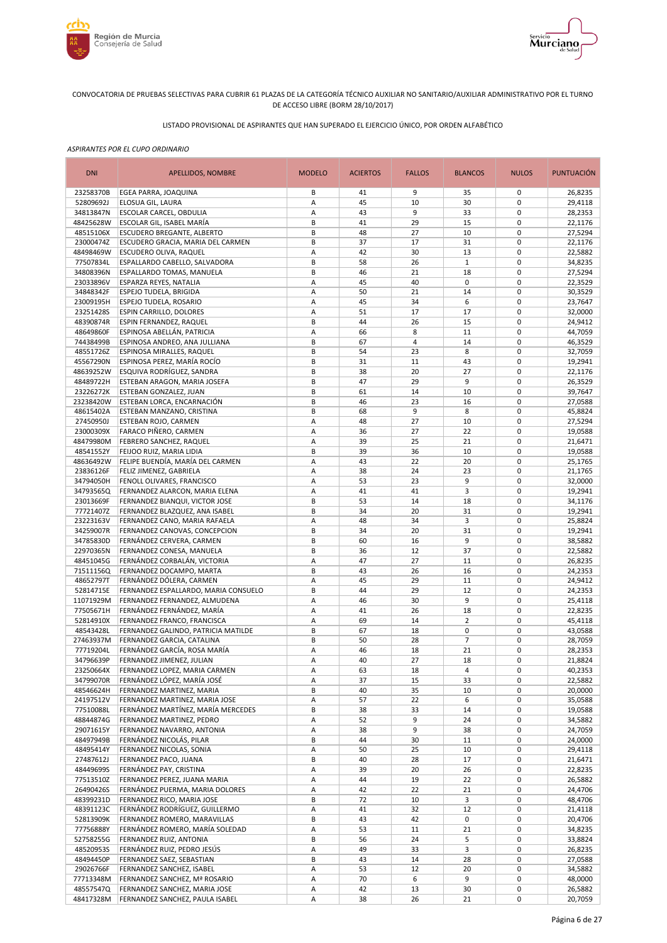



# LISTADO PROVISIONAL DE ASPIRANTES QUE HAN SUPERADO EL EJERCICIO ÚNICO, POR ORDEN ALFABÉTICO

| <b>DNI</b>             | <b>APELLIDOS, NOMBRE</b>                                           | <b>MODELO</b> | <b>ACIERTOS</b> | <b>FALLOS</b>  | <b>BLANCOS</b>      | <b>NULOS</b>               | <b>PUNTUACIÓN</b>  |
|------------------------|--------------------------------------------------------------------|---------------|-----------------|----------------|---------------------|----------------------------|--------------------|
| 23258370B              | EGEA PARRA, JOAQUINA                                               | В             | 41              | 9              | 35                  | 0                          | 26,8235            |
| 52809692J              | ELOSUA GIL, LAURA                                                  | Α             | 45              | 10             | 30                  | 0                          | 29,4118            |
| 34813847N              | ESCOLAR CARCEL, OBDULIA                                            | Α             | 43              | 9              | 33                  | $\mathbf 0$                | 28,2353            |
| 48425628W<br>48515106X | ESCOLAR GIL, ISABEL MARÍA<br>ESCUDERO BREGANTE, ALBERTO            | В<br>В        | 41<br>48        | 29<br>27       | 15<br>10            | 0<br>$\mathbf 0$           | 22,1176<br>27,5294 |
| 23000474Z              | ESCUDERO GRACIA, MARIA DEL CARMEN                                  | B             | 37              | 17             | 31                  | 0                          | 22,1176            |
| 48498469W              | ESCUDERO OLIVA, RAQUEL                                             | Α             | 42              | 30             | 13                  | $\mathbf 0$                | 22,5882            |
| 77507834L              | ESPALLARDO CABELLO, SALVADORA                                      | B             | 58              | 26             | $\mathbf{1}$        | $\mathbf 0$                | 34,8235            |
| 34808396N              | ESPALLARDO TOMAS, MANUELA                                          | B             | 46              | 21             | 18                  | $\mathbf 0$                | 27,5294            |
| 23033896V              | ESPARZA REYES, NATALIA                                             | Α             | 45              | 40             | 0                   | $\mathbf 0$                | 22,3529            |
| 34848342F              | <b>ESPEJO TUDELA, BRIGIDA</b>                                      | Α             | 50              | 21             | 14                  | $\mathbf 0$                | 30,3529            |
| 23009195H              | <b>ESPEJO TUDELA, ROSARIO</b>                                      | Α             | 45              | 34             | 6                   | $\mathbf 0$                | 23,7647            |
| 23251428S<br>48390874R | ESPIN CARRILLO, DOLORES<br><b>ESPIN FERNANDEZ, RAQUEL</b>          | Α<br>B        | 51<br>44        | 17<br>26       | 17<br>15            | $\mathbf 0$<br>$\mathbf 0$ | 32,0000<br>24,9412 |
| 48649860F              | ESPINOSA ABELLÁN, PATRICIA                                         | Α             | 66              | 8              | 11                  | $\mathbf 0$                | 44,7059            |
| 74438499B              | ESPINOSA ANDREO, ANA JULLIANA                                      | B             | 67              | $\overline{4}$ | 14                  | $\mathbf 0$                | 46,3529            |
| 48551726Z              | ESPINOSA MIRALLES, RAQUEL                                          | B             | 54              | 23             | 8                   | $\mathbf 0$                | 32,7059            |
| 45567290N              | ESPINOSA PEREZ, MARÍA ROCÍO                                        | B             | 31              | 11             | 43                  | $\mathbf 0$                | 19,2941            |
| 48639252W              | ESQUIVA RODRÍGUEZ, SANDRA                                          | B             | 38              | 20             | 27                  | 0                          | 22,1176            |
| 48489722H              | ESTEBAN ARAGON, MARIA JOSEFA                                       | B             | 47              | 29             | 9                   | $\mathbf 0$                | 26,3529            |
| 23226272K              | ESTEBAN GONZALEZ, JUAN                                             | B             | 61              | 14             | 10                  | 0                          | 39,7647            |
| 23238420W              | ESTEBAN LORCA, ENCARNACIÓN                                         | B             | 46              | 23             | 16                  | $\mathbf 0$                | 27,0588            |
| 48615402A              | ESTEBAN MANZANO, CRISTINA                                          | B             | 68              | 9              | 8                   | 0                          | 45,8824            |
| 27450950J              | ESTEBAN ROJO, CARMEN<br>FARACO PIÑERO, CARMEN                      | A             | 48<br>36        | 27<br>27       | 10<br>22            | $\mathbf 0$<br>0           | 27,5294            |
| 23000309X<br>48479980M | FEBRERO SANCHEZ, RAQUEL                                            | A<br>Α        | 39              | 25             | 21                  | 0                          | 19,0588<br>21,6471 |
| 48541552Y              | FEIJOO RUIZ, MARIA LIDIA                                           | B             | 39              | 36             | 10                  | 0                          | 19,0588            |
| 48636492W              | FELIPE BUENDÍA, MARÍA DEL CARMEN                                   | A             | 43              | 22             | 20                  | $\mathbf 0$                | 25,1765            |
| 23836126F              | FELIZ JIMENEZ, GABRIELA                                            | Α             | 38              | 24             | 23                  | 0                          | 21,1765            |
| 34794050H              | FENOLL OLIVARES, FRANCISCO                                         | Α             | 53              | 23             | 9                   | $\mathbf 0$                | 32,0000            |
| 34793565Q              | FERNANDEZ ALARCON, MARIA ELENA                                     | Α             | 41              | 41             | 3                   | 0                          | 19,2941            |
| 23013669F              | FERNANDEZ BIANQUI, VICTOR JOSE                                     | B             | 53              | 14             | 18                  | $\mathbf 0$                | 34,1176            |
| 77721407Z              | FERNANDEZ BLAZQUEZ, ANA ISABEL                                     | B             | 34              | 20             | 31                  | $\mathbf 0$                | 19,2941            |
| 23223163V              | FERNANDEZ CANO, MARIA RAFAELA                                      | Α<br>B        | 48<br>34        | 34<br>20       | 3                   | $\mathbf 0$<br>$\mathbf 0$ | 25,8824            |
| 34259007R<br>34785830D | FERNANDEZ CANOVAS, CONCEPCION<br>FERNÁNDEZ CERVERA, CARMEN         | B             | 60              | 16             | 31<br>9             | $\mathbf 0$                | 19,2941<br>38,5882 |
| 22970365N              | FERNANDEZ CONESA, MANUELA                                          | B             | 36              | 12             | 37                  | $\mathbf 0$                | 22,5882            |
| 48451045G              | FERNÁNDEZ CORBALÁN, VICTORIA                                       | Α             | 47              | 27             | 11                  | $\mathbf 0$                | 26,8235            |
| 71511156Q              | FERNANDEZ DOCAMPO, MARTA                                           | B             | 43              | 26             | 16                  | $\mathbf 0$                | 24,2353            |
| 48652797T              | FERNÁNDEZ DÓLERA, CARMEN                                           | Α             | 45              | 29             | 11                  | $\mathbf 0$                | 24,9412            |
| 52814715E              | FERNANDEZ ESPALLARDO, MARIA CONSUELO                               | B             | 44              | 29             | 12                  | $\mathbf 0$                | 24,2353            |
| 11071929M              | FERNANDEZ FERNANDEZ, ALMUDENA                                      | Α             | 46              | 30             | 9                   | $\mathbf 0$                | 25,4118            |
| 77505671H              | FERNÁNDEZ FERNÁNDEZ, MARÍA                                         | A             | 41              | 26             | 18                  | $\mathbf 0$                | 22,8235            |
| 52814910X<br>48543428L | FERNANDEZ FRANCO, FRANCISCA<br>FERNANDEZ GALINDO, PATRICIA MATILDE | Α<br>B        | 69<br>67        | 14<br>18       | $\overline{2}$<br>0 | 0<br>$\mathbf 0$           | 45,4118<br>43,0588 |
| 27463937M              | FERNANDEZ GARCIA, CATALINA                                         | B             | 50              | 28             | $\overline{7}$      | 0                          | 28,7059            |
| 77719204L              | FERNÁNDEZ GARCÍA, ROSA MARÍA                                       | A             | 46              | 18             | 21                  | $\mathbf 0$                | 28,2353            |
| 34796639P              | FERNANDEZ JIMENEZ, JULIAN                                          | A             | 40              | 27             | 18                  | $\mathbf 0$                | 21,8824            |
| 23250664X              | FERNANDEZ LOPEZ, MARIA CARMEN                                      | Α             | 63              | 18             | 4                   | 0                          | 40,2353            |
| 34799070R              | FERNÁNDEZ LÓPEZ, MARÍA JOSÉ                                        | Α             | 37              | 15             | 33                  | 0                          | 22,5882            |
| 48546624H              | FERNANDEZ MARTINEZ, MARIA                                          | В             | 40              | 35             | 10                  | 0                          | 20,0000            |
| 24197512V              | FERNANDEZ MARTINEZ, MARIA JOSE                                     | А             | 57              | 22             | 6                   | 0                          | 35,0588            |
| 77510088L<br>48844874G | FERNÁNDEZ MARTÍNEZ, MARÍA MERCEDES<br>FERNANDEZ MARTINEZ, PEDRO    | B<br>Α        | 38<br>52        | 33<br>9        | 14<br>24            | 0<br>0                     | 19,0588<br>34,5882 |
| 29071615Y              | FERNANDEZ NAVARRO, ANTONIA                                         | A             | 38              | 9              | 38                  | 0                          | 24,7059            |
| 48497949B              | FERNÁNDEZ NICOLÁS, PILAR                                           | В             | 44              | 30             | 11                  | 0                          | 24,0000            |
| 48495414Y              | FERNANDEZ NICOLAS, SONIA                                           | Α             | 50              | 25             | 10                  | 0                          | 29,4118            |
| 27487612J              | FERNANDEZ PACO, JUANA                                              | B             | 40              | 28             | 17                  | 0                          | 21,6471            |
| 48449699S              | FERNÁNDEZ PAY, CRISTINA                                            | Α             | 39              | 20             | 26                  | $\pmb{0}$                  | 22,8235            |
| 77513510Z              | FERNANDEZ PEREZ, JUANA MARIA                                       | Α             | 44              | 19             | 22                  | 0                          | 26,5882            |
| 26490426S              | FERNÁNDEZ PUERMA, MARIA DOLORES                                    | Α             | 42              | 22             | 21                  | 0                          | 24,4706            |
| 48399231D              | FERNANDEZ RICO, MARIA JOSE                                         | B             | 72              | 10             | 3                   | 0                          | 48,4706            |
| 48391123C<br>52813909K | FERNÁNDEZ RODRÍGUEZ, GUILLERMO<br>FERNANDEZ ROMERO, MARAVILLAS     | Α<br>B        | 41<br>43        | 32<br>42       | 12<br>0             | 0<br>0                     | 21,4118            |
| 77756888Y              | FERNÁNDEZ ROMERO, MARÍA SOLEDAD                                    | Α             | 53              | 11             | 21                  | 0                          | 20,4706<br>34,8235 |
| 52758255G              | FERNANDEZ RUIZ, ANTONIA                                            | B             | 56              | 24             | 5                   | 0                          | 33,8824            |
| 48520953S              | FERNÁNDEZ RUIZ, PEDRO JESÚS                                        | Α             | 49              | 33             | 3                   | 0                          | 26,8235            |
| 48494450P              | FERNANDEZ SAEZ, SEBASTIAN                                          | B             | 43              | 14             | 28                  | 0                          | 27,0588            |
| 29026766F              | FERNANDEZ SANCHEZ, ISABEL                                          | A             | 53              | 12             | 20                  | 0                          | 34,5882            |
| 77713348M              | FERNANDEZ SANCHEZ, Mª ROSARIO                                      | Α             | 70              | 6              | 9                   | 0                          | 48,0000            |
| 48557547Q              | FERNANDEZ SANCHEZ, MARIA JOSE                                      | А             | 42              | 13             | 30                  | 0                          | 26,5882            |
| 48417328M              | FERNANDEZ SANCHEZ, PAULA ISABEL                                    | Α             | 38              | 26             | 21                  | 0                          | 20,7059            |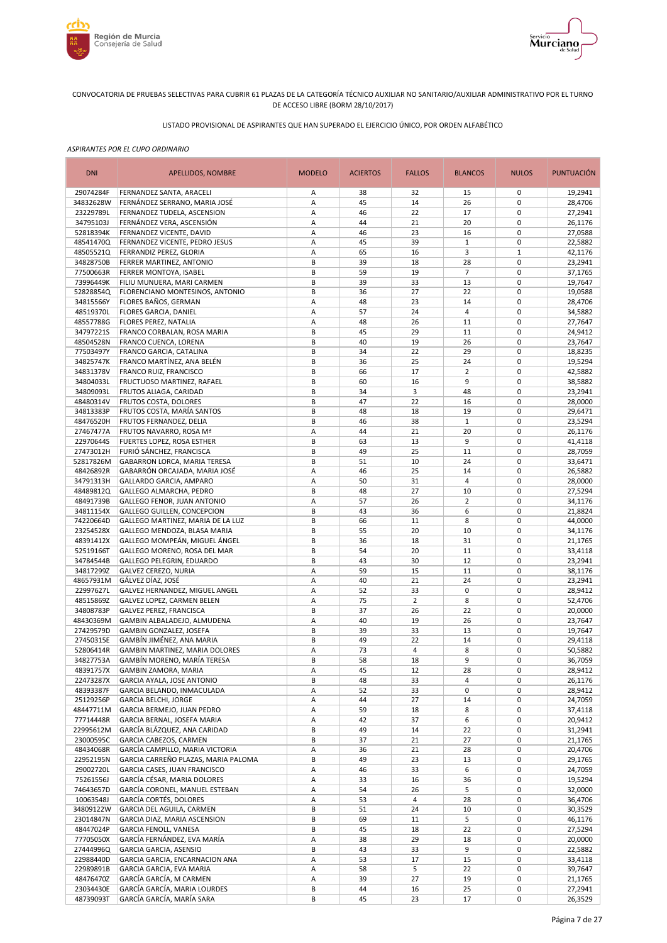



# LISTADO PROVISIONAL DE ASPIRANTES QUE HAN SUPERADO EL EJERCICIO ÚNICO, POR ORDEN ALFABÉTICO

| <b>DNI</b><br><b>MODELO</b><br>APELLIDOS, NOMBRE                                                  | <b>ACIERTOS</b> | <b>FALLOS</b>  | <b>BLANCOS</b> | <b>NULOS</b>               | <b>PUNTUACIÓN</b>  |
|---------------------------------------------------------------------------------------------------|-----------------|----------------|----------------|----------------------------|--------------------|
| 29074284F<br>FERNANDEZ SANTA, ARACELI<br>Α                                                        | 38              | 32             | 15             | 0                          | 19,2941            |
| A<br>34832628W<br>FERNÁNDEZ SERRANO, MARIA JOSÉ                                                   | 45              | 14             | 26             | $\mathbf 0$                | 28,4706            |
| 23229789L<br>А<br>FERNANDEZ TUDELA, ASCENSION<br>34795103J<br>FERNÁNDEZ VERA, ASCENSIÓN<br>А      | 46<br>44        | 22<br>21       | 17<br>20       | $\mathbf 0$<br>$\pmb{0}$   | 27,2941<br>26,1176 |
| 52818394K<br>А<br>FERNANDEZ VICENTE, DAVID                                                        | 46              | 23             | 16             | $\mathbf 0$                | 27,0588            |
| 48541470Q<br>FERNANDEZ VICENTE, PEDRO JESUS<br>Α                                                  | 45              | 39             | $\mathbf{1}$   | $\pmb{0}$                  | 22,5882            |
| 48505521Q<br>FERRANDIZ PEREZ, GLORIA<br>Α                                                         | 65              | 16             | 3              | $\mathbf 1$                | 42,1176            |
| 34828750B<br>FERRER MARTINEZ, ANTONIO<br>В                                                        | 39              | 18             | 28             | $\mathbf 0$                | 23,2941            |
| 77500663R<br>FERRER MONTOYA, ISABEL<br>В                                                          | 59              | 19             | $\overline{7}$ | $\mathbf 0$                | 37,1765            |
| 73996449K<br>B<br>FILIU MUNUERA, MARI CARMEN                                                      | 39              | 33             | 13             | $\mathbf 0$                | 19,7647            |
| B<br>52828854Q<br>FLORENCIANO MONTESINOS, ANTONIO                                                 | 36              | 27             | 22             | $\mathbf 0$                | 19,0588            |
| 34815566Y<br>FLORES BAÑOS, GERMAN<br>А                                                            | 48              | 23             | 14             | $\mathbf 0$                | 28,4706            |
| 48519370L<br>FLORES GARCIA, DANIEL<br>А                                                           | 57<br>48        | 24<br>26       | $\overline{4}$ | $\mathbf 0$<br>$\mathbf 0$ | 34,5882            |
| 48557788G<br><b>FLORES PEREZ, NATALIA</b><br>Α<br>34797221S<br>B<br>FRANCO CORBALAN, ROSA MARIA   | 45              | 29             | 11<br>11       | $\mathbf 0$                | 27,7647<br>24,9412 |
| 48504528N<br>B<br>FRANCO CUENCA, LORENA                                                           | 40              | 19             | 26             | $\mathbf 0$                | 23,7647            |
| B<br>77503497Y<br>FRANCO GARCIA, CATALINA                                                         | 34              | 22             | 29             | $\mathbf 0$                | 18,8235            |
| 34825747K<br>FRANCO MARTÍNEZ, ANA BELÉN<br>B                                                      | 36              | 25             | 24             | $\mathbf 0$                | 19,5294            |
| 34831378V<br>FRANCO RUIZ, FRANCISCO<br>В                                                          | 66              | 17             | $\overline{2}$ | $\mathbf 0$                | 42,5882            |
| 34804033L<br>B<br>FRUCTUOSO MARTINEZ, RAFAEL                                                      | 60              | 16             | 9              | $\mathbf 0$                | 38,5882            |
| 34809093L<br>FRUTOS ALIAGA, CARIDAD<br>B                                                          | 34              | 3              | 48             | $\mathbf 0$                | 23,2941            |
| 48480314V<br>B<br><b>FRUTOS COSTA, DOLORES</b>                                                    | 47              | 22             | 16             | $\mathbf 0$                | 28,0000            |
| B<br>34813383P<br>FRUTOS COSTA, MARÍA SANTOS                                                      | 48              | 18             | 19             | $\mathbf 0$                | 29,6471            |
| B<br>48476520H<br>FRUTOS FERNANDEZ, DELIA                                                         | 46              | 38             | $\mathbf 1$    | $\mathbf 0$                | 23,5294            |
| 27467477A<br>А<br>FRUTOS NAVARRO, ROSA Mª<br>22970644S<br>B<br>FUERTES LOPEZ, ROSA ESTHER         | 44<br>63        | 21<br>13       | 20<br>9        | $\mathbf 0$<br>$\mathbf 0$ | 26,1176<br>41,4118 |
| 27473012H<br>B<br>FURIÓ SÁNCHEZ, FRANCISCA                                                        | 49              | 25             | 11             | $\mathbf 0$                | 28,7059            |
| 52817826M<br>B<br>GABARRON LORCA, MARIA TERESA                                                    | 51              | 10             | 24             | $\pmb{0}$                  | 33,6471            |
| А<br>48426892R<br>GABARRÓN ORCAJADA, MARIA JOSÉ                                                   | 46              | 25             | 14             | $\pmb{0}$                  | 26,5882            |
| 34791313H<br>А<br>GALLARDO GARCIA, AMPARO                                                         | 50              | 31             | $\overline{4}$ | $\mathbf 0$                | 28,0000            |
| 48489812Q<br>B<br>GALLEGO ALMARCHA, PEDRO                                                         | 48              | 27             | 10             | $\pmb{0}$                  | 27,5294            |
| 48491739B<br>GALLEGO FENOR, JUAN ANTONIO<br>А                                                     | 57              | 26             | $\overline{2}$ | $\mathbf 0$                | 34,1176            |
| 34811154X<br>B<br><b>GALLEGO GUILLEN, CONCEPCION</b>                                              | 43              | 36             | 6              | $\mathbf 0$                | 21,8824            |
| 74220664D<br>GALLEGO MARTINEZ, MARIA DE LA LUZ<br>В                                               | 66              | 11             | 8              | $\mathbf 0$                | 44,0000            |
| 23254528X<br>B<br>GALLEGO MENDOZA, BLASA MARIA<br>GALLEGO MOMPEÁN, MIGUEL ÁNGEL<br>B<br>48391412X | 55<br>36        | 20<br>18       | 10<br>31       | $\mathbf 0$<br>$\mathbf 0$ | 34,1176<br>21,1765 |
| GALLEGO MORENO, ROSA DEL MAR<br>B<br>52519166T                                                    | 54              | 20             | 11             | $\mathbf 0$                | 33,4118            |
| 34784544B<br>B<br>GALLEGO PELEGRIN, EDUARDO                                                       | 43              | 30             | 12             | $\mathbf 0$                | 23,2941            |
| Α<br>34817299Z<br>GALVEZ CEREZO, NURIA                                                            | 59              | 15             | 11             | $\mathbf 0$                | 38,1176            |
| 48657931M<br>GÁLVEZ DÍAZ, JOSÉ<br>А                                                               | 40              | 21             | 24             | $\mathbf 0$                | 23,2941            |
| 22997627L<br>А<br>GALVEZ HERNANDEZ, MIGUEL ANGEL                                                  | 52              | 33             | $\pmb{0}$      | $\mathbf 0$                | 28,9412            |
| 48515869Z<br>GALVEZ LOPEZ, CARMEN BELEN<br>Α                                                      | 75              | $\overline{2}$ | 8              | $\mathbf 0$                | 52,4706            |
| 34808783P<br>B<br>GALVEZ PEREZ, FRANCISCA                                                         | 37              | 26             | 22             | $\mathbf 0$                | 20,0000            |
| 48430369M<br>GAMBIN ALBALADEJO, ALMUDENA<br>А                                                     | 40              | 19             | 26             | $\mathbf 0$                | 23,7647            |
| 27429579D<br>B<br>GAMBIN GONZALEZ, JOSEFA<br>27450315E<br>GAMBÍN JIMÉNEZ, ANA MARIA<br>В          | 39<br>49        | 33<br>22       | 13<br>14       | $\mathbf 0$<br>$\mathbf 0$ | 19,7647<br>29,4118 |
| 52806414R<br>GAMBIN MARTINEZ, MARIA DOLORES<br>Α                                                  | 73              | $\overline{4}$ | 8              | $\mathbf 0$                | 50,5882            |
| 34827753A<br>GAMBÍN MORENO, MARÍA TERESA<br>B                                                     | 58              | 18             | 9              | $\mathbf 0$                | 36,7059            |
| 48391757X<br>GAMBIN ZAMORA, MARIA<br>Α                                                            | 45              | 12             | 28             | 0                          | 28,9412            |
| 22473287X<br><b>GARCIA AYALA, JOSE ANTONIO</b><br>B                                               | 48              | 33             | $\overline{4}$ | $\pmb{0}$                  | 26,1176            |
| 48393387F<br>GARCIA BELANDO, INMACULADA<br>Α                                                      | 52              | 33             | 0              | 0                          | 28,9412            |
| 25129256P<br><b>GARCIA BELCHI, JORGE</b><br>Α                                                     | 44              | 27             | 14             | $\pmb{0}$                  | 24,7059            |
| 48447711M<br>GARCIA BERMEJO, JUAN PEDRO<br>Α                                                      | 59              | 18             | 8              | $\pmb{0}$                  | 37,4118            |
| 77714448R<br>GARCIA BERNAL, JOSEFA MARIA<br>Α                                                     | 42              | 37             | 6              | $\pmb{0}$                  | 20,9412            |
| 22995612M<br>GARCÍA BLÁZQUEZ, ANA CARIDAD<br>В                                                    | 49              | 14             | 22             | 0                          | 31,2941            |
| GARCIA CABEZOS, CARMEN<br>23000595C<br>В<br>48434068R<br>GARCÍA CAMPILLO, MARIA VICTORIA<br>А     | 37<br>36        | 21<br>21       | 27<br>28       | $\pmb{0}$<br>$\pmb{0}$     | 21,1765<br>20,4706 |
| 22952195N<br>GARCIA CARREÑO PLAZAS, MARIA PALOMA<br>В                                             | 49              | 23             | 13             | $\pmb{0}$                  | 29,1765            |
| 29002720L<br>GARCIA CASES, JUAN FRANCISCO<br>А                                                    | 46              | 33             | 6              | $\pmb{0}$                  | 24,7059            |
| GARCÍA CÉSAR, MARIA DOLORES<br>75261556J<br>Α                                                     | 33              | 16             | 36             | $\pmb{0}$                  | 19,5294            |
| 74643657D<br>GARCÍA CORONEL, MANUEL ESTEBAN<br>Α                                                  | 54              | 26             | 5              | $\pmb{0}$                  | 32,0000            |
| 10063548J<br>GARCÍA CORTÉS, DOLORES<br>Α                                                          | 53              | 4              | 28             | $\pmb{0}$                  | 36,4706            |
| 34809122W<br>GARCIA DEL AGUILA, CARMEN<br>B                                                       | 51              | 24             | 10             | 0                          | 30,3529            |
| 23014847N<br>GARCIA DIAZ, MARIA ASCENSION<br>В                                                    | 69              | 11             | 5              | 0                          | 46,1176            |
| 48447024P<br>GARCIA FENOLL, VANESA<br>B                                                           | 45              | 18             | 22             | $\mathbf 0$                | 27,5294            |
| 77705050X<br>GARCÍA FERNÁNDEZ, EVA MARÍA<br>А                                                     | 38              | 29             | 18             | $\pmb{0}$                  | 20,0000            |
| 27444996Q<br>GARCIA GARCIA, ASENSIO<br>В<br>22988440D<br>GARCIA GARCIA, ENCARNACION ANA<br>А      | 43<br>53        | 33<br>17       | 9              | $\pmb{0}$<br>$\pmb{0}$     | 22,5882<br>33,4118 |
| 22989891B<br>GARCIA GARCIA, EVA MARIA<br>Α                                                        | 58              | 5              | 15<br>22       | $\pmb{0}$                  | 39,7647            |
| 48476470Z<br>GARCÍA GARCÍA, M CARMEN<br>А                                                         | 39              | 27             | 19             | $\pmb{0}$                  | 21,1765            |
| 23034430E<br>GARCÍA GARCÍA, MARIA LOURDES<br>В                                                    | 44              | 16             | 25             | $\pmb{0}$                  | 27,2941            |
| GARCÍA GARCÍA, MARÍA SARA<br>48739093T<br>В                                                       | 45              | 23             | 17             | 0                          | 26,3529            |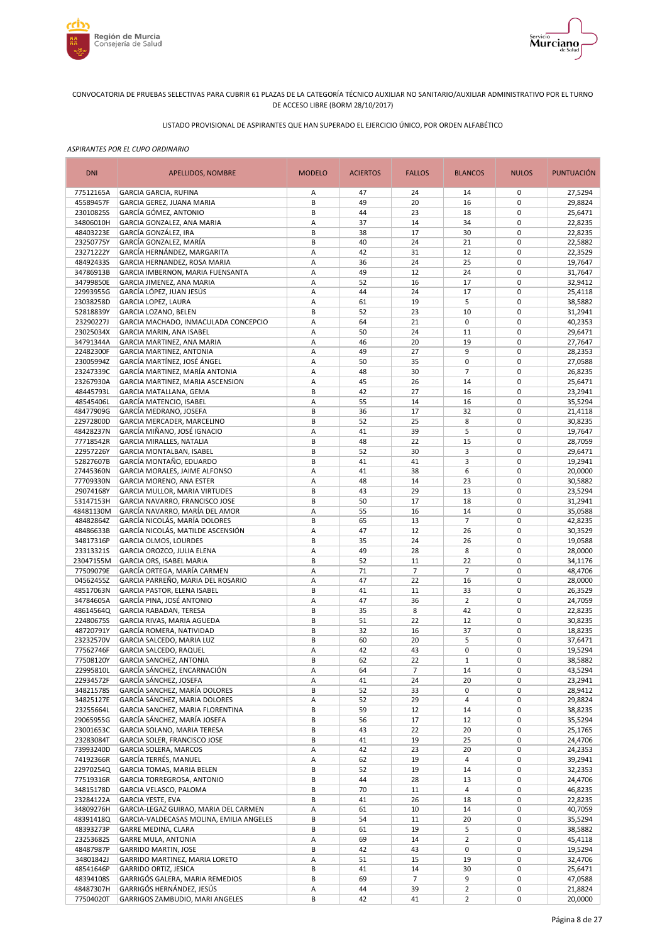



# LISTADO PROVISIONAL DE ASPIRANTES QUE HAN SUPERADO EL EJERCICIO ÚNICO, POR ORDEN ALFABÉTICO

| <b>DNI</b>             | APELLIDOS, NOMBRE                                                | <b>MODELO</b> | <b>ACIERTOS</b> | <b>FALLOS</b>        | <b>BLANCOS</b>                   | <b>NULOS</b>               | <b>PUNTUACIÓN</b>  |
|------------------------|------------------------------------------------------------------|---------------|-----------------|----------------------|----------------------------------|----------------------------|--------------------|
| 77512165A              | <b>GARCIA GARCIA, RUFINA</b>                                     | Α             | 47              | 24                   | 14                               | 0                          | 27,5294            |
| 45589457F              | GARCIA GEREZ, JUANA MARIA                                        | B             | 49              | 20                   | 16                               | $\mathbf 0$                | 29,8824            |
| 23010825S<br>34806010H | GARCÍA GÓMEZ, ANTONIO<br>GARCIA GONZALEZ, ANA MARIA              | B<br>А        | 44<br>37        | 23<br>14             | 18<br>34                         | $\mathbf 0$<br>$\pmb{0}$   | 25,6471<br>22,8235 |
| 48403223E              | GARCÍA GONZÁLEZ, IRA                                             | B             | 38              | 17                   | 30                               | $\mathbf 0$                | 22,8235            |
| 23250775Y              | GARCÍA GONZALEZ, MARÍA                                           | B             | 40              | 24                   | 21                               | $\pmb{0}$                  | 22,5882            |
| 23271222Y              | GARCÍA HERNÁNDEZ, MARGARITA                                      | А             | 42              | 31                   | 12                               | $\mathbf 0$                | 22,3529            |
| 48492433S              | GARCIA HERNANDEZ, ROSA MARIA                                     | Α             | 36              | 24                   | 25                               | $\pmb{0}$                  | 19,7647            |
| 34786913B              | GARCIA IMBERNON, MARIA FUENSANTA                                 | А             | 49              | 12                   | 24                               | $\mathbf 0$                | 31,7647            |
| 34799850E              | GARCIA JIMENEZ, ANA MARIA                                        | Α             | 52              | 16                   | 17                               | $\mathbf 0$                | 32,9412            |
| 22993955G              | GARCÍA LÓPEZ, JUAN JESÚS                                         | Α             | 44              | 24                   | 17                               | $\mathbf 0$                | 25,4118            |
| 23038258D              | <b>GARCIA LOPEZ, LAURA</b>                                       | А             | 61              | 19                   | 5                                | $\mathbf 0$                | 38,5882            |
| 52818839Y              | GARCIA LOZANO, BELEN                                             | B             | 52              | 23                   | 10                               | $\mathbf 0$                | 31,2941            |
| 23290227J              | GARCIA MACHADO, INMACULADA CONCEPCIO                             | А             | 64<br>50        | 21                   | $\mathbf 0$                      | $\mathbf 0$<br>$\mathbf 0$ | 40,2353            |
| 23025034X<br>34791344A | GARCIA MARIN, ANA ISABEL<br>GARCIA MARTINEZ, ANA MARIA           | Α<br>А        | 46              | 24<br>20             | 11<br>19                         | $\mathbf 0$                | 29,6471<br>27,7647 |
| 22482300F              | <b>GARCIA MARTINEZ, ANTONIA</b>                                  | А             | 49              | 27                   | 9                                | $\mathbf 0$                | 28,2353            |
| 23005994Z              | GARCÍA MARTÍNEZ, JOSÉ ÁNGEL                                      | А             | 50              | 35                   | $\pmb{0}$                        | $\mathbf 0$                | 27,0588            |
| 23247339C              | GARCÍA MARTINEZ, MARÍA ANTONIA                                   | Α             | 48              | 30                   | $\overline{7}$                   | $\mathbf 0$                | 26,8235            |
| 23267930A              | GARCIA MARTINEZ, MARIA ASCENSION                                 | A             | 45              | 26                   | 14                               | $\mathbf 0$                | 25,6471            |
| 48445793L              | <b>GARCIA MATALLANA, GEMA</b>                                    | B             | 42              | 27                   | 16                               | $\mathbf 0$                | 23,2941            |
| 48545406L              | GARCÍA MATENCIO, ISABEL                                          | А             | 55              | 14                   | 16                               | $\mathbf 0$                | 35,5294            |
| 48477909G              | GARCÍA MEDRANO, JOSEFA                                           | B             | 36              | 17                   | 32                               | $\mathbf 0$                | 21,4118            |
| 22972800D              | GARCIA MERCADER, MARCELINO                                       | B             | 52              | 25                   | 8                                | $\mathbf 0$                | 30,8235            |
| 48428237N              | GARCÍA MIÑANO, JOSÉ IGNACIO                                      | А             | 41              | 39                   | 5                                | $\mathbf 0$                | 19,7647            |
| 77718542R              | GARCIA MIRALLES, NATALIA                                         | B             | 48              | 22                   | 15                               | $\mathbf 0$                | 28,7059            |
| 22957226Y              | GARCIA MONTALBAN, ISABEL                                         | B             | 52              | 30                   | 3                                | $\mathbf 0$                | 29,6471            |
| 52827607B              | GARCÍA MONTAÑO, EDUARDO                                          | B             | 41              | 41                   | 3                                | $\pmb{0}$                  | 19,2941            |
| 27445360N              | GARCIA MORALES, JAIME ALFONSO<br><b>GARCIA MORENO, ANA ESTER</b> | А             | 41              | 38                   | 6                                | $\pmb{0}$<br>$\mathbf 0$   | 20,0000            |
| 77709330N<br>29074168Y | GARCIA MULLOR, MARIA VIRTUDES                                    | А<br>B        | 48<br>43        | 14<br>29             | 23<br>13                         | $\pmb{0}$                  | 30,5882<br>23,5294 |
| 53147153H              | GARCIA NAVARRO, FRANCISCO JOSE                                   | B             | 50              | 17                   | 18                               | $\mathbf 0$                | 31,2941            |
| 48481130M              | GARCÍA NAVARRO, MARÍA DEL AMOR                                   | А             | 55              | 16                   | 14                               | $\pmb{0}$                  | 35,0588            |
| 48482864Z              | GARCÍA NICOLÁS, MARÍA DOLORES                                    | B             | 65              | 13                   | $\overline{7}$                   | $\mathbf 0$                | 42,8235            |
| 48486633B              | GARCÍA NICOLÁS, MATILDE ASCENSIÓN                                | А             | 47              | 12                   | 26                               | $\mathbf 0$                | 30,3529            |
| 34817316P              | <b>GARCIA OLMOS, LOURDES</b>                                     | B             | 35              | 24                   | 26                               | $\mathbf 0$                | 19,0588            |
| 233133215              | GARCIA OROZCO, JULIA ELENA                                       | А             | 49              | 28                   | 8                                | $\mathbf 0$                | 28,0000            |
| 23047155M              | <b>GARCIA ORS, ISABEL MARIA</b>                                  | B             | 52              | 11                   | 22                               | $\mathbf 0$                | 34,1176            |
| 77509079E              | GARCÍA ORTEGA, MARÍA CARMEN                                      | А             | 71              | $\overline{7}$       | $\overline{7}$                   | $\mathbf 0$                | 48,4706            |
| 04562455Z              | GARCIA PARREÑO, MARIA DEL ROSARIO                                | Α             | 47              | 22                   | 16                               | $\mathbf 0$                | 28,0000            |
| 48517063N              | GARCIA PASTOR, ELENA ISABEL                                      | B             | 41              | 11                   | 33                               | $\mathbf 0$                | 26,3529            |
| 34784605A              | GARCÍA PINA, JOSÉ ANTONIO                                        | Α             | 47              | 36                   | $\overline{2}$                   | $\mathbf 0$                | 24,7059            |
| 48614564Q<br>22480675S | GARCIA RABADAN, TERESA                                           | B<br>B        | 35<br>51        | 8<br>22              | 42<br>12                         | $\mathbf 0$<br>$\mathbf 0$ | 22,8235            |
| 48720791Y              | GARCIA RIVAS, MARIA AGUEDA<br>GARCÍA ROMERA, NATIVIDAD           | B             | 32              | 16                   | 37                               | $\mathbf 0$                | 30,8235<br>18,8235 |
| 23232570V              | GARCIA SALCEDO, MARIA LUZ                                        | В             | 60              | 20                   | 5                                | $\mathbf 0$                | 37,6471            |
| 77562746F              | <b>GARCIA SALCEDO, RAQUEL</b>                                    | Α             | 42              | 43                   | $\pmb{0}$                        | $\mathbf 0$                | 19,5294            |
| 77508120Y              | <b>GARCIA SANCHEZ, ANTONIA</b>                                   | B             | 62              | 22                   | $\mathbf{1}$                     | $\mathbf 0$                | 38,5882            |
| 22995810L              | GARCÍA SÁNCHEZ, ENCARNACIÓN                                      | Α             | 64              | $\overline{7}$       | 14                               | 0                          | 43,5294            |
| 22934572F              | GARCÍA SÁNCHEZ, JOSEFA                                           | А             | 41              | 24                   | 20                               | $\pmb{0}$                  | 23,2941            |
| 34821578S              | GARCÍA SANCHEZ, MARÍA DOLORES                                    | B             | 52              | 33                   | 0                                | 0                          | 28,9412            |
| 34825127E              | GARCÍA SÁNCHEZ, MARIA DOLORES                                    | Α             | 52              | 29                   | $\overline{\mathbf{4}}$          | $\pmb{0}$                  | 29,8824            |
| 23255664L              | GARCIA SANCHEZ, MARIA FLORENTINA                                 | В             | 59              | 12                   | 14                               | $\pmb{0}$                  | 38,8235            |
| 29065955G              | GARCÍA SÁNCHEZ, MARÍA JOSEFA                                     | В             | 56              | 17                   | 12                               | $\pmb{0}$                  | 35,5294            |
| 23001653C              | GARCIA SOLANO, MARIA TERESA                                      | В             | 43              | 22                   | 20                               | 0                          | 25,1765            |
| 23283084T              | GARCIA SOLER, FRANCISCO JOSE                                     | В             | 41              | 19                   | 25                               | $\pmb{0}$                  | 24,4706            |
| 73993240D<br>74192366R | GARCIA SOLERA, MARCOS<br>GARCÍA TERRÉS, MANUEL                   | Α<br>Α        | 42<br>62        | 23<br>19             | 20<br>4                          | $\pmb{0}$<br>$\pmb{0}$     | 24,2353<br>39,2941 |
| 22970254Q              | GARCIA TOMAS, MARIA BELEN                                        | В             | 52              | 19                   | 14                               | $\pmb{0}$                  | 32,2353            |
| 77519316R              | GARCIA TORREGROSA, ANTONIO                                       | В             | 44              | 28                   | 13                               | $\pmb{0}$                  | 24,4706            |
| 34815178D              | GARCIA VELASCO, PALOMA                                           | B             | 70              | 11                   | 4                                | 0                          | 46,8235            |
| 23284122A              | <b>GARCIA YESTE, EVA</b>                                         | В             | 41              | 26                   | 18                               | $\pmb{0}$                  | 22,8235            |
| 34809276H              | GARCIA-LEGAZ GUIRAO, MARIA DEL CARMEN                            | Α             | 61              | 10                   | 14                               | 0                          | 40,7059            |
| 48391418Q              | GARCIA-VALDECASAS MOLINA, EMILIA ANGELES                         | В             | 54              | 11                   | 20                               | 0                          | 35,5294            |
| 48393273P              | GARRE MEDINA, CLARA                                              | B             | 61              | 19                   | 5                                | $\mathbf 0$                | 38,5882            |
| 23253682S              | <b>GARRE MULA, ANTONIA</b>                                       | А             | 69              | 14                   | $\overline{2}$                   | $\pmb{0}$                  | 45,4118            |
| 48487987P              | <b>GARRIDO MARTIN, JOSE</b>                                      | В             | 42              | 43                   | 0                                | $\pmb{0}$                  | 19,5294            |
| 34801842J              | GARRIDO MARTINEZ, MARIA LORETO                                   | А             | 51              | 15                   | 19                               | $\pmb{0}$                  | 32,4706            |
| 48541646P              | <b>GARRIDO ORTIZ, JESICA</b>                                     | В             | 41              | 14                   | 30                               | $\pmb{0}$                  | 25,6471            |
| 48394108S<br>48487307H | GARRIGÓS GALERA, MARIA REMEDIOS<br>GARRIGÓS HERNÁNDEZ, JESÚS     | B             | 69              | $\overline{7}$<br>39 | 9                                | $\pmb{0}$<br>$\pmb{0}$     | 47,0588            |
| 77504020T              | GARRIGOS ZAMBUDIO, MARI ANGELES                                  | Α<br>В        | 44<br>42        | 41                   | $\overline{2}$<br>$\overline{2}$ | 0                          | 21,8824<br>20,0000 |
|                        |                                                                  |               |                 |                      |                                  |                            |                    |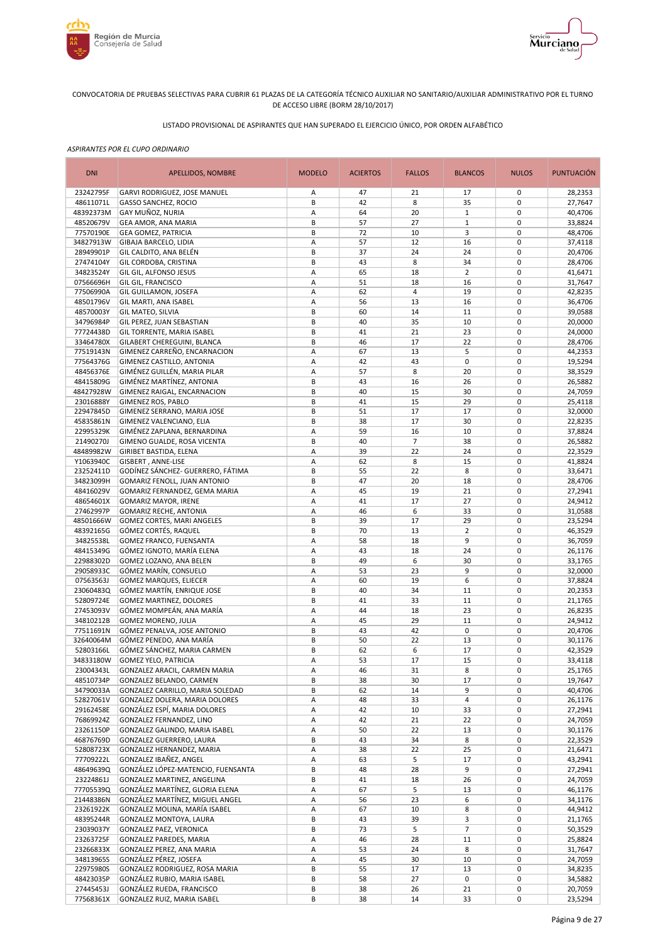



# LISTADO PROVISIONAL DE ASPIRANTES QUE HAN SUPERADO EL EJERCICIO ÚNICO, POR ORDEN ALFABÉTICO

| <b>DNI</b>             | <b>APELLIDOS, NOMBRE</b>                                      | <b>MODELO</b> | <b>ACIERTOS</b> | <b>FALLOS</b>  | <b>BLANCOS</b>          | <b>NULOS</b>               | <b>PUNTUACIÓN</b>  |
|------------------------|---------------------------------------------------------------|---------------|-----------------|----------------|-------------------------|----------------------------|--------------------|
| 23242795F              | GARVI RODRIGUEZ, JOSE MANUEL                                  | Α             | 47              | 21             | 17                      | 0                          | 28,2353            |
| 48611071L              | <b>GASSO SANCHEZ, ROCIO</b>                                   | B             | 42              | 8              | 35                      | $\mathbf 0$                | 27,7647            |
| 48392373M              | GAY MUÑOZ, NURIA                                              | А             | 64              | 20             | $\mathbf{1}$            | $\mathbf 0$                | 40,4706            |
| 48520679V<br>77570190E | GEA AMOR, ANA MARIA<br><b>GEA GOMEZ, PATRICIA</b>             | В<br>В        | 57<br>72        | 27<br>10       | $\mathbf 1$<br>3        | $\mathbf 0$<br>$\mathbf 0$ | 33,8824<br>48,4706 |
| 34827913W              | GIBAJA BARCELO, LIDIA                                         | А             | 57              | 12             | 16                      | $\mathbf 0$                | 37,4118            |
| 28949901P              | GIL CALDITO, ANA BELÉN                                        | B             | 37              | 24             | 24                      | $\mathbf 0$                | 20,4706            |
| 27474104Y              | GIL CORDOBA, CRISTINA                                         | B             | 43              | 8              | 34                      | $\mathbf 0$                | 28,4706            |
| 34823524Y              | GIL GIL, ALFONSO JESUS                                        | А             | 65              | 18             | $\overline{2}$          | $\mathbf 0$                | 41,6471            |
| 07566696H              | GIL GIL, FRANCISCO                                            | А             | 51              | 18             | 16                      | $\mathbf 0$                | 31,7647            |
| 77506990A              | GIL GUILLAMON, JOSEFA                                         | А             | 62              | $\overline{4}$ | 19                      | $\mathbf 0$                | 42,8235            |
| 48501796V              | GIL MARTI, ANA ISABEL                                         | Α             | 56              | 13             | 16                      | $\mathbf 0$                | 36,4706            |
| 48570003Y              | <b>GIL MATEO, SILVIA</b>                                      | B             | 60              | 14             | 11                      | $\mathbf 0$                | 39,0588            |
| 34796984P              | GIL PEREZ, JUAN SEBASTIAN                                     | B             | 40              | 35             | 10                      | $\mathbf 0$<br>$\mathbf 0$ | 20,0000            |
| 77724438D<br>33464780X | GIL TORRENTE, MARIA ISABEL<br>GILABERT CHEREGUINI, BLANCA     | B<br>B        | 41<br>46        | 21<br>17       | 23<br>22                | $\mathbf 0$                | 24,0000<br>28,4706 |
| 77519143N              | GIMENEZ CARREÑO, ENCARNACION                                  | Α             | 67              | 13             | 5                       | $\mathbf 0$                | 44,2353            |
| 77564376G              | GIMENEZ CASTILLO, ANTONIA                                     | А             | 42              | 43             | $\pmb{0}$               | $\mathbf 0$                | 19,5294            |
| 48456376E              | GIMÉNEZ GUILLÉN, MARIA PILAR                                  | Α             | 57              | 8              | 20                      | $\mathbf 0$                | 38,3529            |
| 48415809G              | GIMÉNEZ MARTÍNEZ, ANTONIA                                     | B             | 43              | 16             | 26                      | $\mathbf 0$                | 26,5882            |
| 48427928W              | GIMENEZ RAIGAL, ENCARNACION                                   | B             | 40              | 15             | 30                      | $\mathbf 0$                | 24,7059            |
| 23016888Y              | <b>GIMENEZ ROS, PABLO</b>                                     | B             | 41              | 15             | 29                      | $\mathbf 0$                | 25,4118            |
| 22947845D              | GIMENEZ SERRANO, MARIA JOSE                                   | B             | 51              | 17             | 17                      | $\mathbf 0$                | 32,0000            |
| 45835861N              | GIMENEZ VALENCIANO, ELIA                                      | B             | 38              | 17             | 30                      | $\mathbf 0$                | 22,8235            |
| 22995329K              | GIMÉNEZ ZAPLANA, BERNARDINA                                   | A             | 59              | 16             | 10                      | $\mathbf 0$                | 37,8824            |
| 21490270J              | GIMENO GUALDE, ROSA VICENTA                                   | B             | 40              | $\overline{7}$ | 38                      | $\mathbf 0$                | 26,5882            |
| 48489982W              | <b>GIRIBET BASTIDA, ELENA</b>                                 | А             | 39              | 22             | 24                      | $\pmb{0}$                  | 22,3529            |
| Y1063940C              | GISBERT, ANNE-LISE                                            | А             | 62              | 8              | 15                      | $\mathbf 0$                | 41,8824            |
| 23252411D              | GODÍNEZ SÁNCHEZ- GUERRERO, FÁTIMA                             | B<br>B        | 55<br>47        | 22             | 8                       | $\mathbf 0$<br>$\mathbf 0$ | 33,6471            |
| 34823099H<br>48416029V | GOMARIZ FENOLL, JUAN ANTONIO<br>GOMARIZ FERNANDEZ, GEMA MARIA | А             | 45              | 20<br>19       | 18<br>21                | $\pmb{0}$                  | 28,4706<br>27,2941 |
| 48654601X              | <b>GOMARIZ MAYOR, IRENE</b>                                   | Α             | 41              | 17             | 27                      | $\mathbf 0$                | 24,9412            |
| 27462997P              | <b>GOMARIZ RECHE, ANTONIA</b>                                 | Α             | 46              | 6              | 33                      | $\mathbf 0$                | 31,0588            |
| 48501666W              | GOMEZ CORTES, MARI ANGELES                                    | B             | 39              | 17             | 29                      | $\mathbf 0$                | 23,5294            |
| 48392165G              | GÓMEZ CORTÉS, RAQUEL                                          | B             | 70              | 13             | $\overline{2}$          | $\mathbf 0$                | 46,3529            |
| 34825538L              | GOMEZ FRANCO, FUENSANTA                                       | Α             | 58              | 18             | 9                       | $\mathbf 0$                | 36,7059            |
| 48415349G              | GÓMEZ IGNOTO, MARÍA ELENA                                     | Α             | 43              | 18             | 24                      | $\mathbf 0$                | 26,1176            |
| 22988302D              | GOMEZ LOZANO, ANA BELEN                                       | B             | 49              | 6              | 30                      | $\mathbf 0$                | 33,1765            |
| 29058933C              | GÓMEZ MARÍN, CONSUELO                                         | А             | 53              | 23             | 9                       | $\mathbf 0$                | 32,0000            |
| 07563563J              | <b>GOMEZ MARQUES, ELIECER</b>                                 | Α             | 60              | 19             | 6                       | $\mathbf 0$                | 37,8824            |
| 23060483Q              | GÓMEZ MARTÍN, ENRIQUE JOSE                                    | B             | 40              | 34             | 11                      | $\mathbf 0$                | 20,2353            |
| 52809724E              | <b>GOMEZ MARTINEZ, DOLORES</b>                                | B             | 41              | 33             | 11                      | $\mathbf 0$                | 21,1765            |
| 27453093V<br>34810212B | GÓMEZ MOMPEÁN, ANA MARÍA<br><b>GOMEZ MORENO, JULIA</b>        | A<br>Α        | 44<br>45        | 18<br>29       | 23<br>11                | $\mathbf 0$<br>$\mathbf 0$ | 26,8235<br>24,9412 |
| 77511691N              | GÓMEZ PENALVA, JOSE ANTONIO                                   | B             | 43              | 42             | $\pmb{0}$               | $\mathbf 0$                | 20,4706            |
| 32640064M              | GÓMEZ PENEDO, ANA MARÍA                                       | B             | 50              | 22             | 13                      | $\mathbf 0$                | 30,1176            |
| 52803166L              | GÓMEZ SÁNCHEZ, MARIA CARMEN                                   | B             | 62              | 6              | 17                      | $\mathbf 0$                | 42,3529            |
| 34833180W              | <b>GOMEZ YELO, PATRICIA</b>                                   | A             | 53              | 17             | 15                      | $\mathbf 0$                | 33,4118            |
| 23004343L              | GONZALEZ ARACIL, CARMEN MARIA                                 | Α             | 46              | 31             | 8                       | 0                          | 25,1765            |
| 48510734P              | GONZALEZ BELANDO, CARMEN                                      | В             | 38              | 30             | 17                      | 0                          | 19,7647            |
| 34790033A              | GONZALEZ CARRILLO, MARIA SOLEDAD                              | В             | 62              | 14             | 9                       | 0                          | 40,4706            |
| 52827061V              | GONZALEZ DOLERA, MARIA DOLORES                                | Α             | 48              | 33             | $\overline{\mathbf{4}}$ | 0                          | 26,1176            |
| 29162458E              | GONZÁLEZ ESPÍ, MARIA DOLORES                                  | А             | 42              | 10             | 33                      | 0                          | 27,2941            |
| 76869924Z              | GONZALEZ FERNANDEZ, LINO                                      | Α             | 42              | 21             | 22                      | 0                          | 24,7059            |
| 23261150P              | GONZALEZ GALINDO, MARIA ISABEL                                | Α             | 50              | 22             | 13                      | 0                          | 30,1176            |
| 46876769D              | <b>GONZALEZ GUERRERO, LAURA</b>                               | В             | 43              | 34<br>22       | 8                       | 0<br>$\pmb{0}$             | 22,3529<br>21,6471 |
| 52808723X<br>77709222L | GONZALEZ HERNANDEZ, MARIA<br>GONZALEZ IBAÑEZ, ANGEL           | Α<br>Α        | 38<br>63        | 5              | 25<br>17                | 0                          | 43,2941            |
| 48649639Q              | GONZÁLEZ LÓPEZ-MATENCIO, FUENSANTA                            | B             | 48              | 28             | 9                       | $\pmb{0}$                  | 27,2941            |
| 23224861J              | GONZALEZ MARTINEZ, ANGELINA                                   | В             | 41              | 18             | 26                      | 0                          | 24,7059            |
| 77705539Q              | GONZÁLEZ MARTÍNEZ, GLORIA ELENA                               | Α             | 67              | 5              | 13                      | $\mathbf 0$                | 46,1176            |
| 21448386N              | GONZÁLEZ MARTÍNEZ, MIGUEL ANGEL                               | А             | 56              | 23             | 6                       | 0                          | 34,1176            |
| 23261922K              | GONZALEZ MOLINA, MARÍA ISABEL                                 | А             | 67              | 10             | 8                       | 0                          | 44,9412            |
| 48395244R              | GONZALEZ MONTOYA, LAURA                                       | В             | 43              | 39             | 3                       | $\pmb{0}$                  | 21,1765            |
| 23039037Y              | GONZALEZ PAEZ, VERONICA                                       | В             | 73              | 5              | $\overline{7}$          | $\pmb{0}$                  | 50,3529            |
| 23263725F              | GONZALEZ PAREDES, MARIA                                       | Α             | 46              | 28             | 11                      | $\pmb{0}$                  | 25,8824            |
| 23266833X              | GONZALEZ PEREZ, ANA MARIA                                     | Α             | 53              | 24             | 8                       | $\pmb{0}$                  | 31,7647            |
| 34813965S              | GONZÁLEZ PÉREZ, JOSEFA                                        | А             | 45              | 30             | 10                      | $\pmb{0}$                  | 24,7059            |
| 22975980S              | GONZALEZ RODRIGUEZ, ROSA MARIA                                | В             | 55              | 17             | 13                      | $\pmb{0}$                  | 34,8235            |
| 48423035P              | GONZÁLEZ RUBIO, MARIA ISABEL<br>GONZÁLEZ RUEDA, FRANCISCO     | B<br>В        | 58              | 27<br>26       | 0                       | 0<br>$\pmb{0}$             | 34,5882            |
| 27445453J<br>77568361X | GONZALEZ RUIZ, MARIA ISABEL                                   | B             | 38<br>38        | 14             | 21<br>33                | 0                          | 20,7059<br>23,5294 |
|                        |                                                               |               |                 |                |                         |                            |                    |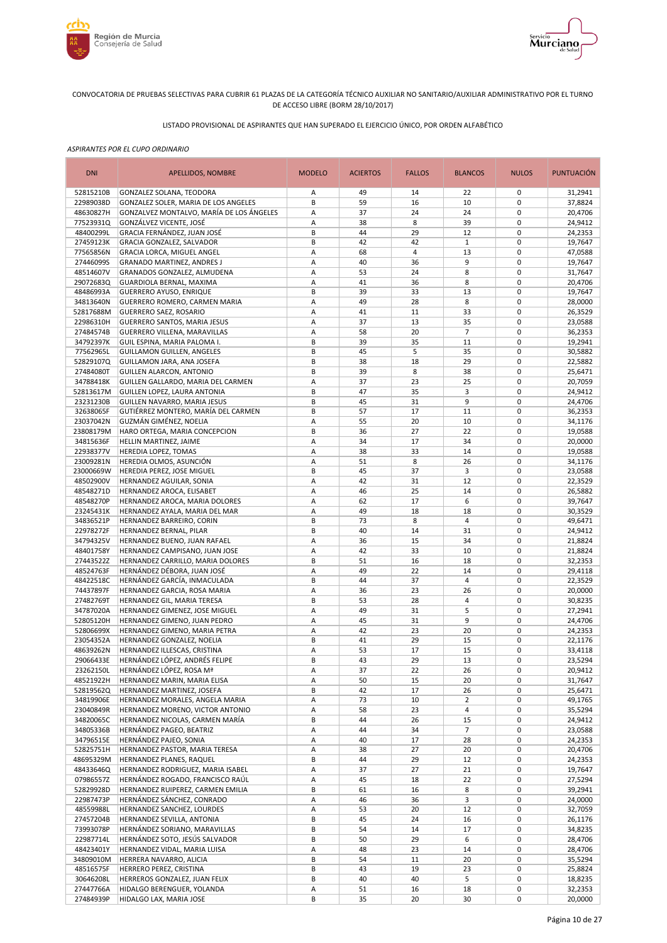



# LISTADO PROVISIONAL DE ASPIRANTES QUE HAN SUPERADO EL EJERCICIO ÚNICO, POR ORDEN ALFABÉTICO

| <b>DNI</b>             | <b>APELLIDOS, NOMBRE</b>                                            | <b>MODELO</b> | <b>ACIERTOS</b> | <b>FALLOS</b>  | <b>BLANCOS</b>       | <b>NULOS</b>               | <b>PUNTUACIÓN</b>  |
|------------------------|---------------------------------------------------------------------|---------------|-----------------|----------------|----------------------|----------------------------|--------------------|
| 52815210B              | GONZALEZ SOLANA, TEODORA                                            | Α             | 49              | 14             | 22                   | 0                          | 31,2941            |
| 22989038D              | GONZALEZ SOLER, MARIA DE LOS ANGELES                                | B             | 59              | 16             | 10                   | 0                          | 37,8824            |
| 48630827H              | GONZALVEZ MONTALVO, MARÍA DE LOS ÁNGELES                            | Α             | 37              | 24             | 24                   | 0                          | 20,4706            |
| 77523931Q<br>48400299L | GONZÁLVEZ VICENTE, JOSÉ<br>GRACIA FERNÁNDEZ, JUAN JOSÉ              | Α<br>B        | 38<br>44        | 8<br>29        | 39<br>12             | 0<br>$\mathbf 0$           | 24,9412<br>24,2353 |
| 27459123K              | GRACIA GONZALEZ, SALVADOR                                           | В             | 42              | 42             | $\mathbf{1}$         | 0                          | 19,7647            |
| 77565856N              | GRACIA LORCA, MIGUEL ANGEL                                          | Α             | 68              | $\overline{4}$ | 13                   | $\mathbf 0$                | 47,0588            |
| 27446099S              | <b>GRANADO MARTINEZ, ANDRES J</b>                                   | Α             | 40              | 36             | 9                    | 0                          | 19,7647            |
| 48514607V              | GRANADOS GONZALEZ, ALMUDENA                                         | Α             | 53              | 24             | 8                    | $\mathbf 0$                | 31,7647            |
| 29072683Q              | GUARDIOLA BERNAL, MAXIMA                                            | Α             | 41              | 36             | 8                    | $\mathbf 0$                | 20,4706            |
| 48486993A              | <b>GUERRERO AYUSO, ENRIQUE</b>                                      | B             | 39              | 33             | 13                   | $\mathbf 0$                | 19,7647            |
| 34813640N              | GUERRERO ROMERO, CARMEN MARIA                                       | Α             | 49              | 28             | 8                    | $\mathbf 0$<br>$\mathbf 0$ | 28,0000            |
| 52817688M<br>22986310H | <b>GUERRERO SAEZ, ROSARIO</b><br>GUERRERO SANTOS, MARIA JESUS       | Α<br>Α        | 41<br>37        | 11<br>13       | 33<br>35             | $\mathbf 0$                | 26,3529<br>23,0588 |
| 27484574B              | GUERRERO VILLENA, MARAVILLAS                                        | Α             | 58              | 20             | $\overline{7}$       | $\mathbf 0$                | 36,2353            |
| 34792397K              | GUIL ESPINA, MARIA PALOMA I.                                        | B             | 39              | 35             | 11                   | $\mathbf 0$                | 19,2941            |
| 77562965L              | <b>GUILLAMON GUILLEN, ANGELES</b>                                   | B             | 45              | 5              | 35                   | $\mathbf 0$                | 30,5882            |
| 52829107Q              | GUILLAMON JARA, ANA JOSEFA                                          | B             | 38              | 18             | 29                   | $\mathbf 0$                | 22,5882            |
| 27484080T              | <b>GUILLEN ALARCON, ANTONIO</b>                                     | B             | 39              | 8              | 38                   | $\mathbf 0$                | 25,6471            |
| 34788418K              | GUILLEN GALLARDO, MARIA DEL CARMEN                                  | Α             | 37              | 23             | 25                   | $\mathbf 0$                | 20,7059            |
| 52813617M              | GUILLEN LOPEZ, LAURA ANTONIA                                        | B<br>B        | 47<br>45        | 35<br>31       | 3<br>9               | $\mathbf 0$<br>$\mathbf 0$ | 24,9412<br>24,4706 |
| 23231230B<br>32638065F | GUILLEN NAVARRO, MARIA JESUS<br>GUTIÉRREZ MONTERO, MARÍA DEL CARMEN | B             | 57              | 17             | 11                   | 0                          | 36,2353            |
| 23037042N              | GUZMÁN GIMÉNEZ, NOELIA                                              | A             | 55              | 20             | 10                   | $\mathbf 0$                | 34,1176            |
| 23808179M              | HARO ORTEGA, MARIA CONCEPCION                                       | B             | 36              | 27             | 22                   | 0                          | 19,0588            |
| 34815636F              | HELLIN MARTINEZ, JAIME                                              | Α             | 34              | 17             | 34                   | $\mathbf 0$                | 20,0000            |
| 22938377V              | HEREDIA LOPEZ, TOMAS                                                | Α             | 38              | 33             | 14                   | 0                          | 19,0588            |
| 23009281N              | HEREDIA OLMOS, ASUNCIÓN                                             | Α             | 51              | 8              | 26                   | $\pmb{0}$                  | 34,1176            |
| 23000669W              | HEREDIA PEREZ, JOSE MIGUEL                                          | В             | 45              | 37             | 3                    | 0                          | 23,0588            |
| 48502900V              | HERNANDEZ AGUILAR, SONIA                                            | Α             | 42              | 31             | 12                   | $\mathbf 0$                | 22,3529            |
| 48548271D<br>48548270P | HERNANDEZ AROCA, ELISABET<br>HERNANDEZ AROCA, MARIA DOLORES         | Α<br>Α        | 46<br>62        | 25<br>17       | 14<br>6              | 0<br>$\mathbf 0$           | 26,5882<br>39,7647 |
| 23245431K              | HERNANDEZ AYALA, MARIA DEL MAR                                      | Α             | 49              | 18             | 18                   | 0                          | 30,3529            |
| 34836521P              | HERNANDEZ BARREIRO, CORIN                                           | B             | 73              | 8              | 4                    | $\mathbf 0$                | 49,6471            |
| 22978272F              | HERNANDEZ BERNAL, PILAR                                             | B             | 40              | 14             | 31                   | $\mathbf 0$                | 24,9412            |
| 34794325V              | HERNANDEZ BUENO, JUAN RAFAEL                                        | Α             | 36              | 15             | 34                   | $\mathbf 0$                | 21,8824            |
| 48401758Y              | HERNANDEZ CAMPISANO, JUAN JOSE                                      | Α             | 42              | 33             | 10                   | $\mathbf 0$                | 21,8824            |
| 27443522Z              | HERNANDEZ CARRILLO, MARIA DOLORES                                   | B             | 51              | 16             | 18                   | $\mathbf 0$                | 32,2353            |
| 48524763F<br>48422518C | HERNÁNDEZ DÉBORA, JUAN JOSÉ<br>HERNÁNDEZ GARCÍA, INMACULADA         | А<br>B        | 49<br>44        | 22<br>37       | 14<br>$\overline{4}$ | $\mathbf 0$<br>$\mathbf 0$ | 29,4118<br>22,3529 |
| 74437897F              | HERNANDEZ GARCIA, ROSA MARIA                                        | Α             | 36              | 23             | 26                   | $\mathbf 0$                | 20,0000            |
| 27482769T              | HERNANDEZ GIL, MARIA TERESA                                         | B             | 53              | 28             | 4                    | $\mathbf 0$                | 30,8235            |
| 34787020A              | HERNANDEZ GIMENEZ, JOSE MIGUEL                                      | А             | 49              | 31             | 5                    | $\mathbf 0$                | 27,2941            |
| 52805120H              | HERNANDEZ GIMENO, JUAN PEDRO                                        | Α             | 45              | 31             | 9                    | $\mathbf 0$                | 24,4706            |
| 52806699X              | HERNANDEZ GIMENO, MARIA PETRA                                       | Α             | 42              | 23             | 20                   | $\mathbf 0$                | 24,2353            |
| 23054352A              | HERNANDEZ GONZALEZ, NOELIA                                          | B             | 41              | 29             | 15                   | 0                          | 22,1176            |
| 48639262N<br>29066433E | HERNANDEZ ILLESCAS, CRISTINA<br>HERNÁNDEZ LÓPEZ, ANDRÉS FELIPE      | Α<br>B        | 53<br>43        | 17<br>29       | 15<br>13             | $\mathbf 0$<br>$\mathbf 0$ | 33,4118<br>23,5294 |
| 23262150L              | HERNÁNDEZ LÓPEZ, ROSA Mª                                            | Α             | 37              | 22             | 26                   | 0                          | 20,9412            |
| 48521922H              | HERNANDEZ MARIN, MARIA ELISA                                        | A             | 50              | 15             | 20                   | 0                          | 31,7647            |
| 52819562Q              | HERNANDEZ MARTINEZ, JOSEFA                                          | B             | 42              | 17             | 26                   | 0                          | 25,6471            |
| 34819906E              | HERNANDEZ MORALES, ANGELA MARIA                                     | Α             | 73              | 10             | $\overline{2}$       | 0                          | 49,1765            |
| 23040849R              | HERNANDEZ MORENO, VICTOR ANTONIO                                    | Α             | 58              | 23             | 4                    | 0                          | 35,5294            |
| 34820065C              | HERNANDEZ NICOLAS, CARMEN MARÍA                                     | В             | 44              | 26             | 15                   | 0                          | 24,9412            |
| 34805336B<br>34796515E | HERNÁNDEZ PAGEO, BEATRIZ<br>HERNÁNDEZ PAJEO, SONIA                  | Α             | 44<br>40        | 34             | $\overline{7}$       | 0<br>0                     | 23,0588<br>24,2353 |
| 52825751H              | HERNANDEZ PASTOR, MARIA TERESA                                      | Α<br>Α        | 38              | 17<br>27       | 28<br>20             | 0                          | 20,4706            |
| 48695329M              | HERNANDEZ PLANES, RAQUEL                                            | В             | 44              | 29             | 12                   | 0                          | 24,2353            |
| 48433646Q              | HERNANDEZ RODRIGUEZ, MARIA ISABEL                                   | Α             | 37              | 27             | 21                   | 0                          | 19,7647            |
| 07986557Z              | HERNÁNDEZ ROGADO, FRANCISCO RAÚL                                    | Α             | 45              | 18             | 22                   | 0                          | 27,5294            |
| 52829928D              | HERNANDEZ RUIPEREZ, CARMEN EMILIA                                   | B             | 61              | 16             | 8                    | 0                          | 39,2941            |
| 22987473P              | HERNÁNDEZ SÁNCHEZ, CONRADO                                          | Α             | 46              | 36             | 3                    | 0                          | 24,0000            |
| 48559988L              | HERNANDEZ SANCHEZ, LOURDES                                          | Α             | 53              | 20             | 12                   | 0<br>0                     | 32,7059            |
| 27457204B<br>73993078P | HERNANDEZ SEVILLA, ANTONIA<br>HERNÁNDEZ SORIANO, MARAVILLAS         | В<br>B        | 45<br>54        | 24<br>14       | 16<br>17             | 0                          | 26,1176<br>34,8235 |
| 22987714L              | HERNÁNDEZ SOTO, JESÚS SALVADOR                                      | B             | 50              | 29             | 6                    | 0                          | 28,4706            |
| 48423401Y              | HERNANDEZ VIDAL, MARIA LUISA                                        | Α             | 48              | 23             | 14                   | 0                          | 28,4706            |
| 34809010M              | HERRERA NAVARRO, ALICIA                                             | B             | 54              | 11             | 20                   | 0                          | 35,5294            |
| 48516575F              | HERRERO PEREZ, CRISTINA                                             | В             | 43              | 19             | 23                   | 0                          | 25,8824            |
| 30646208L              | HERREROS GONZALEZ, JUAN FELIX                                       | B             | 40              | 40             | 5                    | 0                          | 18,8235            |
| 27447766A              | HIDALGO BERENGUER, YOLANDA                                          | Α             | 51              | 16             | 18                   | 0                          | 32,2353            |
| 27484939P              | HIDALGO LAX, MARIA JOSE                                             | В             | 35              | 20             | 30                   | 0                          | 20,0000            |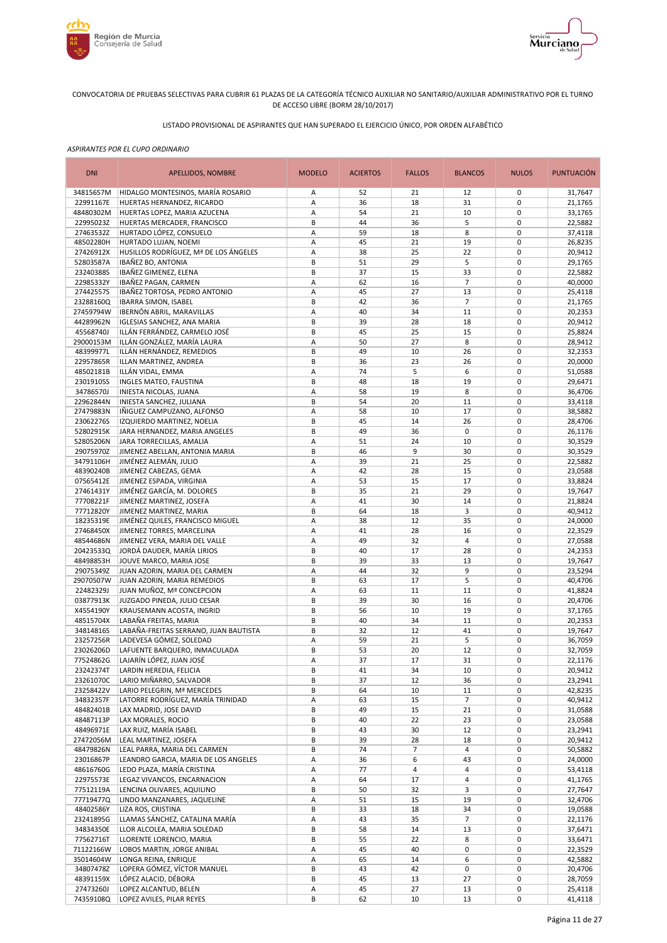



# LISTADO PROVISIONAL DE ASPIRANTES QUE HAN SUPERADO EL EJERCICIO ÚNICO, POR ORDEN ALFABÉTICO

| <b>DNI</b>             | APELLIDOS, NOMBRE                                                   | <b>MODELO</b> | <b>ACIERTOS</b> | <b>FALLOS</b>  | <b>BLANCOS</b>       | <b>NULOS</b>               | PUNTUACIÓN         |
|------------------------|---------------------------------------------------------------------|---------------|-----------------|----------------|----------------------|----------------------------|--------------------|
| 34815657M              | HIDALGO MONTESINOS, MARÍA ROSARIO                                   | Α             | 52              | 21             | 12                   | 0                          | 31,7647            |
| 22991167E              | HUERTAS HERNANDEZ, RICARDO                                          | A             | 36              | 18             | 31                   | $\mathbf 0$                | 21,1765            |
| 48480302M              | HUERTAS LOPEZ, MARIA AZUCENA                                        | A             | 54              | 21             | 10                   | 0                          | 33,1765            |
| 22995023Z<br>27463532Z | HUERTAS MERCADER, FRANCISCO<br>HURTADO LÓPEZ, CONSUELO              | B<br>A        | 44<br>59        | 36<br>18       | 5<br>8               | 0<br>$\mathbf 0$           | 22,5882<br>37,4118 |
| 48502280H              | HURTADO LUJAN, NOEMI                                                | Α             | 45              | 21             | 19                   | 0                          | 26,8235            |
| 27426912X              | HUSILLOS RODRÍGUEZ, Mª DE LOS ÁNGELES                               | A             | 38              | 25             | 22                   | $\mathbf 0$                | 20,9412            |
| 52803587A              | IBAÑEZ BO, ANTONIA                                                  | B             | 51              | 29             | 5                    | 0                          | 29,1765            |
| 23240388S              | IBAÑEZ GIMENEZ, ELENA                                               | B             | 37              | 15             | 33                   | $\mathbf 0$                | 22,5882            |
| 22985332Y              | IBAÑEZ PAGAN, CARMEN                                                | Α             | 62              | 16             | $\overline{7}$       | 0                          | 40,0000            |
| 27442557S              | IBAÑEZ TORTOSA, PEDRO ANTONIO                                       | A             | 45              | 27             | 13                   | $\mathbf 0$                | 25,4118            |
| 23288160Q              | <b>IBARRA SIMON, ISABEL</b>                                         | B             | 42              | 36             | $\overline{7}$       | $\mathbf 0$                | 21,1765            |
| 27459794W              | IBERNÓN ABRIL, MARAVILLAS                                           | Α             | 40              | 34             | 11<br>18             | $\mathbf 0$<br>$\mathbf 0$ | 20,2353            |
| 44289962N<br>45568740J | <b>IGLESIAS SANCHEZ, ANA MARIA</b><br>ILLÁN FERRÁNDEZ, CARMELO JOSÉ | B<br>B        | 39<br>45        | 28<br>25       | 15                   | $\mathbf 0$                | 20,9412<br>25,8824 |
| 29000153M              | ILLÁN GONZÁLEZ, MARÍA LAURA                                         | Α             | 50              | 27             | 8                    | $\mathbf 0$                | 28,9412            |
| 48399977L              | ILLÁN HERNÁNDEZ, REMEDIOS                                           | B             | 49              | 10             | 26                   | $\mathbf 0$                | 32,2353            |
| 22957865R              | ILLAN MARTINEZ, ANDREA                                              | B             | 36              | 23             | 26                   | $\mathbf 0$                | 20,0000            |
| 48502181B              | ILLÁN VIDAL, EMMA                                                   | Α             | 74              | 5              | 6                    | $\mathbf 0$                | 51,0588            |
| 23019105S              | INGLES MATEO, FAUSTINA                                              | B             | 48              | 18             | 19                   | $\mathbf 0$                | 29,6471            |
| 34786570J              | INIESTA NICOLAS, JUANA                                              | Α             | 58              | 19             | 8                    | $\mathbf 0$                | 36,4706            |
| 22962844N              | INIESTA SANCHEZ, JULIANA                                            | B             | 54              | 20             | 11                   | $\mathbf 0$                | 33,4118            |
| 27479883N              | IÑIGUEZ CAMPUZANO, ALFONSO                                          | A             | 58              | 10             | 17                   | 0                          | 38,5882            |
| 23062276S              | IZQUIERDO MARTINEZ, NOELIA                                          | B             | 45              | 14             | 26                   | $\mathbf 0$                | 28,4706            |
| 52802915K<br>52805206N | JARA HERNANDEZ, MARIA ANGELES<br>JARA TORRECILLAS, AMALIA           | B<br>A        | 49<br>51        | 36<br>24       | 0<br>10              | 0<br>$\mathbf 0$           | 26,1176<br>30,3529 |
| 29075970Z              | JIMENEZ ABELLAN, ANTONIA MARIA                                      | B             | 46              | 9              | 30                   | $\mathbf 0$                | 30,3529            |
| 34791106H              | JIMÉNEZ ALEMÁN, JULIO                                               | A             | 39              | 21             | 25                   | $\pmb{0}$                  | 22,5882            |
| 48390240B              | JIMENEZ CABEZAS, GEMA                                               | Α             | 42              | 28             | 15                   | 0                          | 23,0588            |
| 07565412E              | JIMENEZ ESPADA, VIRGINIA                                            | A             | 53              | 15             | 17                   | $\mathbf 0$                | 33,8824            |
| 27461431Y              | JIMÉNEZ GARCÍA, M. DOLORES                                          | B             | 35              | 21             | 29                   | 0                          | 19,7647            |
| 77708221F              | JIMENEZ MARTINEZ, JOSEFA                                            | A             | 41              | 30             | 14                   | $\mathbf 0$                | 21,8824            |
| 77712820Y              | JIMENEZ MARTINEZ, MARIA                                             | B             | 64              | 18             | 3                    | 0                          | 40,9412            |
| 18235319E              | JIMÉNEZ QUILES, FRANCISCO MIGUEL                                    | Α             | 38              | 12             | 35                   | $\mathbf 0$                | 24,0000            |
| 27468450X<br>48544686N | JIMENEZ TORRES, MARCELINA<br>JIMENEZ VERA, MARIA DEL VALLE          | Α<br>А        | 41<br>49        | 28<br>32       | 16<br>4              | 0<br>$\mathbf 0$           | 22,3529<br>27,0588 |
| 20423533Q              | JORDÁ DAUDER, MARÍA LIRIOS                                          | B             | 40              | 17             | 28                   | $\mathbf 0$                | 24,2353            |
| 48498853H              | JOUVE MARCO, MARIA JOSE                                             | B             | 39              | 33             | 13                   | $\mathbf 0$                | 19,7647            |
| 29075349Z              | JUAN AZORIN, MARIA DEL CARMEN                                       | A             | 44              | 32             | 9                    | $\mathbf 0$                | 23,5294            |
| 29070507W              | JUAN AZORIN, MARIA REMEDIOS                                         | B             | 63              | 17             | 5                    | $\mathbf 0$                | 40,4706            |
| 22482329J              | JUAN MUÑOZ, Mª CONCEPCION                                           | Α             | 63              | 11             | 11                   | $\mathbf 0$                | 41,8824            |
| 03877913K              | JUZGADO PINEDA, JULIO CESAR                                         | B             | 39              | 30             | 16                   | $\mathbf 0$                | 20,4706            |
| X4554190Y              | KRAUSEMANN ACOSTA, INGRID                                           | B             | 56              | 10             | 19                   | $\mathbf 0$                | 37,1765            |
| 48515704X              | LABAÑA FREITAS, MARIA                                               | B<br>B        | 40<br>32        | 34<br>12       | 11                   | $\mathbf 0$<br>$\mathbf 0$ | 20,2353            |
| 34814816S<br>23257256R | LABAÑA-FREITAS SERRANO, JUAN BAUTISTA<br>LADEVESA GÓMEZ, SOLEDAD    | Α             | 59              | 21             | 41<br>5              | 0                          | 19,7647<br>36,7059 |
| 23026206D              | LAFUENTE BARQUERO, INMACULADA                                       | B             | 53              | 20             | 12                   | $\mathbf 0$                | 32,7059            |
| 77524862G              | LAJARÍN LÓPEZ, JUAN JOSÉ                                            | A             | 37              | 17             | 31                   | $\mathbf 0$                | 22,1176            |
| 23242374T              | LARDIN HEREDIA, FELICIA                                             | B             | 41              | 34             | 10                   | 0                          | 20,9412            |
| 23261070C              | LARIO MIÑARRO, SALVADOR                                             | B             | 37              | 12             | 36                   | 0                          | 23,2941            |
| 23258422V              | LARIO PELEGRIN, Mª MERCEDES                                         | B             | 64              | 10             | 11                   | 0                          | 42,8235            |
| 34832357F              | LATORRE RODRÍGUEZ, MARÍA TRINIDAD                                   | А             | 63              | 15             | $\overline{7}$       | 0                          | 40,9412            |
| 48482401B              | LAX MADRID, JOSE DAVID                                              | B             | 49              | 15             | 21                   | 0                          | 31,0588<br>23,0588 |
| 48487113P<br>48496971E | LAX MORALES, ROCIO<br>LAX RUIZ, MARÍA ISABEL                        | В<br>B        | 40<br>43        | 22<br>30       | 23<br>12             | 0<br>0                     | 23,2941            |
| 27472056M              | LEAL MARTINEZ, JOSEFA                                               | B             | 39              | 28             | 18                   | 0                          | 20,9412            |
| 48479826N              | LEAL PARRA, MARIA DEL CARMEN                                        | B             | 74              | $\overline{7}$ | 4                    | 0                          | 50,5882            |
| 23016867P              | LEANDRO GARCIA, MARIA DE LOS ANGELES                                | Α             | 36              | 6              | 43                   | 0                          | 24,0000            |
| 48616760G              | LEDO PLAZA, MARÍA CRISTINA                                          | А             | 77              | $\overline{4}$ | 4                    | 0                          | 53,4118            |
| 22975573E              | LEGAZ VIVANCOS, ENCARNACION                                         | Α             | 64              | 17             | 4                    | 0                          | 41,1765            |
| 77512119A              | LENCINA OLIVARES, AQUILINO                                          | B             | 50              | 32             | 3                    | 0                          | 27,7647            |
| 77719477Q              | LINDO MANZANARES, JAQUELINE                                         | Α             | 51              | 15             | 19                   | 0                          | 32,4706            |
| 48402586Y              | LIZA ROS, CRISTINA                                                  | B             | 33              | 18             | 34                   | 0                          | 19,0588            |
| 23241895G<br>34834350E | LLAMAS SÁNCHEZ, CATALINA MARÍA<br>LLOR ALCOLEA, MARIA SOLEDAD       | Α<br>B        | 43<br>58        | 35<br>14       | $\overline{7}$<br>13 | 0<br>0                     | 22,1176<br>37,6471 |
| 77562716T              | LLORENTE LORENCIO, MARIA                                            | B             | 55              | 22             | 8                    | 0                          | 33,6471            |
| 71122166W              | LOBOS MARTIN, JORGE ANIBAL                                          | Α             | 45              | 40             | 0                    | 0                          | 22,3529            |
| 35014604W              | LONGA REINA, ENRIQUE                                                | Α             | 65              | 14             | 6                    | 0                          | 42,5882            |
| 34807478Z              | LOPERA GÓMEZ, VÍCTOR MANUEL                                         | B             | 43              | 42             | 0                    | 0                          | 20,4706            |
| 48391159X              | LÓPEZ ALACID, DÉBORA                                                | B             | 45              | 13             | 27                   | 0                          | 28,7059            |
| 27473260J              | LOPEZ ALCANTUD, BELEN                                               | А             | 45              | 27             | 13                   | 0                          | 25,4118            |
| 74359108Q              | LOPEZ AVILES, PILAR REYES                                           | B             | 62              | $10\,$         | 13                   | 0                          | 41,4118            |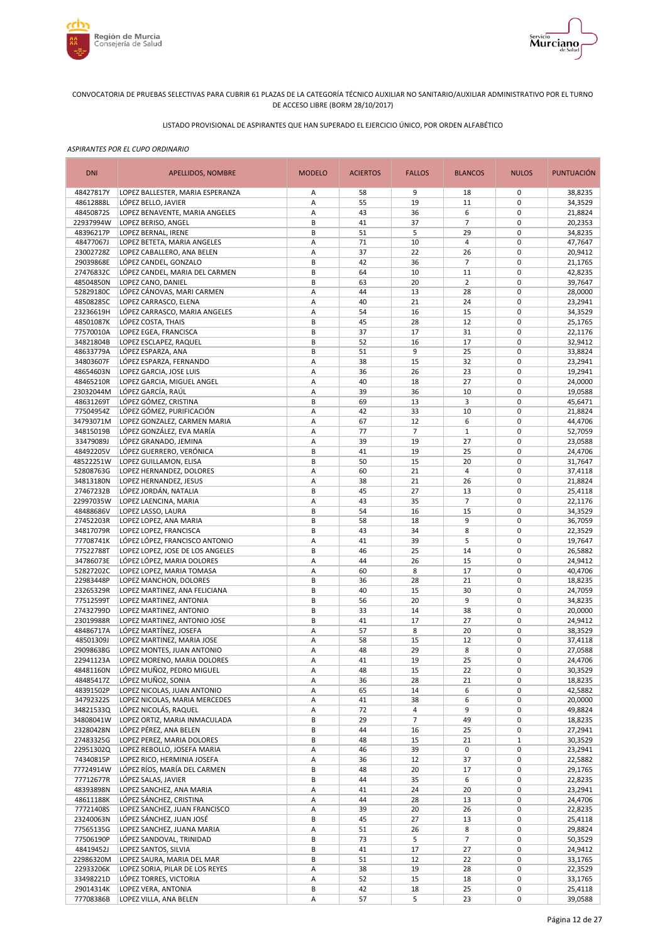



# LISTADO PROVISIONAL DE ASPIRANTES QUE HAN SUPERADO EL EJERCICIO ÚNICO, POR ORDEN ALFABÉTICO

| <b>DNI</b><br><b>MODELO</b><br><b>FALLOS</b><br><b>BLANCOS</b><br>APELLIDOS, NOMBRE<br><b>ACIERTOS</b>                                           | <b>NULOS</b><br><b>PUNTUACIÓN</b>                |
|--------------------------------------------------------------------------------------------------------------------------------------------------|--------------------------------------------------|
| 48427817Y<br>LOPEZ BALLESTER, MARIA ESPERANZA<br>58<br>9<br>Α<br>18                                                                              | 0<br>38,8235                                     |
| A<br>55<br>19<br>11<br>48612888L<br>LÓPEZ BELLO, JAVIER                                                                                          | $\mathbf 0$<br>34,3529                           |
| 48450872S<br>LOPEZ BENAVENTE, MARIA ANGELES<br>А<br>43<br>36<br>6                                                                                | $\mathbf 0$<br>21,8824                           |
| B<br>41<br>37<br>$\overline{7}$<br>22937994W<br>LOPEZ BERISO, ANGEL<br>48396217P<br>B<br>51<br>5<br>29<br>LOPEZ BERNAL, IRENE                    | $\pmb{0}$<br>20,2353<br>$\mathbf 0$<br>34,8235   |
| 48477067J<br>71<br>10<br>$\overline{4}$<br>LOPEZ BETETA, MARIA ANGELES<br>А                                                                      | $\mathbf 0$<br>47,7647                           |
| 23002728Z<br>37<br>LOPEZ CABALLERO, ANA BELEN<br>А<br>22<br>26                                                                                   | $\mathbf 0$<br>20,9412                           |
| 29039868E<br>LÓPEZ CANDEL, GONZALO<br>42<br>В<br>36<br>7                                                                                         | $\mathbf 0$<br>21,1765                           |
| 27476832C<br>10<br>11<br>LÓPEZ CANDEL, MARIA DEL CARMEN<br>В<br>64                                                                               | $\mathbf 0$<br>42,8235                           |
| B<br>63<br>$\overline{2}$<br>48504850N<br>LOPEZ CANO, DANIEL<br>20                                                                               | $\mathbf 0$<br>39,7647                           |
| LÓPEZ CÁNOVAS, MARI CARMEN<br>44<br>13<br>52829180C<br>А<br>28                                                                                   | $\mathbf 0$<br>28,0000                           |
| 48508285C<br>LOPEZ CARRASCO, ELENA<br>21<br>А<br>40<br>24                                                                                        | $\mathbf 0$<br>23,2941                           |
| 23236619H<br>LÓPEZ CARRASCO, MARIA ANGELES<br>А<br>54<br>16<br>15<br>48501087K<br>B<br>45<br>28<br>LÓPEZ COSTA, THAIS<br>12                      | $\mathbf 0$<br>34,3529<br>$\mathbf 0$            |
| 77570010A<br>B<br>17<br>31<br>LOPEZ EGEA, FRANCISCA<br>37                                                                                        | 25,1765<br>$\mathbf 0$<br>22,1176                |
| 34821804B<br>B<br>52<br>17<br>LOPEZ ESCLAPEZ, RAQUEL<br>16                                                                                       | $\mathbf 0$<br>32,9412                           |
| 48633779A<br>B<br>51<br>9<br>25<br>LÓPEZ ESPARZA, ANA                                                                                            | $\mathbf 0$<br>33,8824                           |
| 34803607F<br>Α<br>38<br>15<br>32<br>LÓPEZ ESPARZA, FERNANDO                                                                                      | $\mathbf 0$<br>23,2941                           |
| 48654603N<br>36<br>23<br>LOPEZ GARCIA, JOSE LUIS<br>Α<br>26                                                                                      | $\mathbf 0$<br>19,2941                           |
| 48465210R<br>A<br>40<br>18<br>27<br>LOPEZ GARCIA, MIGUEL ANGEL                                                                                   | $\mathbf 0$<br>24,0000                           |
| 23032044M<br>LÓPEZ GARCÍA, RAÚL<br>39<br>36<br>10<br>Α                                                                                           | $\mathbf 0$<br>19,0588                           |
| B<br>69<br>3<br>48631269T<br>LÓPEZ GÓMEZ, CRISTINA<br>13                                                                                         | $\mathbf 0$<br>45,6471                           |
| LÓPEZ GÓMEZ, PURIFICACIÓN<br>А<br>42<br>33<br>10<br>77504954Z                                                                                    | $\mathbf 0$<br>21,8824                           |
| 67<br>12<br>6<br>34793071M<br>А<br>LOPEZ GONZALEZ, CARMEN MARIA                                                                                  | $\mathbf 0$<br>44,4706                           |
| 34815019B<br>LÓPEZ GONZÁLEZ, EVA MARÍA<br>А<br>77<br>$\overline{7}$<br>$\mathbf{1}$<br>33479089J<br>39<br>19<br>27<br>LÓPEZ GRANADO, JEMINA<br>Α | $\mathbf 0$<br>52,7059<br>$\mathbf 0$<br>23,0588 |
| 48492205V<br>B<br>41<br>19<br>25<br>LÓPEZ GUERRERO, VERÓNICA                                                                                     | $\mathbf 0$<br>24,4706                           |
| 48522251W<br>B<br>50<br>15<br>20<br>LOPEZ GUILLAMON, ELISA                                                                                       | $\pmb{0}$<br>31,7647                             |
| 52808763G<br>А<br>60<br>21<br>4<br>LOPEZ HERNANDEZ, DOLORES                                                                                      | $\pmb{0}$<br>37,4118                             |
| 34813180N<br>А<br>38<br>21<br>26<br>LOPEZ HERNANDEZ, JESUS                                                                                       | $\mathbf 0$<br>21,8824                           |
| 27467232B<br>B<br>45<br>27<br>13<br>LÓPEZ JORDÁN, NATALIA                                                                                        | $\pmb{0}$<br>25,4118                             |
| 22997035W<br>43<br>35<br>$\overline{7}$<br>LOPEZ LAENCINA, MARIA<br>А                                                                            | $\mathbf 0$<br>22,1176                           |
| 48488686V<br>LOPEZ LASSO, LAURA<br>В<br>54<br>16<br>15                                                                                           | $\mathbf 0$<br>34,3529                           |
| 27452203R<br>9<br>LOPEZ LOPEZ, ANA MARIA<br>В<br>58<br>18                                                                                        | $\mathbf 0$<br>36,7059                           |
| 34817079R<br>B<br>43<br>8<br>LOPEZ LOPEZ, FRANCISCA<br>34<br>5<br>41<br>77708741K<br>LÓPEZ LÓPEZ, FRANCISCO ANTONIO<br>А<br>39                   | $\mathbf 0$<br>22,3529<br>$\mathbf 0$<br>19,7647 |
| 77522788T<br>B<br>46<br>25<br>LOPEZ LOPEZ, JOSE DE LOS ANGELES<br>14                                                                             | $\mathbf 0$<br>26,5882                           |
| 34786073E<br>26<br>15<br>LÓPEZ LÓPEZ, MARIA DOLORES<br>А<br>44                                                                                   | $\mathbf 0$<br>24,9412                           |
| 52827202C<br>Α<br>60<br>8<br>17<br>LOPEZ LOPEZ, MARIA TOMASA                                                                                     | $\mathbf 0$<br>40,4706                           |
| B<br>28<br>21<br>22983448P<br>LOPEZ MANCHON, DOLORES<br>36                                                                                       | $\mathbf 0$<br>18,8235                           |
| 23265329R<br>B<br>40<br>30<br>15<br>LOPEZ MARTINEZ, ANA FELICIANA                                                                                | $\mathbf 0$<br>24,7059                           |
| 77512599T<br>B<br>20<br>9<br>LOPEZ MARTINEZ, ANTONIA<br>56                                                                                       | $\mathbf 0$<br>34,8235                           |
| 27432799D<br>B<br>33<br>LOPEZ MARTINEZ, ANTONIO<br>14<br>38                                                                                      | $\mathbf 0$<br>20,0000                           |
| 23019988R<br>B<br>41<br>17<br>27<br>LOPEZ MARTINEZ, ANTONIO JOSE                                                                                 | $\mathbf 0$<br>24,9412                           |
| 48486717A<br>А<br>57<br>8<br>20<br>LÓPEZ MARTÍNEZ, JOSEFA<br>48501309J<br>58<br>15<br>12<br>Α                                                    | $\mathbf 0$<br>38,3529<br>$\mathbf 0$<br>37,4118 |
| LOPEZ MARTINEZ, MARIA JOSE<br>48<br>8<br>29098638G<br>29<br>LOPEZ MONTES, JUAN ANTONIO<br>Α                                                      | $\mathbf 0$<br>27,0588                           |
| 41<br>19<br>25<br>22941123A<br>LOPEZ MORENO, MARIA DOLORES<br>A                                                                                  | $\mathbf 0$<br>24,4706                           |
| LÓPEZ MUÑOZ, PEDRO MIGUEL<br>48481160N<br>Α<br>48<br>15<br>22                                                                                    | 30,3529<br>0                                     |
| 48485417Z<br>LÓPEZ MUÑOZ, SONIA<br>А<br>36<br>28<br>21                                                                                           | $\pmb{0}$<br>18,8235                             |
| 48391502P<br>LOPEZ NICOLAS, JUAN ANTONIO<br>65<br>14<br>6<br>Α                                                                                   | 0<br>42,5882                                     |
| 34792322S<br>LOPEZ NICOLAS, MARIA MERCEDES<br>41<br>38<br>6<br>Α                                                                                 | 0<br>20,0000                                     |
| 4<br>9<br>34821533Q<br>LÓPEZ NICOLÁS, RAQUEL<br>Α<br>72                                                                                          | 0<br>49,8824                                     |
| 34808041W<br>LOPEZ ORTIZ, MARIA INMACULADA<br>В<br>29<br>$\overline{7}$<br>49                                                                    | 0<br>18,8235                                     |
| 23280428N<br>LÓPEZ PÉREZ, ANA BELEN<br>В<br>44<br>16<br>25                                                                                       | 0<br>27,2941                                     |
| 27483325G<br>LOPEZ PEREZ, MARIA DOLORES<br>В<br>48<br>15<br>21<br>22951302Q<br>39<br>LOPEZ REBOLLO, JOSEFA MARIA<br>Α<br>46<br>0                 | $\,1\,$<br>30,3529<br>0<br>23,2941               |
| 74340815P<br>LOPEZ RICO, HERMINIA JOSEFA<br>Α<br>36<br>12<br>37                                                                                  | 0<br>22,5882                                     |
| 77724914W<br>LÓPEZ RÍOS, MARÍA DEL CARMEN<br>20<br>17<br>В<br>48                                                                                 | $\pmb{0}$<br>29,1765                             |
| 77712677R<br>LÓPEZ SALAS, JAVIER<br>35<br>6<br>В<br>44                                                                                           | 0<br>22,8235                                     |
| LOPEZ SANCHEZ, ANA MARIA<br>24<br>48393898N<br>Α<br>41<br>20                                                                                     | $\pmb{0}$<br>23,2941                             |
| 48611188K<br>LÓPEZ SÁNCHEZ, CRISTINA<br>13<br>Α<br>44<br>28                                                                                      | 0<br>24,4706                                     |
| 77721408S<br>LOPEZ SANCHEZ, JUAN FRANCISCO<br>Α<br>39<br>20<br>26                                                                                | 0<br>22,8235                                     |
| 23240063N<br>LÓPEZ SÁNCHEZ, JUAN JOSÉ<br>27<br>В<br>45<br>13                                                                                     | $\pmb{0}$<br>25,4118                             |
| 77565135G<br>26<br>8<br>LOPEZ SANCHEZ, JUANA MARIA<br>Α<br>51                                                                                    | $\mathbf 0$<br>29,8824                           |
| $\overline{7}$<br>77506190P<br>В<br>5<br>LÓPEZ SANDOVAL, TRINIDAD<br>73                                                                          | $\pmb{0}$<br>50,3529                             |
| 48419452J<br>17<br>27<br>LOPEZ SANTOS, SILVIA<br>В<br>41<br>22986320M<br>B<br>12<br>22                                                           | $\pmb{0}$<br>24,9412<br>$\pmb{0}$                |
| LOPEZ SAURA, MARIA DEL MAR<br>51<br>22933206K<br>LOPEZ SORIA, PILAR DE LOS REYES<br>38<br>19<br>28<br>Α                                          | 33,1765<br>$\pmb{0}$<br>22,3529                  |
| 33498221D<br>LÓPEZ TORRES, VICTORIA<br>А<br>52<br>15<br>18                                                                                       | $\pmb{0}$<br>33,1765                             |
| 29014314K<br>LOPEZ VERA, ANTONIA<br>В<br>18<br>25<br>42                                                                                          | $\pmb{0}$<br>25,4118                             |
| 77708386B<br>LOPEZ VILLA, ANA BELEN<br>57<br>5<br>23<br>А                                                                                        | 0<br>39,0588                                     |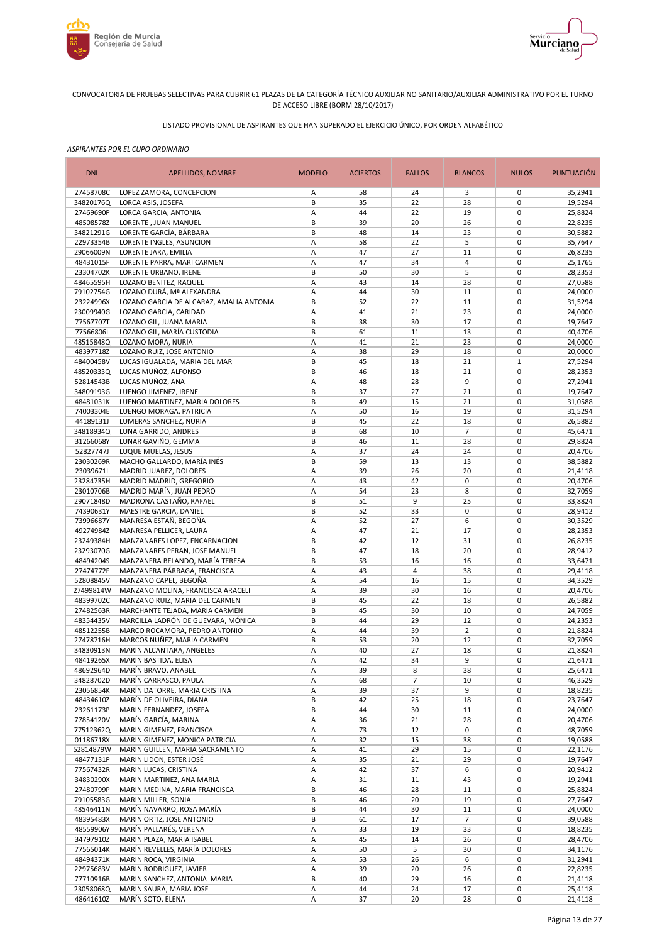



# LISTADO PROVISIONAL DE ASPIRANTES QUE HAN SUPERADO EL EJERCICIO ÚNICO, POR ORDEN ALFABÉTICO

| <b>DNI</b>             | APELLIDOS, NOMBRE                                                   | <b>MODELO</b> | <b>ACIERTOS</b> | <b>FALLOS</b>  | <b>BLANCOS</b>       | <b>NULOS</b>               | <b>PUNTUACIÓN</b>  |
|------------------------|---------------------------------------------------------------------|---------------|-----------------|----------------|----------------------|----------------------------|--------------------|
| 27458708C              | LOPEZ ZAMORA, CONCEPCION                                            | Α             | 58              | 24             | 3                    | 0                          | 35,2941            |
| 34820176Q              | LORCA ASIS, JOSEFA                                                  | B             | 35              | 22             | 28                   | $\mathbf 0$                | 19,5294            |
| 27469690P<br>48508578Z | LORCA GARCIA, ANTONIA<br>LORENTE, JUAN MANUEL                       | Α<br>B        | 44<br>39        | 22<br>20       | 19<br>26             | $\mathbf 0$<br>$\pmb{0}$   | 25,8824<br>22,8235 |
| 34821291G              | LORENTE GARCÍA, BÁRBARA                                             | B             | 48              | 14             | 23                   | $\mathbf 0$                | 30,5882            |
| 22973354B              | LORENTE INGLES, ASUNCION                                            | А             | 58              | 22             | 5                    | $\pmb{0}$                  | 35,7647            |
| 29066009N              | LORENTE JARA, EMILIA                                                | Α             | 47              | 27             | 11                   | $\mathbf 0$                | 26,8235            |
| 48431015F              | LORENTE PARRA, MARI CARMEN                                          | Α             | 47              | 34             | $\overline{4}$       | $\mathbf 0$                | 25,1765            |
| 23304702K              | LORENTE URBANO, IRENE                                               | B             | 50              | 30             | 5                    | $\mathbf 0$                | 28,2353            |
| 48465595H              | LOZANO BENITEZ, RAQUEL                                              | А             | 43              | 14             | 28                   | $\mathbf 0$                | 27,0588            |
| 79102754G              | LOZANO DURÁ, Mª ALEXANDRA                                           | А             | 44              | 30             | 11                   | $\mathbf 0$                | 24,0000            |
| 23224996X              | LOZANO GARCIA DE ALCARAZ, AMALIA ANTONIA                            | B             | 52              | 22             | 11                   | $\mathbf 0$                | 31,5294            |
| 23009940G<br>77567707T | LOZANO GARCIA, CARIDAD<br>LOZANO GIL, JUANA MARIA                   | Α<br>B        | 41<br>38        | 21<br>30       | 23<br>17             | $\mathbf 0$<br>$\mathbf 0$ | 24,0000<br>19,7647 |
| 77566806L              | LOZANO GIL, MARÍA CUSTODIA                                          | B             | 61              | 11             | 13                   | $\mathbf 0$                | 40,4706            |
| 48515848Q              | LOZANO MORA, NURIA                                                  | А             | 41              | 21             | 23                   | $\mathbf 0$                | 24,0000            |
| 48397718Z              | LOZANO RUIZ, JOSE ANTONIO                                           | А             | 38              | 29             | 18                   | $\mathbf 0$                | 20,0000            |
| 48400458V              | LUCAS IGUALADA, MARIA DEL MAR                                       | B             | 45              | 18             | 21                   | $\mathbf{1}$               | 27,5294            |
| 48520333Q              | LUCAS MUÑOZ, ALFONSO                                                | В             | 46              | 18             | 21                   | $\mathbf 0$                | 28,2353            |
| 52814543B              | LUCAS MUÑOZ, ANA                                                    | Α             | 48              | 28             | 9                    | $\mathbf 0$                | 27,2941            |
| 34809193G              | LUENGO JIMENEZ, IRENE                                               | B             | 37              | 27             | 21                   | $\mathbf 0$                | 19,7647            |
| 48481031K              | LUENGO MARTINEZ, MARIA DOLORES                                      | B             | 49              | 15             | 21                   | $\mathbf 0$                | 31,0588            |
| 74003304E              | LUENGO MORAGA, PATRICIA                                             | Α             | 50              | 16             | 19                   | $\mathbf 0$<br>$\mathbf 0$ | 31,5294            |
| 44189131J<br>34818934Q | LUMERAS SANCHEZ, NURIA<br>LUNA GARRIDO, ANDRES                      | B<br>B        | 45<br>68        | 22<br>10       | 18<br>$\overline{7}$ | $\mathbf 0$                | 26,5882<br>45,6471 |
| 31266068Y              | LUNAR GAVIÑO, GEMMA                                                 | B             | 46              | 11             | 28                   | $\mathbf 0$                | 29,8824            |
| 52827747J              | LUQUE MUELAS, JESUS                                                 | A             | 37              | 24             | 24                   | $\mathbf 0$                | 20,4706            |
| 23030269R              | MACHO GALLARDO, MARÍA INÉS                                          | B             | 59              | 13             | 13                   | $\pmb{0}$                  | 38,5882            |
| 23039671L              | MADRID JUAREZ, DOLORES                                              | Α             | 39              | 26             | 20                   | $\pmb{0}$                  | 21,4118            |
| 23284735H              | MADRID MADRID, GREGORIO                                             | А             | 43              | 42             | $\pmb{0}$            | $\mathbf 0$                | 20,4706            |
| 23010706B              | MADRID MARÍN, JUAN PEDRO                                            | Α             | 54              | 23             | 8                    | $\pmb{0}$                  | 32,7059            |
| 29071848D              | MADRONA CASTAÑO, RAFAEL                                             | В             | 51              | 9              | 25                   | $\mathbf 0$                | 33,8824            |
| 74390631Y              | MAESTRE GARCIA, DANIEL                                              | B             | 52              | 33             | $\pmb{0}$            | $\pmb{0}$                  | 28,9412            |
| 73996687Y<br>49274984Z | MANRESA ESTAÑ, BEGOÑA<br>MANRESA PELLICER, LAURA                    | А<br>А        | 52<br>47        | 27<br>21       | 6<br>17              | $\mathbf 0$<br>$\mathbf 0$ | 30,3529<br>28,2353 |
| 23249384H              | MANZANARES LOPEZ, ENCARNACION                                       | B             | 42              | 12             | 31                   | $\mathbf 0$                | 26,8235            |
| 23293070G              | MANZANARES PERAN, JOSE MANUEL                                       | B             | 47              | 18             | 20                   | $\mathbf 0$                | 28,9412            |
| 48494204S              | MANZANERA BELANDO, MARÍA TERESA                                     | B             | 53              | 16             | 16                   | $\mathbf 0$                | 33,6471            |
| 27474772F              | MANZANERA PÁRRAGA, FRANCISCA                                        | Α             | 43              | $\overline{4}$ | 38                   | $\mathbf 0$                | 29,4118            |
| 52808845V              | MANZANO CAPEL, BEGOÑA                                               | А             | 54              | 16             | 15                   | $\mathbf 0$                | 34,3529            |
| 27499814W              | MANZANO MOLINA, FRANCISCA ARACELI                                   | Α             | 39              | 30             | 16                   | $\mathbf 0$                | 20,4706            |
| 48399702C              | MANZANO RUIZ, MARIA DEL CARMEN                                      | B             | 45              | 22             | 18                   | $\mathbf 0$                | 26,5882            |
| 27482563R              | MARCHANTE TEJADA, MARIA CARMEN                                      | B             | 45              | 30             | 10                   | $\mathbf 0$                | 24,7059            |
| 48354435V<br>48512255B | MARCILLA LADRÓN DE GUEVARA, MÓNICA<br>MARCO ROCAMORA, PEDRO ANTONIO | B<br>Α        | 44<br>44        | 29<br>39       | 12<br>$\overline{2}$ | $\mathbf 0$<br>$\mathbf 0$ | 24,2353<br>21,8824 |
| 27478716H              | MARCOS NUÑEZ, MARIA CARMEN                                          | B             | 53              | 20             | 12                   | $\mathbf 0$                | 32,7059            |
| 34830913N              | MARIN ALCANTARA, ANGELES                                            | Α             | 40              | 27             | 18                   | $\mathbf 0$                | 21,8824            |
| 48419265X              | MARIN BASTIDA, ELISA                                                | A             | 42              | 34             | 9                    | $\mathbf 0$                | 21,6471            |
| 48692964D              | MARÍN BRAVO, ANABEL                                                 | Α             | 39              | 8              | 38                   | 0                          | 25,6471            |
| 34828702D              | MARÍN CARRASCO, PAULA                                               | Α             | 68              | $\overline{7}$ | 10                   | $\pmb{0}$                  | 46,3529            |
| 23056854K              | MARÍN DATORRE, MARIA CRISTINA                                       | Α             | 39              | 37             | 9                    | 0                          | 18,8235            |
| 48434610Z              | MARÍN DE OLIVEIRA, DIANA                                            | В             | 42              | 25             | 18                   | $\pmb{0}$                  | 23,7647            |
| 23261173P              | MARIN FERNANDEZ, JOSEFA                                             | В             | 44              | 30             | 11                   | $\pmb{0}$                  | 24,0000            |
| 77854120V              | MARÍN GARCÍA, MARINA                                                | Α             | 36              | 21             | 28                   | $\pmb{0}$<br>0             | 20,4706            |
| 77512362Q<br>01186718X | MARIN GIMENEZ, FRANCISCA<br>MARIN GIMENEZ, MONICA PATRICIA          | А<br>Α        | 73<br>32        | 12<br>15       | 0                    | $\pmb{0}$                  | 48,7059<br>19,0588 |
| 52814879W              | MARIN GUILLEN, MARIA SACRAMENTO                                     | А             | 41              | 29             | 38<br>15             | 0                          | 22,1176            |
| 48477131P              | MARIN LIDON, ESTER JOSÉ                                             | Α             | 35              | 21             | 29                   | $\pmb{0}$                  | 19,7647            |
| 77567432R              | MARIN LUCAS, CRISTINA                                               | Α             | 42              | 37             | 6                    | $\pmb{0}$                  | 20,9412            |
| 34830290X              | MARIN MARTINEZ, ANA MARIA                                           | Α             | 31              | 11             | 43                   | $\pmb{0}$                  | 19,2941            |
| 27480799P              | MARIN MEDINA, MARIA FRANCISCA                                       | B             | 46              | 28             | 11                   | 0                          | 25,8824            |
| 79105583G              | MARIN MILLER, SONIA                                                 | В             | 46              | 20             | 19                   | $\pmb{0}$                  | 27,7647            |
| 48546411N              | MARÍN NAVARRO, ROSA MARÍA                                           | B             | 44              | 30             | 11                   | 0                          | 24,0000            |
| 48395483X              | MARIN ORTIZ, JOSE ANTONIO                                           | В             | 61              | 17             | $\overline{7}$       | 0                          | 39,0588            |
| 48559906Y              | MARÍN PALLARÉS, VERENA                                              | Α             | 33              | 19             | 33                   | 0                          | 18,8235            |
| 34797910Z<br>77565014K | MARIN PLAZA, MARIA ISABEL<br>MARÍN REVELLES, MARÍA DOLORES          | А<br>Α        | 45<br>50        | 14<br>5        | 26<br>30             | $\pmb{0}$<br>0             | 28,4706<br>34,1176 |
| 48494371K              | MARIN ROCA, VIRGINIA                                                | Α             | 53              | 26             | 6                    | $\pmb{0}$                  | 31,2941            |
| 22975683V              | MARIN RODRIGUEZ, JAVIER                                             | Α             | 39              | 20             | 26                   | $\pmb{0}$                  | 22,8235            |
| 77710916B              | MARIN SANCHEZ, ANTONIA MARIA                                        | B             | 40              | 29             | 16                   | $\pmb{0}$                  | 21,4118            |
| 23058068Q              | MARIN SAURA, MARIA JOSE                                             | Α             | 44              | 24             | 17                   | $\pmb{0}$                  | 25,4118            |
| 48641610Z              | MARÍN SOTO, ELENA                                                   | А             | 37              | 20             | 28                   | 0                          | 21,4118            |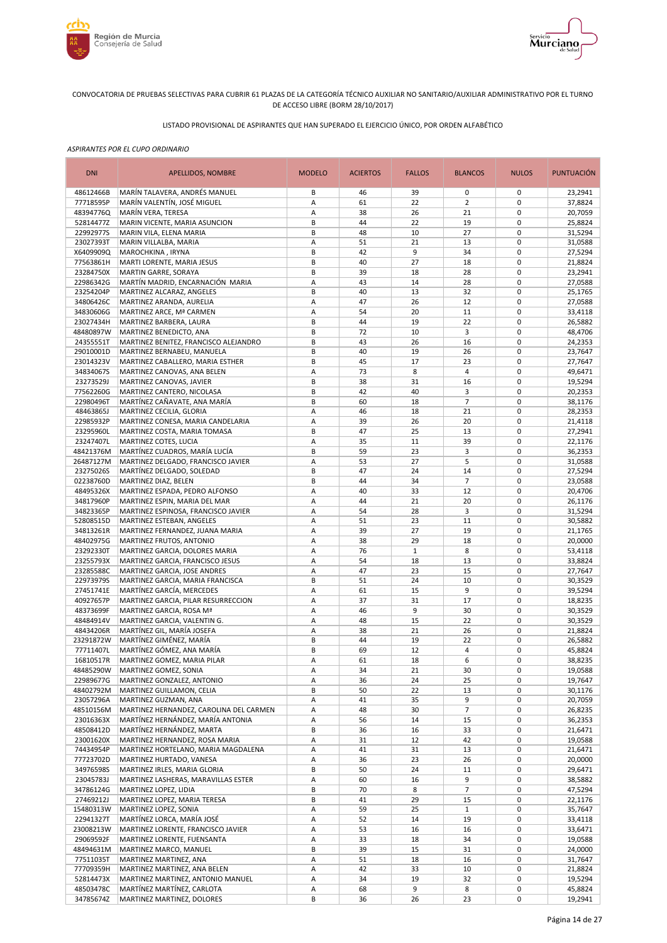



# LISTADO PROVISIONAL DE ASPIRANTES QUE HAN SUPERADO EL EJERCICIO ÚNICO, POR ORDEN ALFABÉTICO

| <b>DNI</b>             | APELLIDOS, NOMBRE                                                   | <b>MODELO</b> | <b>ACIERTOS</b> | <b>FALLOS</b> | <b>BLANCOS</b>       | <b>NULOS</b>               | <b>PUNTUACIÓN</b>  |
|------------------------|---------------------------------------------------------------------|---------------|-----------------|---------------|----------------------|----------------------------|--------------------|
| 48612466B              | MARÍN TALAVERA, ANDRÉS MANUEL                                       | В             | 46              | 39            | 0                    | 0                          | 23,2941            |
| 77718595P              | MARÍN VALENTÍN. JOSÉ MIGUEL                                         | А             | 61              | 22            | $\overline{2}$       | $\mathbf 0$                | 37,8824            |
| 48394776Q              | MARÍN VERA, TERESA                                                  | А             | 38              | 26            | 21                   | $\mathbf 0$                | 20,7059            |
| 52814477Z<br>22992977S | MARIN VICENTE, MARIA ASUNCION                                       | В             | 44<br>48        | 22<br>10      | 19<br>27             | $\mathbf 0$<br>$\mathbf 0$ | 25,8824            |
| 23027393T              | MARIN VILA, ELENA MARIA<br>MARIN VILLALBA, MARIA                    | В<br>А        | 51              | 21            | 13                   | $\mathbf 0$                | 31,5294<br>31,0588 |
| X6409909Q              | MAROCHKINA, IRYNA                                                   | B             | 42              | 9             | 34                   | $\mathbf 0$                | 27,5294            |
| 77563861H              | MARTI LORENTE, MARIA JESUS                                          | B             | 40              | 27            | 18                   | $\mathbf 0$                | 21,8824            |
| 23284750X              | MARTIN GARRE, SORAYA                                                | В             | 39              | 18            | 28                   | $\mathbf 0$                | 23,2941            |
| 22986342G              | MARTÍN MADRID, ENCARNACIÓN MARIA                                    | Α             | 43              | 14            | 28                   | $\mathbf 0$                | 27,0588            |
| 23254204P              | MARTINEZ ALCARAZ, ANGELES                                           | B             | 40              | 13            | 32                   | $\mathbf 0$                | 25,1765            |
| 34806426C              | MARTINEZ ARANDA, AURELIA                                            | А             | 47              | 26            | 12                   | $\mathbf 0$                | 27,0588            |
| 34830606G              | MARTINEZ ARCE, Mª CARMEN                                            | Α             | 54              | 20            | 11                   | $\mathbf 0$                | 33,4118            |
| 23027434H              | MARTINEZ BARBERA, LAURA                                             | B             | 44              | 19            | 22                   | $\mathbf 0$                | 26,5882            |
| 48480897W              | MARTINEZ BENEDICTO, ANA                                             | B<br>B        | 72<br>43        | 10<br>26      | 3                    | $\mathbf 0$<br>$\mathbf 0$ | 48,4706            |
| 24355551T<br>29010001D | MARTINEZ BENITEZ, FRANCISCO ALEJANDRO<br>MARTINEZ BERNABEU, MANUELA | B             | 40              | 19            | 16<br>26             | $\mathbf 0$                | 24,2353<br>23,7647 |
| 23014323V              | MARTINEZ CABALLERO, MARIA ESTHER                                    | B             | 45              | 17            | 23                   | $\mathbf 0$                | 27,7647            |
| 34834067S              | MARTINEZ CANOVAS, ANA BELEN                                         | А             | 73              | 8             | 4                    | $\mathbf 0$                | 49,6471            |
| 23273529J              | MARTINEZ CANOVAS, JAVIER                                            | B             | 38              | 31            | 16                   | $\mathbf 0$                | 19,5294            |
| 77562260G              | MARTINEZ CANTERO, NICOLASA                                          | B             | 42              | 40            | 3                    | $\mathbf 0$                | 20,2353            |
| 22980496T              | MARTÍNEZ CAÑAVATE, ANA MARÍA                                        | B             | 60              | 18            | $\overline{7}$       | $\mathbf 0$                | 38,1176            |
| 48463865J              | MARTINEZ CECILIA, GLORIA                                            | A             | 46              | 18            | 21                   | $\mathbf 0$                | 28,2353            |
| 22985932P              | MARTINEZ CONESA, MARIA CANDELARIA                                   | А             | 39              | 26            | 20                   | $\mathbf 0$                | 21,4118            |
| 23295960L              | MARTINEZ COSTA, MARIA TOMASA                                        | B             | 47              | 25            | 13                   | $\mathbf 0$                | 27,2941            |
| 23247407L              | MARTINEZ COTES, LUCIA                                               | Α             | 35              | 11            | 39                   | $\mathbf 0$                | 22,1176            |
| 48421376M              | MARTÍNEZ CUADROS, MARÍA LUCÍA                                       | B             | 59              | 23            | 3                    | $\pmb{0}$                  | 36,2353            |
| 26487127M<br>23275026S | MARTINEZ DELGADO, FRANCISCO JAVIER<br>MARTÍNEZ DELGADO, SOLEDAD     | А             | 53<br>47        | 27            | 5                    | $\mathbf 0$<br>$\pmb{0}$   | 31,0588            |
| 02238760D              | MARTINEZ DIAZ, BELEN                                                | В<br>В        | 44              | 24<br>34      | 14<br>$\overline{7}$ | $\mathbf 0$                | 27,5294<br>23,0588 |
| 48495326X              | MARTINEZ ESPADA, PEDRO ALFONSO                                      | А             | 40              | 33            | 12                   | $\mathbf 0$                | 20,4706            |
| 34817960P              | MARTINEZ ESPIN, MARIA DEL MAR                                       | Α             | 44              | 21            | 20                   | $\mathbf 0$                | 26,1176            |
| 34823365P              | MARTINEZ ESPINOSA, FRANCISCO JAVIER                                 | Α             | 54              | 28            | 3                    | $\mathbf 0$                | 31,5294            |
| 52808515D              | MARTINEZ ESTEBAN, ANGELES                                           | А             | 51              | 23            | 11                   | $\mathbf 0$                | 30,5882            |
| 34813261R              | MARTINEZ FERNANDEZ, JUANA MARIA                                     | А             | 39              | 27            | 19                   | $\mathbf 0$                | 21,1765            |
| 48402975G              | MARTINEZ FRUTOS, ANTONIO                                            | А             | 38              | 29            | 18                   | $\mathbf 0$                | 20,0000            |
| 23292330T              | MARTINEZ GARCIA, DOLORES MARIA                                      | А             | 76              | $\mathbf{1}$  | 8                    | $\mathbf 0$                | 53,4118            |
| 23255793X              | MARTINEZ GARCIA, FRANCISCO JESUS                                    | Α             | 54              | 18            | 13                   | $\mathbf 0$                | 33,8824            |
| 23285588C<br>22973979S | MARTINEZ GARCIA, JOSE ANDRES<br>MARTINEZ GARCIA, MARIA FRANCISCA    | Α<br>B        | 47<br>51        | 23<br>24      | 15<br>10             | $\mathbf 0$<br>$\mathbf 0$ | 27,7647<br>30,3529 |
| 27451741E              | MARTÍNEZ GARCÍA, MERCEDES                                           | А             | 61              | 15            | 9                    | $\mathbf 0$                | 39,5294            |
| 40927657P              | MARTINEZ GARCIA, PILAR RESURRECCION                                 | Α             | 37              | 31            | 17                   | $\mathbf 0$                | 18,8235            |
| 48373699F              | MARTINEZ GARCIA, ROSA Mª                                            | А             | 46              | 9             | 30                   | $\mathbf 0$                | 30,3529            |
| 48484914V              | MARTINEZ GARCIA, VALENTIN G.                                        | Α             | 48              | 15            | 22                   | $\mathbf 0$                | 30,3529            |
| 48434206R              | MARTÍNEZ GIL, MARÍA JOSEFA                                          | Α             | 38              | 21            | 26                   | $\mathbf 0$                | 21,8824            |
| 23291872W              | MARTÍNEZ GIMÉNEZ, MARÍA                                             | B             | 44              | 19            | 22                   | $\mathbf 0$                | 26,5882            |
| 77711407L              | MARTÍNEZ GÓMEZ, ANA MARÍA                                           | B             | 69              | 12            | $\overline{4}$       | $\mathbf 0$                | 45,8824            |
| 16810517R              | MARTINEZ GOMEZ, MARIA PILAR                                         | A             | 61              | 18            | 6                    | $\mathbf 0$                | 38,8235            |
| 48485290W              | MARTINEZ GOMEZ, SONIA                                               | Α             | 34              | 21            | 30                   | 0                          | 19,0588            |
| 22989677G<br>48402792M | MARTINEZ GONZALEZ, ANTONIO<br>MARTINEZ GUILLAMON, CELIA             | Α<br>B        | 36<br>50        | 24<br>22      | 25<br>13             | 0<br>0                     | 19,7647<br>30,1176 |
| 23057296A              | MARTINEZ GUZMAN, ANA                                                | Α             | 41              | 35            | 9                    | 0                          | 20,7059            |
| 48510156M              | MARTINEZ HERNANDEZ, CAROLINA DEL CARMEN                             | А             | 48              | 30            | $\overline{7}$       | 0                          | 26,8235            |
| 23016363X              | MARTÍNEZ HERNÁNDEZ, MARÍA ANTONIA                                   | Α             | 56              | 14            | 15                   | $\pmb{0}$                  | 36,2353            |
| 48508412D              | MARTÍNEZ HERNÁNDEZ, MARTA                                           | В             | 36              | 16            | 33                   | $\pmb{0}$                  | 21,6471            |
| 23001620X              | MARTINEZ HERNANDEZ, ROSA MARIA                                      | Α             | 31              | 12            | 42                   | $\pmb{0}$                  | 19,0588            |
| 74434954P              | MARTINEZ HORTELANO, MARIA MAGDALENA                                 | Α             | 41              | 31            | 13                   | $\mathbf 0$                | 21,6471            |
| 77723702D              | MARTINEZ HURTADO, VANESA                                            | Α             | 36              | 23            | 26                   | $\pmb{0}$                  | 20,0000            |
| 34976598S              | MARTINEZ IRLES, MARIA GLORIA                                        | B             | 50              | 24            | 11                   | $\mathbf 0$                | 29,6471            |
| 23045783J<br>34786124G | MARTINEZ LASHERAS, MARAVILLAS ESTER<br>MARTINEZ LOPEZ, LIDIA        | А<br>B        | 60<br>70        | 16<br>8       | 9<br>$\overline{7}$  | 0<br>$\mathbf 0$           | 38,5882<br>47,5294 |
| 27469212J              | MARTINEZ LOPEZ, MARIA TERESA                                        | В             | 41              | 29            | 15                   | $\pmb{0}$                  | 22,1176            |
| 15480313W              | MARTINEZ LOPEZ, SONIA                                               | Α             | 59              | 25            | $1\,$                | $\mathbf 0$                | 35,7647            |
| 22941327T              | MARTÍNEZ LORCA, MARÍA JOSÉ                                          | Α             | 52              | 14            | 19                   | $\pmb{0}$                  | 33,4118            |
| 23008213W              | MARTINEZ LORENTE, FRANCISCO JAVIER                                  | Α             | 53              | 16            | 16                   | $\pmb{0}$                  | 33,6471            |
| 29069592F              | MARTINEZ LORENTE, FUENSANTA                                         | Α             | 33              | 18            | 34                   | $\pmb{0}$                  | 19,0588            |
| 48494631M              | MARTINEZ MARCO, MANUEL                                              | B             | 39              | 15            | 31                   | $\pmb{0}$                  | 24,0000            |
| 77511035T              | MARTINEZ MARTINEZ, ANA                                              | А             | 51              | 18            | 16                   | $\pmb{0}$                  | 31,7647            |
| 77709359H              | MARTINEZ MARTINEZ, ANA BELEN                                        | Α             | 42              | 33            | 10                   | $\pmb{0}$                  | 21,8824            |
| 52814473X              | MARTINEZ MARTINEZ, ANTONIO MANUEL                                   | Α             | 34              | 19            | 32                   | 0                          | 19,5294            |
| 48503478C<br>34785674Z | MARTÍNEZ MARTÍNEZ, CARLOTA<br>MARTINEZ MARTINEZ, DOLORES            | Α<br>B        | 68<br>36        | 9<br>26       | 8<br>23              | $\pmb{0}$<br>0             | 45,8824<br>19,2941 |
|                        |                                                                     |               |                 |               |                      |                            |                    |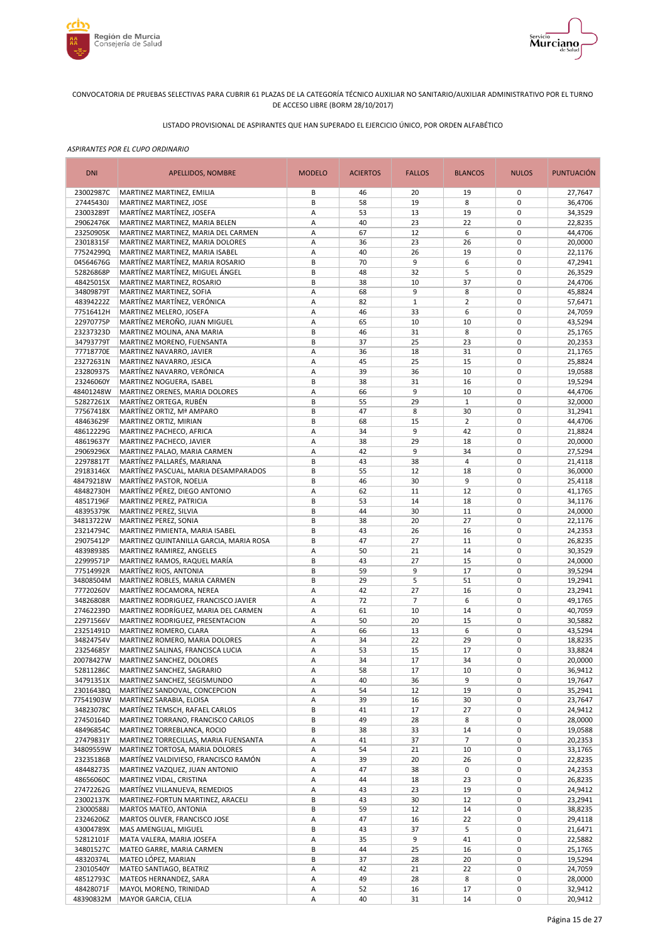



# LISTADO PROVISIONAL DE ASPIRANTES QUE HAN SUPERADO EL EJERCICIO ÚNICO, POR ORDEN ALFABÉTICO

| <b>DNI</b>             | APELLIDOS, NOMBRE                                                          | <b>MODELO</b> | <b>ACIERTOS</b> | <b>FALLOS</b>     | <b>BLANCOS</b>      | <b>NULOS</b>               | <b>PUNTUACIÓN</b>  |
|------------------------|----------------------------------------------------------------------------|---------------|-----------------|-------------------|---------------------|----------------------------|--------------------|
| 23002987C              | MARTINEZ MARTINEZ, EMILIA                                                  | В             | 46              | 20                | 19                  | 0                          | 27,7647            |
| 27445430J              | MARTINEZ MARTINEZ, JOSE                                                    | B             | 58              | 19                | 8                   | $\mathbf 0$                | 36,4706            |
| 23003289T<br>29062476K | MARTÍNEZ MARTÍNEZ, JOSEFA<br>MARTINEZ MARTINEZ, MARIA BELEN                | Α<br>А        | 53<br>40        | 13<br>23          | 19<br>22            | $\mathbf 0$<br>$\mathbf 0$ | 34,3529<br>22,8235 |
| 23250905K              | MARTINEZ MARTINEZ, MARIA DEL CARMEN                                        | А             | 67              | 12                | 6                   | $\mathbf 0$                | 44,4706            |
| 23018315F              | MARTINEZ MARTINEZ, MARIA DOLORES                                           | Α             | 36              | 23                | 26                  | $\mathbf 0$                | 20,0000            |
| 77524299Q              | MARTINEZ MARTINEZ, MARIA ISABEL                                            | А             | 40              | 26                | 19                  | $\mathbf 0$                | 22,1176            |
| 04564676G              | MARTÍNEZ MARTÍNEZ, MARIA ROSARIO                                           | B             | 70              | 9                 | 6                   | $\mathbf 0$                | 47,2941            |
| 52826868P              | MARTÍNEZ MARTÍNEZ, MIGUEL ÁNGEL                                            | B             | 48              | 32                | 5                   | $\mathbf 0$                | 26,3529            |
| 48425015X              | MARTINEZ MARTINEZ, ROSARIO                                                 | B             | 38              | 10                | 37                  | $\mathbf 0$                | 24,4706            |
| 34809879T<br>48394222Z | MARTINEZ MARTINEZ, SOFIA<br>MARTÍNEZ MARTÍNEZ, VERÓNICA                    | А<br>Α        | 68<br>82        | 9<br>$\mathbf{1}$ | 8<br>$\overline{2}$ | $\mathbf 0$<br>$\mathbf 0$ | 45,8824<br>57,6471 |
| 77516412H              | MARTINEZ MELERO, JOSEFA                                                    | А             | 46              | 33                | 6                   | $\mathbf 0$                | 24,7059            |
| 22970775P              | MARTÍNEZ MEROÑO, JUAN MIGUEL                                               | Α             | 65              | 10                | 10                  | $\mathbf 0$                | 43,5294            |
| 23237323D              | MARTINEZ MOLINA, ANA MARIA                                                 | B             | 46              | 31                | 8                   | $\mathbf 0$                | 25,1765            |
| 34793779T              | MARTINEZ MORENO, FUENSANTA                                                 | B             | 37              | 25                | 23                  | $\mathbf 0$                | 20,2353            |
| 77718770E              | MARTINEZ NAVARRO, JAVIER                                                   | А             | 36              | 18                | 31                  | $\mathbf 0$                | 21,1765            |
| 23272631N              | MARTINEZ NAVARRO, JESICA                                                   | А             | 45              | 25                | 15                  | $\mathbf 0$                | 25,8824            |
| 23280937S<br>23246060Y | MARTÍNEZ NAVARRO, VERÓNICA<br>MARTINEZ NOGUERA, ISABEL                     | Α<br>B        | 39<br>38        | 36<br>31          | 10<br>16            | $\mathbf 0$<br>$\mathbf 0$ | 19,0588<br>19,5294 |
| 48401248W              | MARTINEZ ORENES, MARIA DOLORES                                             | Α             | 66              | 9                 | 10                  | $\mathbf 0$                | 44,4706            |
| 52827261X              | MARTÍNEZ ORTEGA, RUBÉN                                                     | B             | 55              | 29                | $\mathbf{1}$        | $\mathbf 0$                | 32,0000            |
| 77567418X              | MARTÍNEZ ORTIZ, Mª AMPARO                                                  | B             | 47              | 8                 | 30                  | $\pmb{0}$                  | 31,2941            |
| 48463629F              | MARTINEZ ORTIZ, MIRIAN                                                     | B             | 68              | 15                | $\overline{2}$      | $\mathbf 0$                | 44,4706            |
| 48612229G              | MARTINEZ PACHECO, AFRICA                                                   | Α             | 34              | 9                 | 42                  | $\pmb{0}$                  | 21,8824            |
| 48619637Y              | MARTINEZ PACHECO, JAVIER                                                   | А             | 38              | 29                | 18                  | $\mathbf 0$                | 20,0000            |
| 29069296X              | MARTINEZ PALAO, MARIA CARMEN                                               | Α             | 42<br>43        | 9<br>38           | 34<br>4             | $\mathbf 0$<br>$\mathbf 0$ | 27,5294            |
| 22978817T<br>29183146X | MARTÍNEZ PALLARÉS, MARIANA<br>MARTÍNEZ PASCUAL, MARIA DESAMPARADOS         | В<br>B        | 55              | 12                | 18                  | $\mathbf 0$                | 21,4118<br>36,0000 |
| 48479218W              | MARTÍNEZ PASTOR, NOELIA                                                    | B             | 46              | 30                | 9                   | $\mathbf 0$                | 25,4118            |
| 48482730H              | MARTÍNEZ PÉREZ, DIEGO ANTONIO                                              | А             | 62              | 11                | 12                  | $\mathbf 0$                | 41,1765            |
| 48517196F              | MARTINEZ PEREZ, PATRICIA                                                   | B             | 53              | 14                | 18                  | $\mathbf 0$                | 34,1176            |
| 48395379K              | MARTINEZ PEREZ, SILVIA                                                     | B             | 44              | 30                | 11                  | $\mathbf 0$                | 24,0000            |
| 34813722W              | MARTINEZ PEREZ, SONIA                                                      | B             | 38              | 20                | 27                  | $\mathbf 0$                | 22,1176            |
| 23214794C<br>29075412P | MARTINEZ PIMIENTA, MARIA ISABEL<br>MARTINEZ QUINTANILLA GARCIA, MARIA ROSA | B<br>B        | 43<br>47        | 26<br>27          | 16<br>11            | $\mathbf 0$<br>$\mathbf 0$ | 24,2353<br>26,8235 |
| 48398938S              | MARTINEZ RAMIREZ, ANGELES                                                  | Α             | 50              | 21                | 14                  | $\mathbf 0$                | 30,3529            |
| 22999571P              | MARTINEZ RAMOS, RAQUEL MARÍA                                               | B             | 43              | 27                | 15                  | $\mathbf 0$                | 24,0000            |
| 77514992R              | MARTÍNEZ RIOS, ANTONIA                                                     | B             | 59              | 9                 | 17                  | $\mathbf 0$                | 39,5294            |
| 34808504M              | MARTINEZ ROBLES, MARIA CARMEN                                              | B             | 29              | 5                 | 51                  | $\mathbf 0$                | 19,2941            |
| 77720260V              | MARTÍNEZ ROCAMORA, NEREA                                                   | А             | 42              | 27                | 16                  | $\mathbf 0$                | 23,2941            |
| 34826808R              | MARTINEZ RODRIGUEZ, FRANCISCO JAVIER                                       | А             | 72              | $\overline{7}$    | 6                   | $\mathbf 0$<br>$\mathbf 0$ | 49,1765            |
| 27462239D<br>22971566V | MARTINEZ RODRÍGUEZ, MARIA DEL CARMEN<br>MARTINEZ RODRIGUEZ, PRESENTACION   | А<br>А        | 61<br>50        | 10<br>20          | 14<br>15            | $\mathbf 0$                | 40,7059<br>30,5882 |
| 23251491D              | MARTINEZ ROMERO, CLARA                                                     | Α             | 66              | 13                | 6                   | $\mathbf 0$                | 43,5294            |
| 34824754V              | MARTINEZ ROMERO, MARIA DOLORES                                             | Α             | 34              | 22                | 29                  | $\pmb{0}$                  | 18,8235            |
| 23254685Y              | MARTINEZ SALINAS, FRANCISCA LUCIA                                          | А             | 53              | 15                | 17                  | $\pmb{0}$                  | 33,8824            |
| 20078427W              | MARTINEZ SANCHEZ, DOLORES                                                  | А             | 34              | 17                | 34                  | $\mathbf 0$                | 20,0000            |
| 52811286C              | MARTINEZ SANCHEZ, SAGRARIO                                                 | Α             | 58              | 17                | 10                  | 0                          | 36,9412            |
| 34791351X<br>23016438Q | MARTINEZ SANCHEZ, SEGISMUNDO<br>MARTÍNEZ SANDOVAL, CONCEPCION              | Α             | 40              | 36                | 9                   | 0<br>$\mathbf 0$           | 19,7647<br>35,2941 |
| 77541903W              | MARTINEZ SARABIA, ELOISA                                                   | Α<br>Α        | 54<br>39        | 12<br>16          | 19<br>30            | 0                          | 23,7647            |
| 34823078C              | MARTÍNEZ TEMSCH, RAFAEL CARLOS                                             | В             | 41              | 17                | 27                  | $\pmb{0}$                  | 24,9412            |
| 27450164D              | MARTINEZ TORRANO, FRANCISCO CARLOS                                         | В             | 49              | 28                | 8                   | $\pmb{0}$                  | 28,0000            |
| 48496854C              | MARTINEZ TORREBLANCA, ROCIO                                                | В             | 38              | 33                | 14                  | $\pmb{0}$                  | 19,0588            |
| 27479831Y              | MARTINEZ TORRECILLAS, MARIA FUENSANTA                                      | А             | 41              | 37                | $\overline{7}$      | $\pmb{0}$                  | 20,2353            |
| 34809559W              | MARTINEZ TORTOSA, MARIA DOLORES                                            | А             | 54              | 21                | 10                  | $\mathbf 0$                | 33,1765            |
| 23235186B<br>48448273S | MARTÍNEZ VALDIVIESO, FRANCISCO RAMÓN<br>MARTINEZ VAZQUEZ, JUAN ANTONIO     | Α<br>Α        | 39<br>47        | 20<br>38          | 26<br>0             | $\pmb{0}$<br>$\mathbf 0$   | 22,8235            |
| 48656060C              | MARTINEZ VIDAL, CRISTINA                                                   | Α             | 44              | 18                | 23                  | $\pmb{0}$                  | 24,2353<br>26,8235 |
| 27472262G              | MARTÍNEZ VILLANUEVA, REMEDIOS                                              | Α             | 43              | 23                | 19                  | 0                          | 24,9412            |
| 23002137K              | MARTINEZ-FORTUN MARTINEZ, ARACELI                                          | B             | 43              | 30                | 12                  | $\pmb{0}$                  | 23,2941            |
| 23000588J              | MARTOS MATEO, ANTONIA                                                      | В             | 59              | 12                | 14                  | 0                          | 38,8235            |
| 23246206Z              | MARTOS OLIVER, FRANCISCO JOSE                                              | Α             | 47              | 16                | 22                  | $\pmb{0}$                  | 29,4118            |
| 43004789X              | MAS AMENGUAL, MIGUEL                                                       | B             | 43              | 37                | 5                   | $\pmb{0}$                  | 21,6471            |
| 52812101F<br>34801527C | MATA VALERA, MARIA JOSEFA<br>MATEO GARRE, MARIA CARMEN                     | Α<br>В        | 35<br>44        | 9<br>25           | 41<br>16            | $\pmb{0}$<br>$\pmb{0}$     | 22,5882<br>25,1765 |
| 48320374L              | MATEO LÓPEZ, MARIAN                                                        | B             | 37              | 28                | 20                  | $\pmb{0}$                  | 19,5294            |
| 23010540Y              | MATEO SANTIAGO, BEATRIZ                                                    | Α             | 42              | 21                | 22                  | $\pmb{0}$                  | 24,7059            |
| 48512793C              | MATEOS HERNANDEZ, SARA                                                     | Α             | 49              | 28                | 8                   | 0                          | 28,0000            |
| 48428071F              | MAYOL MORENO, TRINIDAD                                                     | Α             | 52              | 16                | 17                  | 0                          | 32,9412            |
| 48390832M              | <b>MAYOR GARCIA, CELIA</b>                                                 | Α             | 40              | 31                | 14                  | 0                          | 20,9412            |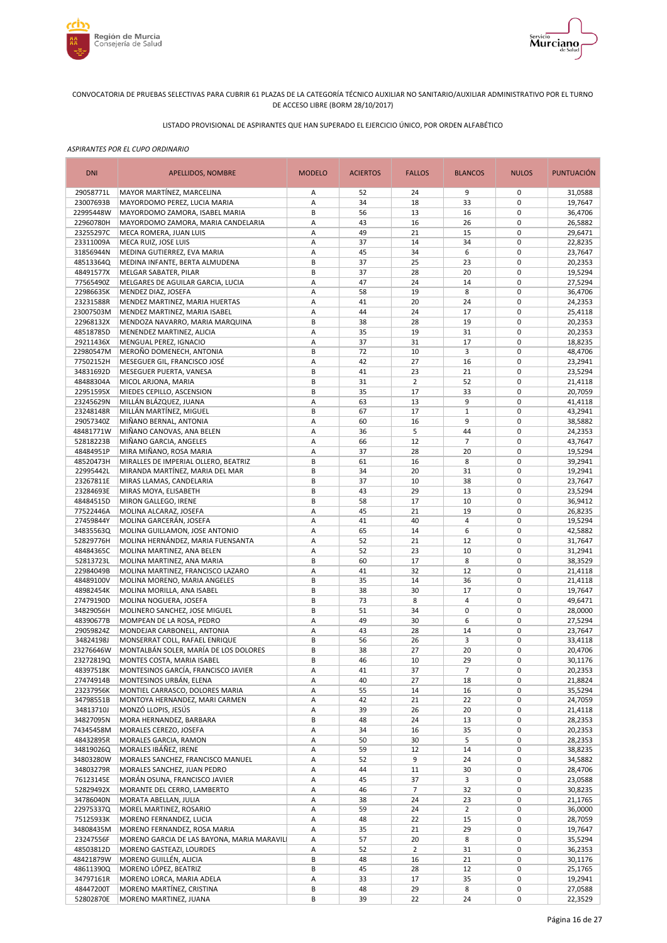



# LISTADO PROVISIONAL DE ASPIRANTES QUE HAN SUPERADO EL EJERCICIO ÚNICO, POR ORDEN ALFABÉTICO

| <b>DNI</b>             | APELLIDOS, NOMBRE                                                 | <b>MODELO</b> | <b>ACIERTOS</b> | <b>FALLOS</b>  | <b>BLANCOS</b>    | <b>NULOS</b>               | <b>PUNTUACIÓN</b>  |
|------------------------|-------------------------------------------------------------------|---------------|-----------------|----------------|-------------------|----------------------------|--------------------|
| 29058771L              | MAYOR MARTÍNEZ, MARCELINA                                         | Α             | 52              | 24             | 9                 | 0                          | 31,0588            |
| 23007693B              | MAYORDOMO PEREZ, LUCIA MARIA                                      | Α             | 34              | 18             | 33                | 0                          | 19,7647            |
| 22995448W              | MAYORDOMO ZAMORA, ISABEL MARIA                                    | B             | 56              | 13             | 16                | $\mathbf 0$                | 36,4706            |
| 22960780H<br>23255297C | MAYORDOMO ZAMORA, MARIA CANDELARIA<br>MECA ROMERA, JUAN LUIS      | Α<br>Α        | 43<br>49        | 16<br>21       | 26<br>15          | 0<br>$\mathbf 0$           | 26,5882<br>29,6471 |
| 23311009A              | MECA RUIZ, JOSE LUIS                                              | Α             | 37              | 14             | 34                | 0                          | 22,8235            |
| 31856944N              | MEDINA GUTIERREZ, EVA MARIA                                       | Α             | 45              | 34             | 6                 | $\mathbf 0$                | 23,7647            |
| 48513364Q              | MEDINA INFANTE, BERTA ALMUDENA                                    | B             | 37              | 25             | 23                | $\mathbf 0$                | 20,2353            |
| 48491577X              | MELGAR SABATER, PILAR                                             | B             | 37              | 28             | 20                | $\mathbf 0$                | 19,5294            |
| 77565490Z              | MELGARES DE AGUILAR GARCIA, LUCIA                                 | Α             | 47              | 24             | 14                | $\mathbf 0$                | 27,5294            |
| 22986635K              | MENDEZ DIAZ, JOSEFA                                               | Α             | 58              | 19             | 8                 | $\mathbf 0$                | 36,4706            |
| 23231588R              | MENDEZ MARTINEZ, MARIA HUERTAS                                    | Α             | 41              | 20             | 24                | $\mathbf 0$                | 24,2353            |
| 23007503M<br>22968132X | MENDEZ MARTINEZ, MARIA ISABEL<br>MENDOZA NAVARRO, MARIA MARQUINA  | Α<br>B        | 44<br>38        | 24<br>28       | 17<br>19          | $\mathbf 0$<br>$\mathbf 0$ | 25,4118<br>20,2353 |
| 48518785D              | MENENDEZ MARTINEZ, ALICIA                                         | Α             | 35              | 19             | 31                | $\mathbf 0$                | 20,2353            |
| 29211436X              | MENGUAL PEREZ, IGNACIO                                            | Α             | 37              | 31             | 17                | $\mathbf 0$                | 18,8235            |
| 22980547M              | MEROÑO DOMENECH, ANTONIA                                          | B             | 72              | 10             | 3                 | $\mathbf 0$                | 48,4706            |
| 77502152H              | MESEGUER GIL, FRANCISCO JOSÉ                                      | Α             | 42              | 27             | 16                | $\mathbf 0$                | 23,2941            |
| 34831692D              | MESEGUER PUERTA, VANESA                                           | B             | 41              | 23             | 21                | 0                          | 23,5294            |
| 48488304A              | MICOL ARJONA, MARIA                                               | B             | 31              | $\overline{2}$ | 52                | $\mathbf 0$                | 21,4118            |
| 22951595X              | MIEDES CEPILLO, ASCENSION                                         | B             | 35              | 17             | 33                | 0                          | 20,7059            |
| 23245629N              | MILLÁN BLÁZQUEZ, JUANA                                            | A             | 63              | 13             | 9                 | $\mathbf 0$                | 41,4118            |
| 23248148R              | MILLÁN MARTÍNEZ, MIGUEL                                           | B<br>A        | 67<br>60        | 17<br>16       | $\mathbf{1}$<br>9 | $\mathbf 0$<br>$\mathbf 0$ | 43,2941            |
| 29057340Z<br>48481771W | MIÑANO BERNAL, ANTONIA<br>MIÑANO CANOVAS, ANA BELEN               | Α             | 36              | 5              | 44                | 0                          | 38,5882<br>24,2353 |
| 52818223B              | MIÑANO GARCIA, ANGELES                                            | Α             | 66              | 12             | $\overline{7}$    | $\mathbf 0$                | 43,7647            |
| 48484951P              | MIRA MIÑANO, ROSA MARIA                                           | Α             | 37              | 28             | 20                | 0                          | 19,5294            |
| 48520473H              | MIRALLES DE IMPERIAL OLLERO, BEATRIZ                              | B             | 61              | 16             | 8                 | $\mathbf 0$                | 39,2941            |
| 22995442L              | MIRANDA MARTÍNEZ, MARIA DEL MAR                                   | В             | 34              | 20             | 31                | 0                          | 19,2941            |
| 23267811E              | MIRAS LLAMAS, CANDELARIA                                          | В             | 37              | 10             | 38                | $\mathbf 0$                | 23,7647            |
| 23284693E              | MIRAS MOYA, ELISABETH                                             | B             | 43              | 29             | 13                | 0                          | 23,5294            |
| 48484515D              | MIRON GALLEGO, IRENE                                              | B             | 58              | 17             | 10                | $\mathbf 0$                | 36,9412            |
| 77522446A<br>27459844Y | MOLINA ALCARAZ, JOSEFA<br>MOLINA GARCERÁN, JOSEFA                 | A             | 45<br>41        | 21<br>40       | 19<br>4           | $\mathbf 0$<br>$\mathbf 0$ | 26,8235<br>19,5294 |
| 34835563Q              | MOLINA GUILLAMON, JOSE ANTONIO                                    | Α<br>Α        | 65              | 14             | 6                 | $\mathbf 0$                | 42,5882            |
| 52829776H              | MOLINA HERNÁNDEZ, MARIA FUENSANTA                                 | Α             | 52              | 21             | 12                | $\mathbf 0$                | 31,7647            |
| 48484365C              | MOLINA MARTINEZ, ANA BELEN                                        | Α             | 52              | 23             | 10                | $\mathbf 0$                | 31,2941            |
| 52813723L              | MOLINA MARTINEZ, ANA MARIA                                        | B             | 60              | 17             | 8                 | $\mathbf 0$                | 38,3529            |
| 22984049B              | MOLINA MARTINEZ, FRANCISCO LAZARO                                 | Α             | 41              | 32             | 12                | $\mathbf 0$                | 21,4118            |
| 48489100V              | MOLINA MORENO, MARIA ANGELES                                      | B             | 35              | 14             | 36                | $\mathbf 0$                | 21,4118            |
| 48982454K<br>27479190D | MOLINA MORILLA, ANA ISABEL                                        | B<br>B        | 38<br>73        | 30<br>8        | 17<br>4           | $\mathbf 0$<br>$\mathbf 0$ | 19,7647            |
| 34829056H              | MOLINA NOGUERA, JOSEFA<br>MOLINERO SANCHEZ, JOSE MIGUEL           | B             | 51              | 34             | 0                 | $\mathbf 0$                | 49,6471<br>28,0000 |
| 48390677B              | MOMPEAN DE LA ROSA, PEDRO                                         | Α             | 49              | 30             | 6                 | 0                          | 27,5294            |
| 29059824Z              | MONDEJAR CARBONELL, ANTONIA                                       | A             | 43              | 28             | 14                | $\mathbf 0$                | 23,7647            |
| 34824198J              | MONSERRAT COLL, RAFAEL ENRIQUE                                    | B             | 56              | 26             | 3                 | 0                          | 33,4118            |
| 23276646W              | MONTALBÁN SOLER, MARÍA DE LOS DOLORES                             | B             | 38              | 27             | 20                | $\mathbf 0$                | 20,4706            |
| 23272819Q              | MONTES COSTA, MARIA ISABEL                                        | B             | 46              | 10             | 29                | $\mathbf 0$                | 30,1176            |
| 48397518K              | MONTESINOS GARCÍA, FRANCISCO JAVIER                               | Α             | 41              | 37             | $\overline{7}$    | 0                          | 20,2353            |
| 27474914B              | MONTESINOS URBÁN, ELENA                                           | Α             | 40              | 27             | 18                | 0                          | 21,8824            |
| 23237956K<br>34798551B | MONTIEL CARRASCO, DOLORES MARIA<br>MONTOYA HERNANDEZ, MARI CARMEN | Α             | 55<br>42        | 14<br>21       | 16<br>22          | 0<br>0                     | 35,5294<br>24,7059 |
| 34813710J              | MONZÓ LLOPIS, JESÚS                                               | А<br>A        | 39              | 26             | 20                | 0                          | 21,4118            |
| 34827095N              | MORA HERNANDEZ, BARBARA                                           | В             | 48              | 24             | 13                | 0                          | 28,2353            |
| 74345458M              | MORALES CEREZO, JOSEFA                                            | Α             | 34              | 16             | 35                | 0                          | 20,2353            |
| 48432895R              | MORALES GARCIA, RAMON                                             | Α             | 50              | 30             | 5                 | 0                          | 28,2353            |
| 34819026Q              | MORALES IBÁÑEZ, IRENE                                             | Α             | 59              | 12             | 14                | 0                          | 38,8235            |
| 34803280W              | MORALES SANCHEZ, FRANCISCO MANUEL                                 | Α             | 52              | 9              | 24                | 0                          | 34,5882            |
| 34803279R              | MORALES SANCHEZ, JUAN PEDRO                                       | Α             | 44              | 11             | 30                | 0                          | 28,4706            |
| 76123145E              | MORÁN OSUNA, FRANCISCO JAVIER                                     | Α             | 45              | 37             | 3                 | 0                          | 23,0588            |
| 52829492X<br>34786040N | MORANTE DEL CERRO, LAMBERTO<br>MORATA ABELLAN, JULIA              | Α<br>Α        | 46<br>38        | 7<br>24        | 32<br>23          | 0<br>0                     | 30,8235<br>21,1765 |
| 22975337Q              | MOREL MARTINEZ, ROSARIO                                           | Α             | 59              | 24             | $\overline{2}$    | 0                          | 36,0000            |
| 75125933K              | MORENO FERNANDEZ, LUCIA                                           | Α             | 48              | 22             | 15                | 0                          | 28,7059            |
| 34808435M              | MORENO FERNANDEZ, ROSA MARIA                                      | Α             | 35              | 21             | 29                | 0                          | 19,7647            |
| 23247556F              | MORENO GARCIA DE LAS BAYONA, MARIA MARAVIL                        | Α             | 57              | 20             | 8                 | 0                          | 35,5294            |
| 48503812D              | MORENO GASTEAZI, LOURDES                                          | Α             | 52              | $\overline{2}$ | 31                | 0                          | 36,2353            |
| 48421879W              | MORENO GUILLÉN, ALICIA                                            | B             | 48              | 16             | 21                | 0                          | 30,1176            |
| 48611390Q              | MORENO LÓPEZ, BEATRIZ                                             | B             | 45              | 28             | 12                | 0                          | 25,1765            |
| 34797161R<br>48447200T | MORENO LORCA, MARIA ADELA<br>MORENO MARTÍNEZ, CRISTINA            | Α<br>B        | 33<br>48        | 17<br>29       | 35<br>8           | 0<br>0                     | 19,2941<br>27,0588 |
| 52802870E              | MORENO MARTINEZ, JUANA                                            | B             | 39              | 22             | 24                | $\pmb{0}$                  | 22,3529            |
|                        |                                                                   |               |                 |                |                   |                            |                    |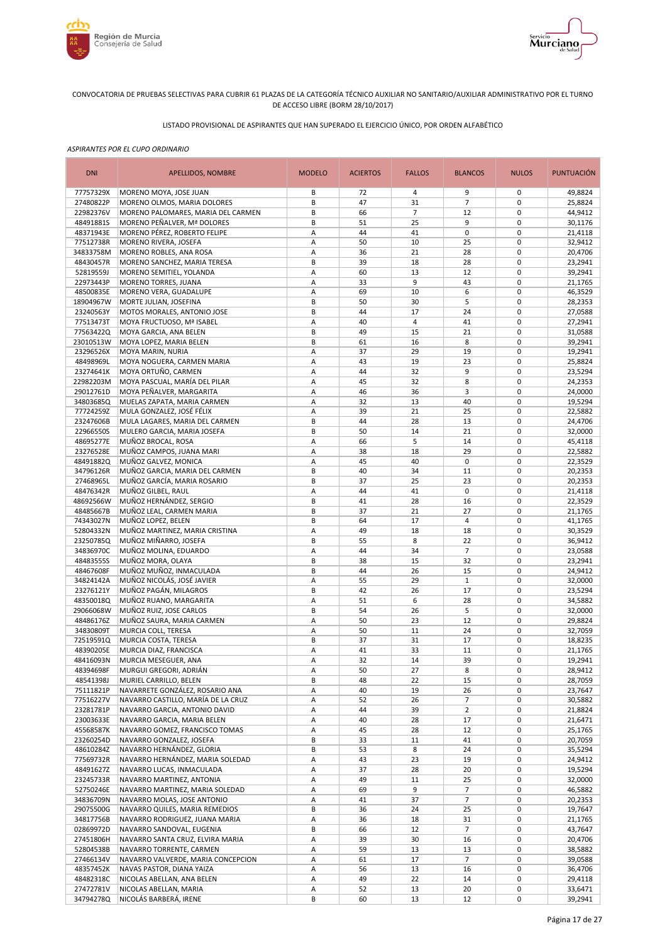



# LISTADO PROVISIONAL DE ASPIRANTES QUE HAN SUPERADO EL EJERCICIO ÚNICO, POR ORDEN ALFABÉTICO

| <b>DNI</b>             | APELLIDOS, NOMBRE                                                 | <b>MODELO</b> | <b>ACIERTOS</b> | <b>FALLOS</b>  | <b>BLANCOS</b>       | <b>NULOS</b>               | <b>PUNTUACIÓN</b>  |
|------------------------|-------------------------------------------------------------------|---------------|-----------------|----------------|----------------------|----------------------------|--------------------|
| 77757329X              | MORENO MOYA, JOSE JUAN                                            | В             | 72              | 4              | 9                    | 0                          | 49,8824            |
| 27480822P              | MORENO OLMOS, MARIA DOLORES                                       | B             | 47              | 31             | $\overline{7}$       | $\mathbf 0$                | 25,8824            |
| 22982376V              | MORENO PALOMARES, MARIA DEL CARMEN<br>MORENO PEÑALVER, Mª DOLORES | B             | 66              | $\overline{7}$ | 12                   | $\mathbf 0$                | 44,9412            |
| 48491881S<br>48371943E | MORENO PÉREZ, ROBERTO FELIPE                                      | B<br>А        | 51<br>44        | 25<br>41       | 9<br>$\pmb{0}$       | $\pmb{0}$<br>$\mathbf 0$   | 30,1176<br>21,4118 |
| 77512738R              | MORENO RIVERA, JOSEFA                                             | А             | 50              | 10             | 25                   | $\pmb{0}$                  | 32,9412            |
| 34833758M              | MORENO ROBLES, ANA ROSA                                           | Α             | 36              | 21             | 28                   | $\mathbf 0$                | 20,4706            |
| 48430457R              | MORENO SANCHEZ, MARIA TERESA                                      | B             | 39              | 18             | 28                   | $\pmb{0}$                  | 23,2941            |
| 52819559J              | MORENO SEMITIEL, YOLANDA                                          | А             | 60              | 13             | 12                   | $\mathbf 0$                | 39,2941            |
| 22973443P              | MORENO TORRES, JUANA                                              | Α             | 33              | 9              | 43                   | $\mathbf 0$                | 21,1765            |
| 48500835E              | MORENO VERA, GUADALUPE                                            | А             | 69              | 10             | 6                    | $\mathbf 0$                | 46,3529            |
| 18904967W              | MORTE JULIAN, JOSEFINA                                            | B<br>B        | 50              | 30<br>17       | 5                    | $\mathbf 0$<br>$\mathbf 0$ | 28,2353            |
| 23240563Y<br>77513473T | MOTOS MORALES, ANTONIO JOSE<br>MOYA FRUCTUOSO, Mª ISABEL          | Α             | 44<br>40        | $\overline{4}$ | 24<br>41             | $\mathbf 0$                | 27,0588<br>27,2941 |
| 77563422Q              | MOYA GARCIA, ANA BELEN                                            | B             | 49              | 15             | 21                   | $\mathbf 0$                | 31,0588            |
| 23010513W              | MOYA LOPEZ, MARIA BELEN                                           | B             | 61              | 16             | 8                    | $\mathbf 0$                | 39,2941            |
| 23296526X              | MOYA MARIN, NURIA                                                 | А             | 37              | 29             | 19                   | $\mathbf 0$                | 19,2941            |
| 48498969L              | MOYA NOGUERA, CARMEN MARIA                                        | А             | 43              | 19             | 23                   | $\mathbf 0$                | 25,8824            |
| 23274641K              | MOYA ORTUÑO, CARMEN                                               | Α             | 44              | 32             | 9                    | $\mathbf 0$                | 23,5294            |
| 22982203M              | MOYA PASCUAL, MARÍA DEL PILAR                                     | А             | 45              | 32             | 8                    | $\mathbf 0$                | 24,2353            |
| 29012761D              | MOYA PEÑALVER, MARGARITA                                          | А             | 46              | 36             | 3                    | $\mathbf 0$                | 24,0000            |
| 34803685Q              | MUELAS ZAPATA, MARIA CARMEN                                       | А             | 32              | 13             | 40                   | $\mathbf 0$                | 19,5294            |
| 77724259Z              | MULA GONZALEZ, JOSÉ FÉLIX                                         | А<br>B        | 39<br>44        | 21             | 25                   | $\mathbf 0$<br>$\mathbf 0$ | 22,5882            |
| 23247606B<br>22966550S | MULA LAGARES, MARIA DEL CARMEN<br>MULERO GARCIA, MARIA JOSEFA     | B             | 50              | 28<br>14       | 13<br>21             | $\mathbf 0$                | 24,4706<br>32,0000 |
| 48695277E              | MUÑOZ BROCAL, ROSA                                                | А             | 66              | 5              | 14                   | $\mathbf 0$                | 45,4118            |
| 23276528E              | MUÑOZ CAMPOS, JUANA MARI                                          | А             | 38              | 18             | 29                   | $\mathbf 0$                | 22,5882            |
| 48491882Q              | MUÑOZ GALVEZ, MONICA                                              | А             | 45              | 40             | $\pmb{0}$            | $\pmb{0}$                  | 22,3529            |
| 34796126R              | MUÑOZ GARCIA, MARIA DEL CARMEN                                    | B             | 40              | 34             | 11                   | $\pmb{0}$                  | 20,2353            |
| 27468965L              | MUÑOZ GARCÍA, MARIA ROSARIO                                       | B             | 37              | 25             | 23                   | $\mathbf 0$                | 20,2353            |
| 48476342R              | MUÑOZ GILBEL, RAUL                                                | А             | 44              | 41             | 0                    | $\pmb{0}$                  | 21,4118            |
| 48692566W              | MUÑOZ HERNÁNDEZ, SERGIO                                           | В             | 41              | 28             | 16                   | $\mathbf 0$                | 22,3529            |
| 48485667B              | MUÑOZ LEAL, CARMEN MARIA                                          | B             | 37              | 21             | 27                   | $\pmb{0}$                  | 21,1765            |
| 74343027N<br>52804332N | MUÑOZ LOPEZ, BELEN<br>MUÑOZ MARTINEZ, MARIA CRISTINA              | В<br>А        | 64<br>49        | 17<br>18       | $\overline{4}$<br>18 | $\mathbf 0$<br>$\mathbf 0$ | 41,1765<br>30,3529 |
| 23250785Q              | MUÑOZ MIÑARRO, JOSEFA                                             | B             | 55              | 8              | 22                   | $\mathbf 0$                | 36,9412            |
| 34836970C              | MUÑOZ MOLINA, EDUARDO                                             | А             | 44              | 34             | $\overline{7}$       | $\mathbf 0$                | 23,0588            |
| 48483555S              | MUÑOZ MORA, OLAYA                                                 | B             | 38              | 15             | 32                   | $\mathbf 0$                | 23,2941            |
| 48467608F              | MUÑOZ MUÑOZ, INMACULADA                                           | B             | 44              | 26             | 15                   | $\mathbf 0$                | 24,9412            |
| 34824142A              | MUÑOZ NICOLÁS, JOSÉ JAVIER                                        | Α             | 55              | 29             | $\mathbf 1$          | $\mathbf 0$                | 32,0000            |
| 23276121Y              | MUÑOZ PAGÁN, MILAGROS                                             | B             | 42              | 26             | 17                   | $\mathbf 0$                | 23,5294            |
| 48350018Q              | MUÑOZ RUANO, MARGARITA                                            | Α             | 51              | 6              | 28                   | $\mathbf 0$                | 34,5882            |
| 29066068W              | MUÑOZ RUIZ, JOSE CARLOS                                           | B             | 54              | 26             | 5                    | $\mathbf 0$                | 32,0000            |
| 48486176Z<br>34830809T | MUÑOZ SAURA, MARIA CARMEN<br>MURCIA COLL, TERESA                  | А<br>A        | 50<br>50        | 23<br>11       | 12<br>24             | $\mathbf 0$<br>$\mathbf 0$ | 29,8824<br>32,7059 |
| 72519591Q              | MURCIA COSTA, TERESA                                              | B             | 37              | 31             | 17                   | $\mathbf 0$                | 18,8235            |
| 48390205E              | MURCIA DIAZ, FRANCISCA                                            | Α             | 41              | 33             | 11                   | $\mathbf 0$                | 21,1765            |
| 48416093N              | MURCIA MESEGUER, ANA                                              | A             | 32              | 14             | 39                   | $\mathbf 0$                | 19,2941            |
| 48394698F              | MURGUI GREGORI, ADRIÁN                                            | Α             | 50              | 27             | 8                    | 0                          | 28,9412            |
| 48541398J              | MURIEL CARRILLO, BELEN                                            | B             | 48              | 22             | 15                   | $\pmb{0}$                  | 28,7059            |
| 75111821P              | NAVARRETE GONZÁLEZ, ROSARIO ANA                                   | Α             | 40              | 19             | 26                   | 0                          | 23,7647            |
| 77516227V              | NAVARRO CASTILLO, MARÍA DE LA CRUZ                                | Α             | 52              | 26             | $\overline{7}$       | $\pmb{0}$                  | 30,5882            |
| 23281781P              | NAVARRO GARCIA, ANTONIO DAVID                                     | Α             | 44              | 39             | $\overline{2}$       | $\pmb{0}$                  | 21,8824            |
| 23003633E<br>45568587K | NAVARRO GARCIA, MARIA BELEN<br>NAVARRO GOMEZ, FRANCISCO TOMAS     | Α<br>Α        | 40<br>45        | 28<br>28       | 17<br>12             | $\pmb{0}$<br>0             | 21,6471<br>25,1765 |
| 23260254D              | NAVARRO GONZALEZ, JOSEFA                                          | В             | 33              | 11             | 41                   | $\pmb{0}$                  | 20,7059            |
| 48610284Z              | NAVARRO HERNÁNDEZ, GLORIA                                         | B             | 53              | 8              | 24                   | 0                          | 35,5294            |
| 77569732R              | NAVARRO HERNÁNDEZ, MARIA SOLEDAD                                  | Α             | 43              | 23             | 19                   | $\pmb{0}$                  | 24,9412            |
| 48491627Z              | NAVARRO LUCAS, INMACULADA                                         | А             | 37              | 28             | 20                   | $\pmb{0}$                  | 19,5294            |
| 23245733R              | NAVARRO MARTINEZ, ANTONIA                                         | Α             | 49              | 11             | 25                   | $\pmb{0}$                  | 32,0000            |
| 52750246E              | NAVARRO MARTINEZ, MARIA SOLEDAD                                   | А             | 69              | 9              | 7                    | $\mathbf 0$                | 46,5882            |
| 34836709N              | NAVARRO MOLAS, JOSE ANTONIO                                       | Α             | 41              | 37             | $\overline{7}$       | $\pmb{0}$                  | 20,2353            |
| 29075500G              | NAVARRO QUILES, MARIA REMEDIOS                                    | B             | 36              | 24             | 25                   | 0                          | 19,7647            |
| 34817756B              | NAVARRO RODRIGUEZ, JUANA MARIA                                    | А             | 36              | 18             | 31                   | 0                          | 21,1765            |
| 02869972D<br>27451806H | NAVARRO SANDOVAL, EUGENIA                                         | B<br>А        | 66              | 12             | $\overline{7}$       | $\mathbf 0$<br>$\pmb{0}$   | 43,7647<br>20,4706 |
| 52804538B              | NAVARRO SANTA CRUZ, ELVIRA MARIA<br>NAVARRO TORRENTE, CARMEN      | Α             | 39<br>59        | 30<br>13       | 16<br>13             | 0                          | 38,5882            |
| 27466134V              | NAVARRO VALVERDE, MARIA CONCEPCION                                | Α             | 61              | 17             | $\overline{7}$       | $\pmb{0}$                  | 39,0588            |
| 48357452K              | NAVAS PASTOR, DIANA YAIZA                                         | Α             | 56              | 13             | 16                   | $\pmb{0}$                  | 36,4706            |
| 48482318C              | NICOLAS ABELLAN, ANA BELEN                                        | А             | 49              | 22             | 14                   | $\pmb{0}$                  | 29,4118            |
| 27472781V              | NICOLAS ABELLAN, MARIA                                            | Α             | 52              | 13             | 20                   | $\pmb{0}$                  | 33,6471            |
| 34794278Q              | NICOLÁS BARBERÁ, IRENE                                            | В             | 60              | 13             | 12                   | 0                          | 39,2941            |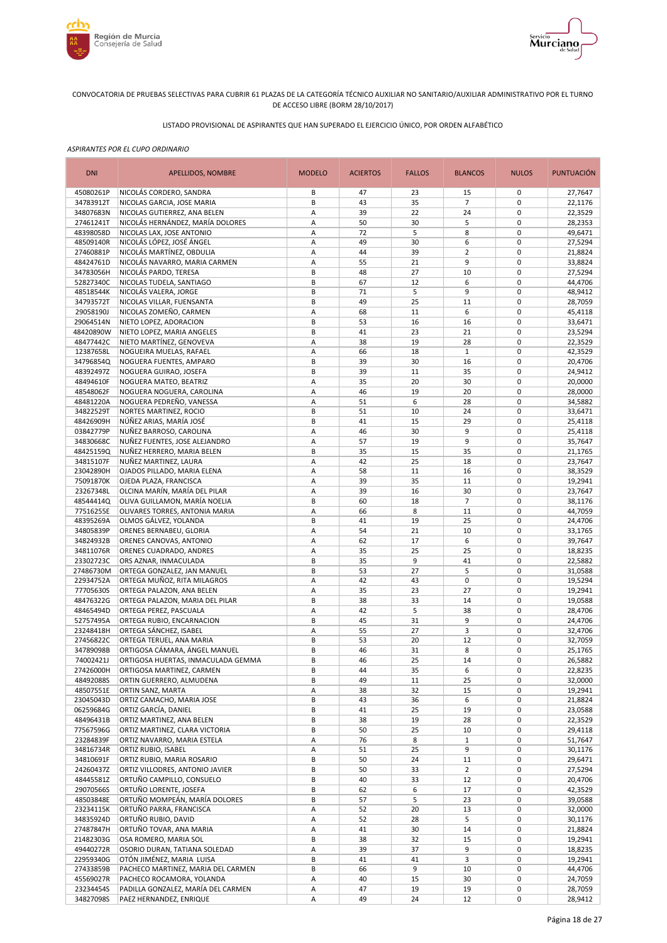



# LISTADO PROVISIONAL DE ASPIRANTES QUE HAN SUPERADO EL EJERCICIO ÚNICO, POR ORDEN ALFABÉTICO

| <b>DNI</b><br><b>MODELO</b><br><b>FALLOS</b><br><b>BLANCOS</b><br>APELLIDOS, NOMBRE<br><b>ACIERTOS</b>                           | <b>NULOS</b>               | <b>PUNTUACIÓN</b>  |
|----------------------------------------------------------------------------------------------------------------------------------|----------------------------|--------------------|
| 45080261P<br>NICOLÁS CORDERO, SANDRA<br>В<br>47<br>23<br>15                                                                      | 0                          | 27,7647            |
| $\overline{7}$<br>34783912T<br>NICOLAS GARCIA, JOSE MARIA<br>B<br>43<br>35                                                       | $\mathbf 0$                | 22,1176            |
| 34807683N<br>NICOLAS GUTIERREZ, ANA BELEN<br>А<br>39<br>22<br>24<br>NICOLÁS HERNÁNDEZ, MARÍA DOLORES                             | $\mathbf 0$                | 22,3529            |
| 27461241T<br>А<br>50<br>30<br>5<br>5<br>48398058D<br>NICOLAS LAX, JOSE ANTONIO<br>А<br>72<br>8                                   | $\pmb{0}$<br>$\mathbf 0$   | 28,2353<br>49,6471 |
| NICOLÁS LÓPEZ, JOSÉ ÁNGEL<br>48509140R<br>А<br>49<br>30<br>6                                                                     | $\mathbf 0$                | 27,5294            |
| 27460881P<br>NICOLÁS MARTÍNEZ, OBDULIA<br>А<br>44<br>39<br>$\overline{2}$                                                        | $\mathbf 0$                | 21,8824            |
| 48424761D<br>NICOLÁS NAVARRO, MARIA CARMEN<br>21<br>9<br>Α<br>55                                                                 | $\mathbf 0$                | 33,8824            |
| 34783056H<br>NICOLÁS PARDO, TERESA<br>B<br>48<br>27<br>10                                                                        | $\mathbf 0$                | 27,5294            |
| 6<br>52827340C<br>NICOLAS TUDELA, SANTIAGO<br>B<br>67<br>12                                                                      | $\mathbf 0$                | 44,4706            |
| 5<br>NICOLÁS VALERA, JORGE<br>B<br>9<br>48518544K<br>71                                                                          | $\mathbf 0$                | 48,9412            |
| 34793572T<br>NICOLAS VILLAR, FUENSANTA<br>B<br>49<br>25<br>11                                                                    | $\mathbf 0$                | 28,7059            |
| 29058190J<br>NICOLAS ZOMEÑO, CARMEN<br>11<br>6<br>Α<br>68<br>29064514N<br>B<br>53<br>16                                          | $\mathbf 0$<br>$\mathbf 0$ | 45,4118            |
| NIETO LOPEZ, ADORACION<br>16<br>48420890W<br>NIETO LOPEZ, MARIA ANGELES<br>B<br>41<br>23<br>21                                   | $\mathbf 0$                | 33,6471<br>23,5294 |
| 48477442C<br>NIETO MARTÍNEZ, GENOVEVA<br>А<br>38<br>19<br>28                                                                     | $\mathbf 0$                | 22,3529            |
| 12387658L<br>NOGUEIRA MUELAS, RAFAEL<br>А<br>66<br>18<br>$\mathbf{1}$                                                            | $\mathbf 0$                | 42,3529            |
| 34796854Q<br>NOGUERA FUENTES, AMPARO<br>B<br>39<br>30<br>16                                                                      | $\mathbf 0$                | 20,4706            |
| 48392497Z<br>NOGUERA GUIRAO, JOSEFA<br>B<br>39<br>35<br>11                                                                       | $\mathbf 0$                | 24,9412            |
| 35<br>30<br>48494610F<br>NOGUERA MATEO, BEATRIZ<br>A<br>20                                                                       | $\mathbf 0$                | 20,0000            |
| 48548062F<br>NOGUERA NOGUERA, CAROLINA<br>46<br>19<br>20<br>Α                                                                    | $\mathbf 0$                | 28,0000            |
| 6<br>48481220A<br>А<br>51<br>28<br>NOGUERA PEDREÑO, VANESSA                                                                      | $\mathbf 0$                | 34,5882            |
| 34822529T<br>NORTES MARTINEZ, ROCIO<br>B<br>51<br>10<br>24                                                                       | $\mathbf 0$                | 33,6471            |
| NÚÑEZ ARIAS, MARÍA JOSÉ<br>B<br>41<br>29<br>48426909H<br>15<br>46<br>9                                                           | $\mathbf 0$<br>$\mathbf 0$ | 25,4118            |
| 03842779P<br>NUÑEZ BARROSO, CAROLINA<br>А<br>30<br>57<br>9<br>34830668C<br>NUÑEZ FUENTES, JOSE ALEJANDRO<br>А<br>19              | $\mathbf 0$                | 25,4118<br>35,7647 |
| 48425159Q<br>NUÑEZ HERRERO, MARIA BELEN<br>B<br>35<br>15<br>35                                                                   | $\mathbf 0$                | 21,1765            |
| 42<br>25<br>34815107F<br>NUÑEZ MARTINEZ, LAURA<br>А<br>18                                                                        | $\pmb{0}$                  | 23,7647            |
| 23042890H<br>OJADOS PILLADO, MARIA ELENA<br>А<br>58<br>11<br>16                                                                  | $\pmb{0}$                  | 38,3529            |
| 75091870K<br>OJEDA PLAZA, FRANCISCA<br>А<br>39<br>35<br>11                                                                       | $\mathbf 0$                | 19,2941            |
| 23267348L<br>OLCINA MARÍN, MARÍA DEL PILAR<br>А<br>39<br>16<br>30                                                                | $\pmb{0}$                  | 23,7647            |
| OLIVA GUILLAMON, MARÍA NOELIA<br>B<br>60<br>18<br>$\overline{7}$<br>48544414Q                                                    | $\mathbf 0$                | 38,1176            |
| 77516255E<br>OLIVARES TORRES, ANTONIA MARIA<br>66<br>8<br>А<br>11                                                                | $\mathbf 0$                | 44,7059            |
| 48395269A<br>OLMOS GÁLVEZ, YOLANDA<br>B<br>19<br>25<br>41                                                                        | $\mathbf 0$                | 24,4706            |
| 34805839P<br>ORENES BERNABEU, GLORIA<br>А<br>54<br>21<br>10<br>6<br>ORENES CANOVAS, ANTONIO<br>А<br>62<br>17<br>34824932B        | $\mathbf 0$<br>$\mathbf 0$ | 33,1765<br>39,7647 |
| 34811076R<br>ORENES CUADRADO, ANDRES<br>35<br>25<br>Α<br>25                                                                      | $\mathbf 0$                | 18,8235            |
| 23302723C<br>B<br>35<br>9<br>41<br>ORS AZNAR, INMACULADA                                                                         | $\mathbf 0$                | 22,5882            |
| 5<br>27486730M<br>ORTEGA GONZALEZ, JAN MANUEL<br>B<br>53<br>27                                                                   | $\mathbf 0$                | 31,0588            |
| 22934752A<br>ORTEGA MUÑOZ, RITA MILAGROS<br>А<br>42<br>43<br>$\mathbf 0$                                                         | $\mathbf 0$                | 19,5294            |
| 77705630S<br>Α<br>35<br>23<br>27<br>ORTEGA PALAZON, ANA BELEN                                                                    | $\mathbf 0$                | 19,2941            |
| 48476322G<br>B<br>38<br>33<br>ORTEGA PALAZON, MARIA DEL PILAR<br>14                                                              | $\mathbf 0$                | 19,0588            |
| 5<br>48465494D<br>ORTEGA PEREZ, PASCUALA<br>А<br>42<br>38                                                                        | $\mathbf 0$                | 28,4706            |
| 52757495A<br>ORTEGA RUBIO, ENCARNACION<br>B<br>45<br>31<br>9                                                                     | $\mathbf 0$                | 24,4706            |
| 23248418H<br>ORTEGA SÁNCHEZ, ISABEL<br>А<br>55<br>27<br>3<br>27456822C<br>ORTEGA TERUEL, ANA MARIA<br>B<br>53<br>20<br>12        | $\mathbf 0$<br>$\mathbf 0$ | 32,4706<br>32,7059 |
| 46<br>31<br>8<br>34789098B<br>ORTIGOSA CÁMARA, ÁNGEL MANUEL<br>B                                                                 | $\mathbf 0$                | 25,1765            |
| B<br>74002421J<br>ORTIGOSA HUERTAS, INMACULADA GEMMA<br>46<br>25<br>14                                                           | $\mathbf 0$                | 26,5882            |
| 27426000H<br>ORTIGOSA MARTINEZ, CARMEN<br>В<br>44<br>35<br>6                                                                     | 0                          | 22,8235            |
| 48492088S<br>B<br>49<br>11<br>ORTIN GUERRERO, ALMUDENA<br>25                                                                     | $\pmb{0}$                  | 32,0000            |
| 48507551E<br>38<br>32<br>15<br>ORTIN SANZ, MARTA<br>Α                                                                            | 0                          | 19,2941            |
| 23045043D<br>ORTIZ CAMACHO, MARIA JOSE<br>В<br>43<br>36<br>6                                                                     | 0                          | 21,8824            |
| 06259684G<br>ORTIZ GARCÍA, DANIEL<br>В<br>41<br>25<br>19                                                                         | $\pmb{0}$                  | 23,0588            |
| 48496431B<br>ORTIZ MARTINEZ, ANA BELEN<br>В<br>38<br>19<br>28                                                                    | 0                          | 22,3529            |
| 77567596G<br>В<br>50<br>25<br>10<br>ORTIZ MARTINEZ, CLARA VICTORIA                                                               | 0                          | 29,4118            |
| 23284839F<br>ORTIZ NAVARRO, MARIA ESTELA<br>76<br>8<br>$1\,$<br>Α<br>51<br>25<br>9                                               | $\pmb{0}$<br>$\pmb{0}$     | 51,7647<br>30,1176 |
| 34816734R<br>ORTIZ RUBIO, ISABEL<br>Α<br>34810691F<br>ORTIZ RUBIO, MARIA ROSARIO<br>50<br>24<br>В<br>11                          | $\pmb{0}$                  | 29,6471            |
| 24260437Z<br>ORTIZ VILLODRES, ANTONIO JAVIER<br>33<br>$\overline{2}$<br>В<br>50                                                  | $\pmb{0}$                  | 27,5294            |
| 48445581Z<br>ORTUÑO CAMPILLO, CONSUELO<br>40<br>33<br>В<br>12                                                                    | $\pmb{0}$                  | 20,4706            |
| 29070566S<br>ORTUÑO LORENTE, JOSEFA<br>B<br>6<br>62<br>17                                                                        | $\pmb{0}$                  | 42,3529            |
| 5<br>48503848E<br>ORTUÑO MOMPEÁN, MARÍA DOLORES<br>В<br>57<br>23                                                                 | $\pmb{0}$                  | 39,0588            |
| 23234115K<br>ORTUÑO PARRA, FRANCISCA<br>20<br>Α<br>52<br>13                                                                      | 0                          | 32,0000            |
| 34835924D<br>ORTUÑO RUBIO, DAVID<br>5<br>Α<br>52<br>28                                                                           | $\pmb{0}$                  | 30,1176            |
| 27487847H<br>ORTUÑO TOVAR, ANA MARIA<br>А<br>41<br>30<br>14                                                                      | $\mathbf 0$                | 21,8824            |
| 21482303G<br>OSA ROMERO, MARIA SOL<br>В<br>15<br>38<br>32                                                                        | $\pmb{0}$                  | 19,2941            |
| 49440272R<br>39<br>37<br>9<br>OSORIO DURAN, TATIANA SOLEDAD<br>Α<br>22959340G<br>OTÓN JIMÉNEZ, MARIA LUISA<br>B<br>41<br>41<br>3 | $\pmb{0}$<br>$\pmb{0}$     | 18,8235<br>19,2941 |
| 27433859B<br>PACHECO MARTINEZ, MARIA DEL CARMEN<br>B<br>9<br>10<br>66                                                            | $\pmb{0}$                  | 44,4706            |
| 45569027R<br>PACHECO ROCAMORA, YOLANDA<br>А<br>40<br>15<br>30                                                                    | $\pmb{0}$                  | 24,7059            |
| 23234454S<br>PADILLA GONZALEZ, MARÍA DEL CARMEN<br>47<br>19<br>Α<br>19                                                           | $\pmb{0}$                  | 28,7059            |
| 34827098S<br>PAEZ HERNANDEZ, ENRIQUE<br>49<br>24<br>12<br>А                                                                      | 0                          | 28,9412            |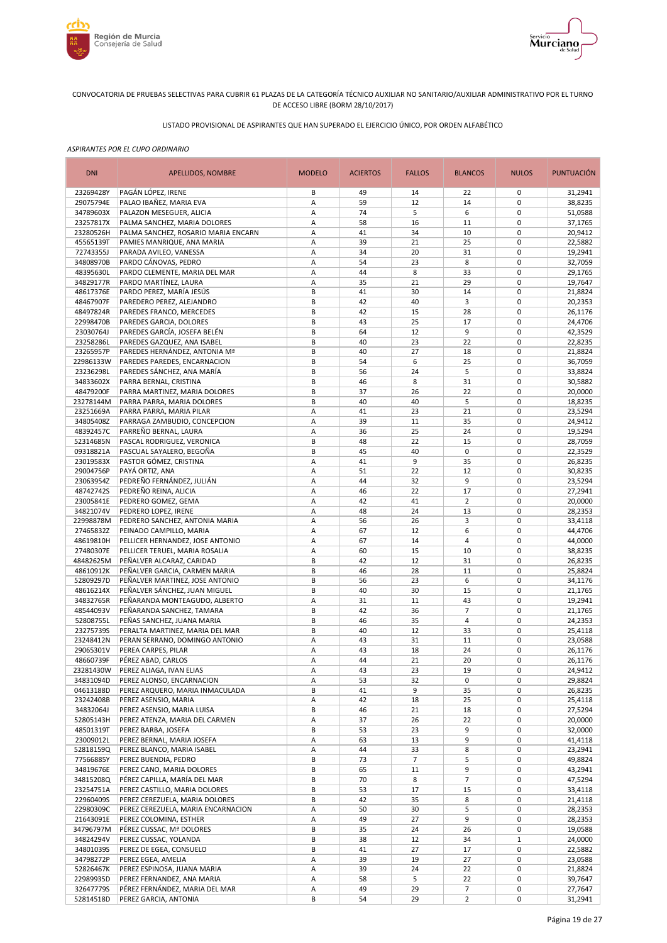



# LISTADO PROVISIONAL DE ASPIRANTES QUE HAN SUPERADO EL EJERCICIO ÚNICO, POR ORDEN ALFABÉTICO

| <b>DNI</b>             | APELLIDOS, NOMBRE                                                   | <b>MODELO</b> | <b>ACIERTOS</b> | <b>FALLOS</b>  | <b>BLANCOS</b> | <b>NULOS</b>               | <b>PUNTUACIÓN</b>  |
|------------------------|---------------------------------------------------------------------|---------------|-----------------|----------------|----------------|----------------------------|--------------------|
| 23269428Y              | PAGÁN LÓPEZ, IRENE                                                  | В             | 49              | 14             | 22             | 0                          | 31,2941            |
| 29075794E              | PALAO IBAÑEZ, MARIA EVA                                             | А             | 59              | 12             | 14             | $\mathbf 0$                | 38,8235            |
| 34789603X              | PALAZON MESEGUER, ALICIA                                            | Α<br>А        | 74<br>58        | 5<br>16        | 6              | $\mathbf 0$<br>$\mathbf 0$ | 51,0588            |
| 23257817X<br>23280526H | PALMA SANCHEZ, MARIA DOLORES<br>PALMA SANCHEZ, ROSARIO MARIA ENCARN | А             | 41              | 34             | 11<br>10       | $\mathbf 0$                | 37,1765<br>20,9412 |
| 45565139T              | PAMIES MANRIQUE, ANA MARIA                                          | Α             | 39              | 21             | 25             | $\mathbf 0$                | 22,5882            |
| 72743355J              | PARADA AVILEO, VANESSA                                              | А             | 34              | 20             | 31             | $\mathbf 0$                | 19,2941            |
| 34808970B              | PARDO CÁNOVAS, PEDRO                                                | А             | 54              | 23             | 8              | $\mathbf 0$                | 32,7059            |
| 48395630L              | PARDO CLEMENTE, MARIA DEL MAR                                       | А             | 44              | 8              | 33             | $\mathbf 0$                | 29,1765            |
| 34829177R              | PARDO MARTÍNEZ, LAURA                                               | Α             | 35              | 21             | 29             | $\mathbf 0$                | 19,7647            |
| 48617376E              | PARDO PEREZ, MARÍA JESÚS                                            | B             | 41              | 30             | 14             | $\mathbf 0$                | 21,8824            |
| 48467907F<br>48497824R | PAREDERO PEREZ, ALEJANDRO<br>PAREDES FRANCO, MERCEDES               | B<br>В        | 42<br>42        | 40<br>15       | 3<br>28        | $\mathbf 0$<br>$\mathbf 0$ | 20,2353<br>26,1176 |
| 22998470B              | PAREDES GARCIA, DOLORES                                             | B             | 43              | 25             | 17             | $\mathbf 0$                | 24,4706            |
| 23030764J              | PAREDES GARCÍA, JOSEFA BELÉN                                        | B             | 64              | 12             | 9              | $\mathbf 0$                | 42,3529            |
| 23258286L              | PAREDES GAZQUEZ, ANA ISABEL                                         | B             | 40              | 23             | 22             | $\mathbf 0$                | 22,8235            |
| 23265957P              | PAREDES HERNÁNDEZ, ANTONIA Mª                                       | B             | 40              | 27             | 18             | $\mathbf 0$                | 21,8824            |
| 22986133W              | PAREDES PAREDES, ENCARNACION                                        | B             | 54              | 6              | 25             | $\mathbf 0$                | 36,7059            |
| 23236298L              | PAREDES SÁNCHEZ, ANA MARÍA                                          | B             | 56              | 24             | 5              | $\mathbf 0$                | 33,8824            |
| 34833602X              | PARRA BERNAL, CRISTINA                                              | B             | 46              | 8              | 31             | $\mathbf 0$                | 30,5882            |
| 48479200F<br>23278144M | PARRA MARTINEZ, MARIA DOLORES<br>PARRA PARRA, MARIA DOLORES         | B<br>B        | 37<br>40        | 26<br>40       | 22<br>5        | $\mathbf 0$<br>$\mathbf 0$ | 20,0000<br>18,8235 |
| 23251669A              | PARRA PARRA, MARIA PILAR                                            | А             | 41              | 23             | 21             | $\pmb{0}$                  | 23,5294            |
| 34805408Z              | PARRAGA ZAMBUDIO, CONCEPCION                                        | А             | 39              | 11             | 35             | $\mathbf 0$                | 24,9412            |
| 48392457C              | PARREÑO BERNAL, LAURA                                               | А             | 36              | 25             | 24             | $\pmb{0}$                  | 19,5294            |
| 52314685N              | PASCAL RODRIGUEZ, VERONICA                                          | B             | 48              | 22             | 15             | $\mathbf 0$                | 28,7059            |
| 09318821A              | PASCUAL SAYALERO, BEGOÑA                                            | В             | 45              | 40             | $\pmb{0}$      | $\mathbf 0$                | 22,3529            |
| 23019583X              | PASTOR GÓMEZ, CRISTINA                                              | А             | 41              | 9              | 35             | $\mathbf 0$                | 26,8235            |
| 29004756P              | PAYÁ ORTIZ, ANA                                                     | Α             | 51              | 22             | 12             | $\mathbf 0$                | 30,8235            |
| 23063954Z<br>48742742S | PEDREÑO FERNÁNDEZ, JULIÁN<br>PEDREÑO REINA, ALICIA                  | Α<br>Α        | 44<br>46        | 32<br>22       | 9<br>17        | $\mathbf 0$<br>$\mathbf 0$ | 23,5294<br>27,2941 |
| 23005841E              | PEDRERO GOMEZ, GEMA                                                 | А             | 42              | 41             | $\overline{2}$ | $\mathbf 0$                | 20,0000            |
| 34821074V              | PEDRERO LOPEZ, IRENE                                                | А             | 48              | 24             | 13             | $\mathbf 0$                | 28,2353            |
| 22998878M              | PEDRERO SANCHEZ, ANTONIA MARIA                                      | А             | 56              | 26             | 3              | $\mathbf 0$                | 33,4118            |
| 27465832Z              | PEINADO CAMPILLO, MARIA                                             | А             | 67              | 12             | 6              | $\mathbf 0$                | 44,4706            |
| 48619810H              | PELLICER HERNANDEZ, JOSE ANTONIO                                    | А             | 67              | 14             | $\overline{4}$ | $\mathbf 0$                | 44,0000            |
| 27480307E              | PELLICER TERUEL, MARIA ROSALIA                                      | Α             | 60              | 15             | 10             | $\mathbf 0$                | 38,8235            |
| 48482625M<br>48610912K | PEÑALVER ALCARAZ, CARIDAD<br>PEÑALVER GARCIA, CARMEN MARIA          | B<br>B        | 42<br>46        | 12<br>28       | 31<br>11       | $\mathbf 0$<br>$\mathbf 0$ | 26,8235<br>25,8824 |
| 52809297D              | PEÑALVER MARTINEZ, JOSE ANTONIO                                     | B             | 56              | 23             | 6              | $\mathbf 0$                | 34,1176            |
| 48616214X              | PEÑALVER SÁNCHEZ, JUAN MIGUEL                                       | B             | 40              | 30             | 15             | $\mathbf 0$                | 21,1765            |
| 34832765R              | PEÑARANDA MONTEAGUDO, ALBERTO                                       | А             | 31              | 11             | 43             | $\mathbf 0$                | 19,2941            |
| 48544093V              | PEÑARANDA SANCHEZ, TAMARA                                           | B             | 42              | 36             | $\overline{7}$ | $\mathbf 0$                | 21,1765            |
| 52808755L              | PEÑAS SANCHEZ, JUANA MARIA                                          | B             | 46              | 35             | $\overline{4}$ | $\mathbf 0$                | 24,2353            |
| 23275739S              | PERALTA MARTINEZ, MARIA DEL MAR                                     | B             | 40              | 12             | 33             | $\mathbf 0$                | 25,4118            |
| 23248412N<br>29065301V | PERAN SERRANO, DOMINGO ANTONIO<br>PEREA CARPES, PILAR               | Α<br>Α        | 43<br>43        | 31<br>18       | 11<br>24       | $\pmb{0}$<br>$\mathbf 0$   | 23,0588            |
| 48660739F              | PÉREZ ABAD, CARLOS                                                  | А             | 44              | 21             | 20             | $\mathbf 0$                | 26,1176<br>26,1176 |
| 23281430W              | PEREZ ALIAGA, IVAN ELIAS                                            | Α             | 43              | 23             | 19             | 0                          | 24,9412            |
| 34831094D              | PEREZ ALONSO, ENCARNACION                                           | А             | 53              | 32             | 0              | 0                          | 29,8824            |
| 04613188D              | PEREZ ARQUERO, MARIA INMACULADA                                     | В             | 41              | 9              | 35             | $\mathbf 0$                | 26,8235            |
| 23242408B              | PEREZ ASENSIO, MARIA                                                | Α             | 42              | 18             | 25             | 0                          | 25,4118            |
| 34832064J              | PEREZ ASENSIO, MARIA LUISA                                          | В             | 46              | 21             | 18             | $\pmb{0}$                  | 27,5294            |
| 52805143H              | PEREZ ATENZA, MARIA DEL CARMEN                                      | Α<br>В        | 37              | 26             | 22<br>9        | $\pmb{0}$<br>$\pmb{0}$     | 20,0000<br>32,0000 |
| 48501319T<br>23009012L | PEREZ BARBA, JOSEFA<br>PEREZ BERNAL, MARIA JOSEFA                   | Α             | 53<br>63        | 23<br>13       | 9              | $\pmb{0}$                  | 41,4118            |
| 52818159Q              | PEREZ BLANCO, MARIA ISABEL                                          | Α             | 44              | 33             | 8              | $\mathbf 0$                | 23,2941            |
| 77566885Y              | PEREZ BUENDIA, PEDRO                                                | В             | 73              | $\overline{7}$ | 5              | $\mathbf 0$                | 49,8824            |
| 34819676E              | PEREZ CANO, MARIA DOLORES                                           | В             | 65              | 11             | 9              | $\mathbf 0$                | 43,2941            |
| 34815208Q              | PÉREZ CAPILLA, MARÍA DEL MAR                                        | В             | 70              | 8              | $\overline{7}$ | 0                          | 47,5294            |
| 23254751A              | PEREZ CASTILLO, MARIA DOLORES                                       | В             | 53              | 17             | 15             | 0                          | 33,4118            |
| 22960409S              | PEREZ CEREZUELA, MARIA DOLORES                                      | B             | 42              | 35             | 8              | $\pmb{0}$                  | 21,4118            |
| 22980309C<br>21643091E | PEREZ CEREZUELA, MARIA ENCARNACION<br>PEREZ COLOMINA, ESTHER        | Α<br>Α        | 50<br>49        | 30<br>27       | 5<br>9         | $\pmb{0}$<br>$\pmb{0}$     | 28,2353<br>28,2353 |
| 34796797M              | PÉREZ CUSSAC, Mª DOLORES                                            | B             | 35              | 24             | 26             | $\pmb{0}$                  | 19,0588            |
| 34824294V              | PEREZ CUSSAC, YOLANDA                                               | B             | 38              | 12             | 34             | $1\,$                      | 24,0000            |
| 34801039S              | PEREZ DE EGEA, CONSUELO                                             | В             | 41              | 27             | 17             | $\pmb{0}$                  | 22,5882            |
| 34798272P              | PEREZ EGEA, AMELIA                                                  | А             | 39              | 19             | 27             | $\pmb{0}$                  | 23,0588            |
| 52826467K              | PEREZ ESPINOSA, JUANA MARIA                                         | Α             | 39              | 24             | 22             | $\pmb{0}$                  | 21,8824            |
| 22989935D              | PEREZ FERNANDEZ, ANA MARIA                                          | Α             | 58              | 5              | 22             | 0                          | 39,7647            |
| 32647779S              | PÉREZ FERNÁNDEZ, MARIA DEL MAR                                      | Α             | 49              | 29             | 7              | 0                          | 27,7647            |
| 52814518D              | PEREZ GARCIA, ANTONIA                                               | B             | 54              | 29             | $\overline{2}$ | 0                          | 31,2941            |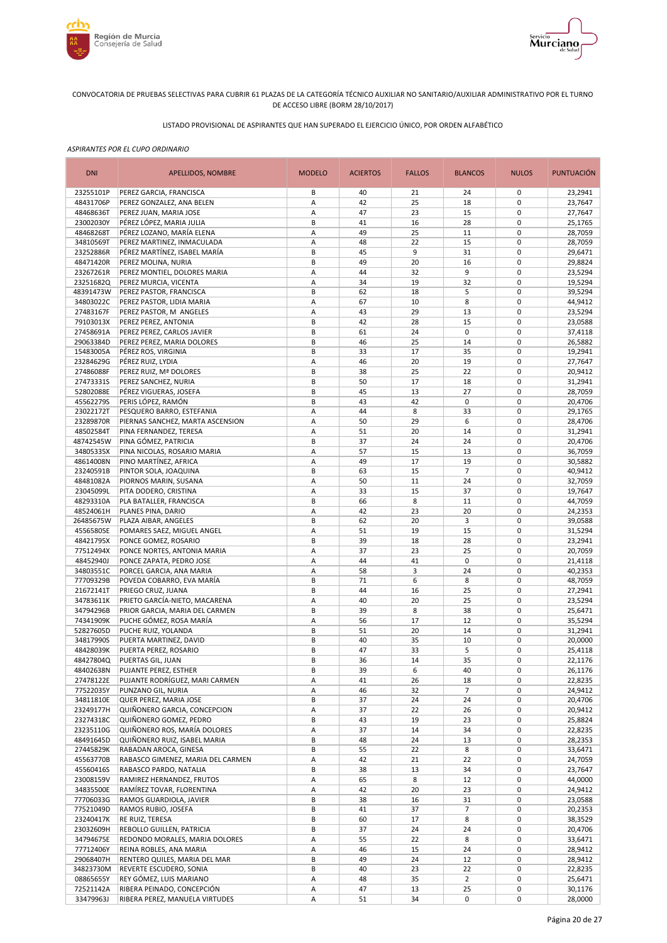



# LISTADO PROVISIONAL DE ASPIRANTES QUE HAN SUPERADO EL EJERCICIO ÚNICO, POR ORDEN ALFABÉTICO

| <b>DNI</b>             | APELLIDOS, NOMBRE                                           | <b>MODELO</b> | <b>ACIERTOS</b> | <b>FALLOS</b> | <b>BLANCOS</b> | <b>NULOS</b>               | <b>PUNTUACIÓN</b>  |
|------------------------|-------------------------------------------------------------|---------------|-----------------|---------------|----------------|----------------------------|--------------------|
| 23255101P              | PEREZ GARCIA, FRANCISCA                                     | В             | 40              | 21            | 24             | 0                          | 23,2941            |
| 48431706P              | PEREZ GONZALEZ, ANA BELEN                                   | А             | 42              | 25            | 18             | $\mathbf 0$                | 23,7647            |
| 48468636T              | PEREZ JUAN, MARIA JOSE                                      | А             | 47              | 23            | 15             | $\mathbf 0$                | 27,7647            |
| 23002030Y<br>48468268T | PÉREZ LÓPEZ, MARIA JULIA<br>PÉREZ LOZANO, MARÍA ELENA       | В<br>А        | 41<br>49        | 16<br>25      | 28<br>11       | $\pmb{0}$<br>$\mathbf 0$   | 25,1765<br>28,7059 |
| 34810569T              | PEREZ MARTINEZ, INMACULADA                                  | Α             | 48              | 22            | 15             | $\mathbf 0$                | 28,7059            |
| 23252886R              | PÉREZ MARTÍNEZ, ISABEL MARÍA                                | B             | 45              | 9             | 31             | $\mathbf 0$                | 29,6471            |
| 48471420R              | PEREZ MOLINA, NURIA                                         | B             | 49              | 20            | 16             | $\mathbf 0$                | 29,8824            |
| 23267261R              | PEREZ MONTIEL, DOLORES MARIA                                | А             | 44              | 32            | 9              | $\mathbf 0$                | 23,5294            |
| 23251682Q              | PEREZ MURCIA, VICENTA                                       | Α             | 34              | 19            | 32             | $\mathbf 0$                | 19,5294            |
| 48391473W              | PEREZ PASTOR, FRANCISCA                                     | B             | 62              | 18            | 5              | $\mathbf 0$                | 39,5294            |
| 34803022C              | PEREZ PASTOR, LIDIA MARIA                                   | Α             | 67              | 10            | 8              | $\mathbf 0$                | 44,9412            |
| 27483167F              | PEREZ PASTOR, M ANGELES                                     | Α             | 43              | 29            | 13             | $\mathbf 0$                | 23,5294            |
| 79103013X              | PEREZ PEREZ, ANTONIA                                        | B             | 42              | 28            | 15             | $\mathbf 0$                | 23,0588            |
| 27458691A              | PEREZ PEREZ, CARLOS JAVIER                                  | B<br>B        | 61<br>46        | 24<br>25      | $\pmb{0}$      | $\mathbf 0$<br>$\mathbf 0$ | 37,4118            |
| 29063384D<br>15483005A | PEREZ PEREZ, MARIA DOLORES<br>PÉREZ ROS, VIRGINIA           | B             | 33              | 17            | 14<br>35       | $\mathbf 0$                | 26,5882<br>19,2941 |
| 23284629G              | PÉREZ RUIZ, LYDIA                                           | Α             | 46              | 20            | 19             | $\mathbf 0$                | 27,7647            |
| 27486088F              | PEREZ RUIZ, Mª DOLORES                                      | B             | 38              | 25            | 22             | $\mathbf 0$                | 20,9412            |
| 27473331S              | PEREZ SANCHEZ, NURIA                                        | B             | 50              | 17            | 18             | $\mathbf 0$                | 31,2941            |
| 52802088E              | PÉREZ VIGUERAS, JOSEFA                                      | B             | 45              | 13            | 27             | $\mathbf 0$                | 28,7059            |
| 45562279S              | PERIS LÓPEZ, RAMÓN                                          | B             | 43              | 42            | $\mathbf 0$    | $\mathbf 0$                | 20,4706            |
| 23022172T              | PESQUERO BARRO, ESTEFANIA                                   | A             | 44              | 8             | 33             | $\mathbf 0$                | 29,1765            |
| 23289870R              | PIERNAS SANCHEZ, MARTA ASCENSION                            | А             | 50              | 29            | 6              | $\mathbf 0$                | 28,4706            |
| 48502584T              | PINA FERNANDEZ, TERESA                                      | Α             | 51              | 20            | 14             | $\mathbf 0$                | 31,2941            |
| 48742545W              | PINA GÓMEZ, PATRICIA                                        | B             | 37              | 24            | 24             | $\mathbf 0$                | 20,4706            |
| 34805335X              | PINA NICOLAS, ROSARIO MARIA                                 | А             | 57              | 15            | 13             | $\pmb{0}$                  | 36,7059            |
| 48614008N              | PINO MARTÍNEZ, AFRICA                                       | А             | 49              | 17            | 19             | $\mathbf 0$                | 30,5882            |
| 23240591B              | PINTOR SOLA, JOAQUINA<br>PIORNOS MARIN, SUSANA              | В             | 63<br>50        | 15<br>11      | 7              | $\mathbf 0$<br>$\mathbf 0$ | 40,9412            |
| 48481082A<br>23045099L | PITA DODERO, CRISTINA                                       | А<br>А        | 33              | 15            | 24<br>37       | $\mathbf 0$                | 32,7059<br>19,7647 |
| 48293310A              | PLA BATALLER, FRANCISCA                                     | B             | 66              | 8             | 11             | $\mathbf 0$                | 44,7059            |
| 48524061H              | PLANES PINA, DARIO                                          | А             | 42              | 23            | 20             | $\mathbf 0$                | 24,2353            |
| 26485675W              | PLAZA AIBAR, ANGELES                                        | B             | 62              | 20            | 3              | $\mathbf 0$                | 39,0588            |
| 45565805E              | POMARES SAEZ, MIGUEL ANGEL                                  | Α             | 51              | 19            | 15             | $\mathbf 0$                | 31,5294            |
| 48421795X              | PONCE GOMEZ, ROSARIO                                        | B             | 39              | 18            | 28             | $\mathbf 0$                | 23,2941            |
| 77512494X              | PONCE NORTES, ANTONIA MARIA                                 | А             | 37              | 23            | 25             | $\mathbf 0$                | 20,7059            |
| 48452940J              | PONCE ZAPATA, PEDRO JOSE                                    | Α             | 44              | 41            | $\pmb{0}$      | $\mathbf 0$                | 21,4118            |
| 34803551C              | PORCEL GARCIA, ANA MARIA                                    | Α             | 58              | 3             | 24             | $\mathbf 0$                | 40,2353            |
| 77709329B              | POVEDA COBARRO, EVA MARÍA                                   | B             | 71              | 6             | 8              | $\mathbf 0$                | 48,7059            |
| 21672141T<br>34783611K | PRIEGO CRUZ, JUANA<br>PRIETO GARCÍA-NIETO, MACARENA         | B<br>Α        | 44<br>40        | 16<br>20      | 25<br>25       | $\mathbf 0$<br>$\mathbf 0$ | 27,2941<br>23,5294 |
| 34794296B              | PRIOR GARCIA, MARIA DEL CARMEN                              | B             | 39              | 8             | 38             | $\mathbf 0$                | 25,6471            |
| 74341909K              | PUCHE GÓMEZ, ROSA MARÍA                                     | Α             | 56              | 17            | 12             | $\mathbf 0$                | 35,5294            |
| 52827605D              | PUCHE RUIZ, YOLANDA                                         | B             | 51              | 20            | 14             | $\mathbf 0$                | 31,2941            |
| 34817990S              | PUERTA MARTINEZ, DAVID                                      | B             | 40              | 35            | 10             | $\mathbf 0$                | 20,0000            |
| 48428039K              | PUERTA PEREZ, ROSARIO                                       | B             | 47              | 33            | 5              | $\mathbf 0$                | 25,4118            |
| 48427804Q              | PUERTAS GIL, JUAN                                           | B             | 36              | 14            | 35             | $\mathbf 0$                | 22,1176            |
| 48402638N              | PUJANTE PEREZ, ESTHER                                       | В             | 39              | 6             | 40             | 0                          | 26,1176            |
| 27478122E              | PUJANTE RODRÍGUEZ, MARI CARMEN                              | Α             | 41              | 26            | 18             | 0                          | 22,8235            |
| 77522035Y              | PUNZANO GIL, NURIA                                          | Α             | 46              | 32            | $\overline{7}$ | 0                          | 24,9412            |
| 34811810E              | QUER PEREZ, MARIA JOSE                                      | В             | 37              | 24            | 24             | 0                          | 20,4706            |
| 23249177H<br>23274318C | QUIÑONERO GARCIA, CONCEPCION<br>QUIÑONERO GOMEZ, PEDRO      | Α<br>В        | 37<br>43        | 22<br>19      | 26<br>23       | $\pmb{0}$<br>$\pmb{0}$     | 20,9412<br>25,8824 |
| 23235110G              | QUIÑONERO ROS, MARÍA DOLORES                                | Α             | 37              | 14            | 34             | $\pmb{0}$                  | 22,8235            |
| 48491645D              | QUIÑONERO RUIZ, ISABEL MARIA                                | В             | 48              | 24            | 13             | $\pmb{0}$                  | 28,2353            |
| 27445829K              | RABADAN AROCA, GINESA                                       | В             | 55              | 22            | 8              | $\mathbf 0$                | 33,6471            |
| 45563770B              | RABASCO GIMENEZ, MARIA DEL CARMEN                           | Α             | 42              | 21            | 22             | $\pmb{0}$                  | 24,7059            |
| 45560416S              | RABASCO PARDO, NATALIA                                      | B             | 38              | 13            | 34             | $\mathbf 0$                | 23,7647            |
| 23008159V              | RAMIREZ HERNANDEZ, FRUTOS                                   | Α             | 65              | 8             | 12             | $\pmb{0}$                  | 44,0000            |
| 34835500E              | RAMÍREZ TOVAR, FLORENTINA                                   | А             | 42              | 20            | 23             | $\mathbf 0$                | 24,9412            |
| 77706033G              | RAMOS GUARDIOLA, JAVIER                                     | В             | 38              | 16            | 31             | $\pmb{0}$                  | 23,0588            |
| 77521049D              | RAMOS RUBIO, JOSEFA                                         | B             | 41              | 37            | $\overline{7}$ | $\mathbf 0$                | 20,2353            |
| 23240417K              | RE RUIZ, TERESA                                             | B             | 60              | 17            | 8              | $\pmb{0}$                  | 38,3529            |
| 23032609H<br>34794675E | REBOLLO GUILLEN, PATRICIA<br>REDONDO MORALES, MARIA DOLORES | B<br>А        | 37<br>55        | 24<br>22      | 24<br>8        | $\pmb{0}$<br>$\pmb{0}$     | 20,4706<br>33,6471 |
| 77712406Y              | REINA ROBLES, ANA MARIA                                     | Α             | 46              | 15            | 24             | $\pmb{0}$                  | 28,9412            |
| 29068407H              | RENTERO QUILES, MARIA DEL MAR                               | B             | 49              | 24            | 12             | $\pmb{0}$                  | 28,9412            |
| 34823730M              | REVERTE ESCUDERO, SONIA                                     | B             | 40              | 23            | 22             | $\pmb{0}$                  | 22,8235            |
| 08865655Y              | REY GÓMEZ, LUIS MARIANO                                     | А             | 48              | 35            | $\overline{2}$ | 0                          | 25,6471            |
| 72521142A              | RIBERA PEINADO, CONCEPCIÓN                                  | А             | 47              | 13            | 25             | $\pmb{0}$                  | 30,1176            |
| 33479963J              | RIBERA PEREZ, MANUELA VIRTUDES                              | А             | 51              | 34            | 0              | 0                          | 28,0000            |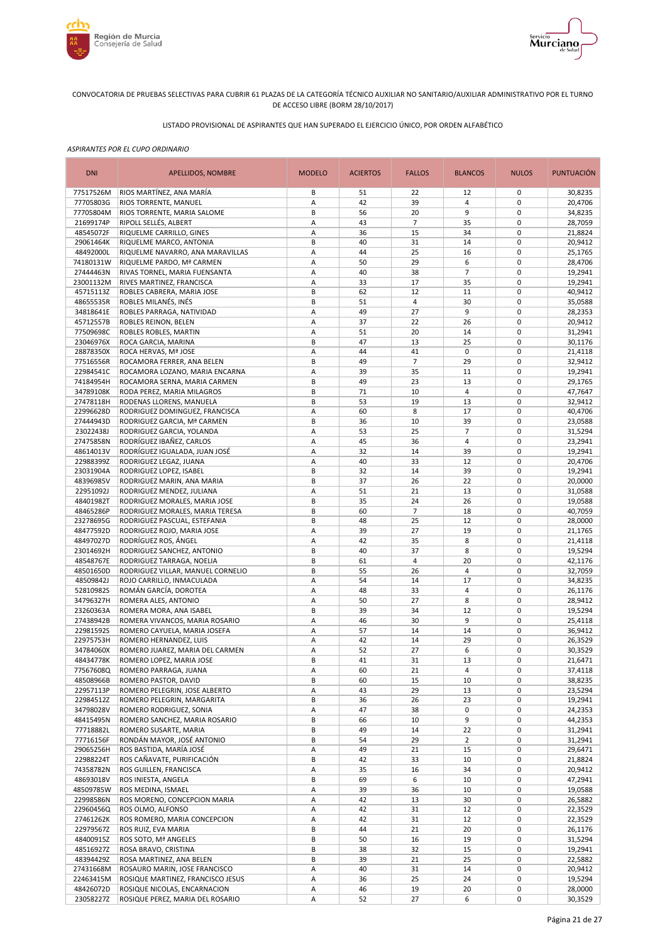



# LISTADO PROVISIONAL DE ASPIRANTES QUE HAN SUPERADO EL EJERCICIO ÚNICO, POR ORDEN ALFABÉTICO

| <b>DNI</b>             | APELLIDOS, NOMBRE                                              | <b>MODELO</b> | <b>ACIERTOS</b> | <b>FALLOS</b>  | <b>BLANCOS</b>       | <b>NULOS</b>               | PUNTUACIÓN         |
|------------------------|----------------------------------------------------------------|---------------|-----------------|----------------|----------------------|----------------------------|--------------------|
| 77517526M              | RIOS MARTÍNEZ, ANA MARÍA                                       | В             | 51              | 22             | 12                   | 0                          | 30,8235            |
| 77705803G              | RIOS TORRENTE, MANUEL                                          | Α             | 42              | 39             | 4                    | 0                          | 20,4706            |
| 77705804M              | RIOS TORRENTE, MARIA SALOME                                    | B             | 56              | 20             | 9                    | 0                          | 34,8235            |
| 21699174P              | RIPOLL SELLÉS, ALBERT                                          | Α             | 43              | $\overline{7}$ | 35                   | 0                          | 28,7059            |
| 48545072F<br>29061464K | RIQUELME CARRILLO, GINES<br>RIQUELME MARCO, ANTONIA            | A<br>В        | 36<br>40        | 15<br>31       | 34<br>14             | $\mathbf 0$<br>0           | 21,8824<br>20,9412 |
| 48492000L              | RIQUELME NAVARRO, ANA MARAVILLAS                               | Α             | 44              | 25             | 16                   | $\mathbf 0$                | 25,1765            |
| 74180131W              | RIQUELME PARDO, Mª CARMEN                                      | Α             | 50              | 29             | 6                    | 0                          | 28,4706            |
| 27444463N              | RIVAS TORNEL, MARIA FUENSANTA                                  | Α             | 40              | 38             | $\overline{7}$       | $\mathbf 0$                | 19,2941            |
| 23001132M              | RIVES MARTINEZ, FRANCISCA                                      | Α             | 33              | 17             | 35                   | $\mathbf 0$                | 19,2941            |
| 45715113Z              | ROBLES CABRERA, MARIA JOSE                                     | B             | 62              | 12             | 11                   | $\mathbf 0$                | 40,9412            |
| 48655535R              | ROBLES MILANÉS, INÉS                                           | B             | 51              | 4              | 30                   | 0                          | 35,0588            |
| 34818641E              | ROBLES PARRAGA, NATIVIDAD                                      | Α             | 49              | 27             | 9                    | $\mathbf 0$                | 28,2353            |
| 45712557B              | ROBLES REINON, BELEN                                           | Α             | 37              | 22             | 26                   | $\mathbf 0$                | 20,9412            |
| 77509698C              | ROBLES ROBLES, MARTIN                                          | Α             | 51              | 20             | 14                   | $\mathbf 0$                | 31,2941            |
| 23046976X<br>28878350X | ROCA GARCIA, MARINA                                            | B<br>Α        | 47<br>44        | 13<br>41       | 25<br>0              | $\mathbf 0$<br>$\mathbf 0$ | 30,1176            |
| 77516556R              | ROCA HERVAS, Mª JOSE<br>ROCAMORA FERRER, ANA BELEN             | B             | 49              | $\overline{7}$ | 29                   | $\mathbf 0$                | 21,4118<br>32,9412 |
| 22984541C              | ROCAMORA LOZANO, MARIA ENCARNA                                 | Α             | 39              | 35             | 11                   | $\mathbf 0$                | 19,2941            |
| 74184954H              | ROCAMORA SERNA, MARIA CARMEN                                   | B             | 49              | 23             | 13                   | $\mathbf 0$                | 29,1765            |
| 34789108K              | RODA PEREZ, MARIA MILAGROS                                     | B             | 71              | 10             | 4                    | $\mathbf 0$                | 47,7647            |
| 27478118H              | RODENAS LLORENS, MANUELA                                       | B             | 53              | 19             | 13                   | $\mathbf 0$                | 32,9412            |
| 22996628D              | RODRIGUEZ DOMINGUEZ, FRANCISCA                                 | A             | 60              | 8              | 17                   | 0                          | 40,4706            |
| 27444943D              | RODRIGUEZ GARCIA, Mª CARMEN                                    | B             | 36              | 10             | 39                   | $\mathbf 0$                | 23,0588            |
| 23022438J              | RODRIGUEZ GARCIA, YOLANDA                                      | А             | 53              | 25             | $\overline{7}$       | 0                          | 31,5294            |
| 27475858N              | RODRÍGUEZ IBAÑEZ, CARLOS                                       | Α             | 45              | 36             | 4                    | $\mathbf 0$                | 23,2941            |
| 48614013V              | RODRÍGUEZ IGUALADA, JUAN JOSÉ                                  | Α             | 32              | 14             | 39                   | $\mathbf 0$                | 19,2941            |
| 22988399Z<br>23031904A | RODRIGUEZ LEGAZ, JUANA<br>RODRIGUEZ LOPEZ, ISABEL              | A<br>B        | 40<br>32        | 33<br>14       | 12<br>39             | $\pmb{0}$<br>0             | 20,4706<br>19,2941 |
| 48396985V              | RODRIGUEZ MARIN, ANA MARIA                                     | B             | 37              | 26             | 22                   | $\mathbf 0$                | 20,0000            |
| 22951092J              | RODRIGUEZ MENDEZ, JULIANA                                      | Α             | 51              | 21             | 13                   | 0                          | 31,0588            |
| 48401982T              | RODRIGUEZ MORALES, MARIA JOSE                                  | В             | 35              | 24             | 26                   | $\mathbf 0$                | 19,0588            |
| 48465286P              | RODRIGUEZ MORALES, MARIA TERESA                                | B             | 60              | 7              | 18                   | 0                          | 40,7059            |
| 23278695G              | RODRIGUEZ PASCUAL, ESTEFANIA                                   | В             | 48              | 25             | 12                   | $\mathbf 0$                | 28,0000            |
| 48477592D              | RODRIGUEZ ROJO, MARIA JOSE                                     | Α             | 39              | 27             | 19                   | $\mathbf 0$                | 21,1765            |
| 48497027D              | RODRÍGUEZ ROS, ÁNGEL                                           | Α             | 42              | 35             | 8                    | $\mathbf 0$                | 21,4118            |
| 23014692H              | RODRIGUEZ SANCHEZ, ANTONIO                                     | B             | 40              | 37             | 8                    | $\mathbf 0$                | 19,5294            |
| 48548767E              | RODRIGUEZ TARRAGA, NOELIA                                      | B             | 61              | 4              | 20                   | $\mathbf 0$                | 42,1176            |
| 48501650D<br>48509842J | RODRIGUEZ VILLAR, MANUEL CORNELIO<br>ROJO CARRILLO, INMACULADA | B<br>Α        | 55<br>54        | 26<br>14       | $\overline{4}$<br>17 | $\mathbf 0$<br>$\mathbf 0$ | 32,7059            |
| 52810982S              | ROMÁN GARCÍA, DOROTEA                                          | Α             | 48              | 33             | $\overline{4}$       | $\mathbf 0$                | 34,8235<br>26,1176 |
| 34796327H              | ROMERA ALES, ANTONIO                                           | Α             | 50              | 27             | 8                    | $\mathbf 0$                | 28,9412            |
| 23260363A              | ROMERA MORA, ANA ISABEL                                        | B             | 39              | 34             | 12                   | $\mathbf 0$                | 19,5294            |
| 27438942B              | ROMERA VIVANCOS, MARIA ROSARIO                                 | Α             | 46              | 30             | 9                    | $\mathbf 0$                | 25,4118            |
| 22981592S              | ROMERO CAYUELA, MARIA JOSEFA                                   | Α             | 57              | 14             | 14                   | $\mathbf 0$                | 36,9412            |
| 22975753H              | ROMERO HERNANDEZ, LUIS                                         | Α             | 42              | 14             | 29                   | 0                          | 26,3529            |
| 34784060X              | ROMERO JUAREZ, MARIA DEL CARMEN                                | Α             | 52              | 27             | 6                    | $\mathbf 0$                | 30,3529            |
| 48434778K              | ROMERO LOPEZ, MARIA JOSE                                       | B             | 41              | 31             | 13                   | $\mathbf 0$                | 21,6471            |
| 77567608Q              | ROMERO PARRAGA, JUANA                                          | Α             | 60              | 21             | 4                    | 0                          | 37,4118            |
| 48508966B<br>22957113P | ROMERO PASTOR, DAVID                                           | B             | 60<br>43        | 15<br>29       | 10                   | 0<br>0                     | 38,8235            |
| 22984512Z              | ROMERO PELEGRIN, JOSE ALBERTO<br>ROMERO PELEGRIN, MARGARITA    | Α<br>B        | 36              | 26             | 13<br>23             | 0                          | 23,5294<br>19,2941 |
| 34798028V              | ROMERO RODRIGUEZ, SONIA                                        | Α             | 47              | 38             | 0                    | 0                          | 24,2353            |
| 48415495N              | ROMERO SANCHEZ, MARIA ROSARIO                                  | B             | 66              | 10             | 9                    | 0                          | 44,2353            |
| 77718882L              | ROMERO SUSARTE, MARIA                                          | B             | 49              | 14             | 22                   | 0                          | 31,2941            |
| 77716156F              | RONDÁN MAYOR, JOSÉ ANTONIO                                     | B             | 54              | 29             | $\overline{2}$       | 0                          | 31,2941            |
| 29065256H              | ROS BASTIDA, MARÍA JOSÉ                                        | Α             | 49              | 21             | 15                   | 0                          | 29,6471            |
| 22988224T              | ROS CAÑAVATE, PURIFICACIÓN                                     | В             | 42              | 33             | 10                   | 0                          | 21,8824            |
| 74358782N              | ROS GUILLEN, FRANCISCA                                         | Α             | 35              | 16             | 34                   | 0                          | 20,9412            |
| 48693018V              | ROS INIESTA, ANGELA                                            | В             | 69              | 6              | 10                   | 0                          | 47,2941            |
| 48509785W              | ROS MEDINA, ISMAEL                                             | Α             | 39              | 36             | 10                   | 0                          | 19,0588            |
| 22998586N<br>22960456Q | ROS MORENO, CONCEPCION MARIA<br>ROS OLMO, ALFONSO              | Α<br>Α        | 42<br>42        | 13<br>31       | 30<br>12             | 0<br>0                     | 26,5882<br>22,3529 |
| 27461262K              | ROS ROMERO, MARIA CONCEPCION                                   | Α             | 42              | 31             | 12                   | 0                          | 22,3529            |
| 22979567Z              | ROS RUIZ, EVA MARIA                                            | B             | 44              | 21             | 20                   | 0                          | 26,1176            |
| 48400915Z              | ROS SOTO, Mª ANGELES                                           | B             | 50              | 16             | 19                   | 0                          | 31,5294            |
| 48516927Z              | ROSA BRAVO, CRISTINA                                           | B             | 38              | 32             | 15                   | 0                          | 19,2941            |
| 48394429Z              | ROSA MARTINEZ, ANA BELEN                                       | B             | 39              | 21             | 25                   | 0                          | 22,5882            |
| 27431668M              | ROSAURO MARIN, JOSE FRANCISCO                                  | Α             | 40              | 31             | 14                   | 0                          | 20,9412            |
| 22463415M              | ROSIQUE MARTINEZ, FRANCISCO JESUS                              | Α             | 36              | 25             | 24                   | 0                          | 19,5294            |
| 48426072D              | ROSIQUE NICOLAS, ENCARNACION                                   | Α             | 46              | 19             | 20                   | 0                          | 28,0000            |
| 23058227Z              | ROSIQUE PEREZ, MARIA DEL ROSARIO                               | Α             | 52              | 27             | 6                    | 0                          | 30,3529            |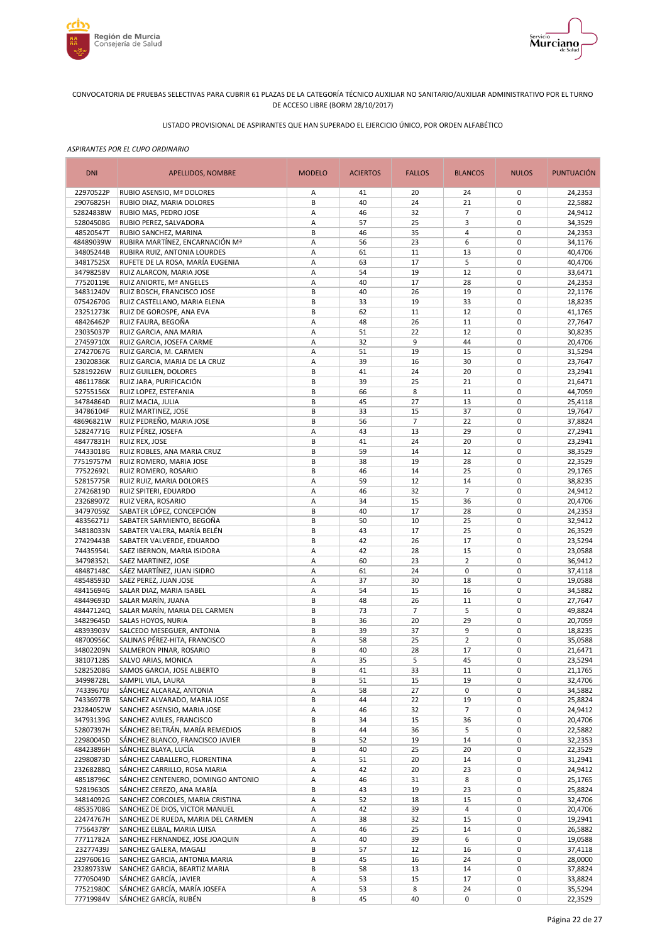



# LISTADO PROVISIONAL DE ASPIRANTES QUE HAN SUPERADO EL EJERCICIO ÚNICO, POR ORDEN ALFABÉTICO

|                                                                                                                                           | <b>NULOS</b>               | <b>PUNTUACIÓN</b>  |
|-------------------------------------------------------------------------------------------------------------------------------------------|----------------------------|--------------------|
| 22970522P<br>RUBIO ASENSIO, Mª DOLORES<br>41<br>20<br>24<br>Α                                                                             | 0                          | 24,2353            |
| 29076825H<br>B<br>40<br>24<br>21<br>RUBIO DIAZ, MARIA DOLORES                                                                             | $\mathbf 0$                | 22,5882            |
| 52824838W<br>А<br>46<br>32<br>$\overline{7}$<br>RUBIO MAS, PEDRO JOSE<br>52804508G<br>RUBIO PEREZ, SALVADORA<br>А<br>57<br>25<br>3        | $\mathbf 0$<br>$\pmb{0}$   | 24,9412<br>34,3529 |
| 48520547T<br>RUBIO SANCHEZ, MARINA<br>B<br>46<br>35<br>4                                                                                  | $\mathbf 0$                | 24,2353            |
| 48489039W<br>RUBIRA MARTÍNEZ, ENCARNACIÓN Mª<br>56<br>23<br>6<br>А                                                                        | $\pmb{0}$                  | 34,1176            |
| 11<br>34805244B<br>RUBIRA RUIZ, ANTONIA LOURDES<br>Α<br>61<br>13                                                                          | $\mathbf 0$                | 40,4706            |
| 34817525X<br>RUFETE DE LA ROSA, MARÍA EUGENIA<br>63<br>17<br>5<br>Α                                                                       | $\pmb{0}$                  | 40,4706            |
| 34798258V<br>А<br>54<br>19<br>12<br>RUIZ ALARCON, MARIA JOSE                                                                              | $\mathbf 0$                | 33,6471            |
| 77520119E<br>40<br>17<br>RUIZ ANIORTE, Mª ANGELES<br>Α<br>28                                                                              | $\mathbf 0$                | 24,2353            |
| B<br>34831240V<br>RUIZ BOSCH, FRANCISCO JOSE<br>40<br>26<br>19                                                                            | $\mathbf 0$                | 22,1176            |
| 07542670G<br>B<br>19<br>RUIZ CASTELLANO, MARIA ELENA<br>33<br>33<br>23251273K<br>B<br>RUIZ DE GOROSPE, ANA EVA<br>62<br>11<br>12          | $\mathbf 0$<br>$\mathbf 0$ | 18,8235<br>41,1765 |
| 48426462P<br>RUIZ FAURA, BEGOÑA<br>А<br>48<br>26<br>11                                                                                    | $\mathbf 0$                | 27,7647            |
| 23035037P<br>Α<br>51<br>22<br>12<br>RUIZ GARCIA, ANA MARIA                                                                                | $\mathbf 0$                | 30,8235            |
| 27459710X<br>А<br>32<br>9<br>RUIZ GARCIA, JOSEFA CARME<br>44                                                                              | $\mathbf 0$                | 20,4706            |
| 27427067G<br>А<br>51<br>19<br>15<br>RUIZ GARCIA, M. CARMEN                                                                                | $\mathbf 0$                | 31,5294            |
| 23020836K<br>RUIZ GARCIA, MARIA DE LA CRUZ<br>Α<br>39<br>30<br>16                                                                         | $\mathbf 0$                | 23,7647            |
| 52819226W<br>B<br>41<br>20<br>RUIZ GUILLEN, DOLORES<br>24                                                                                 | $\mathbf 0$                | 23,2941            |
| 48611786K<br>RUIZ JARA, PURIFICACIÓN<br>B<br>39<br>25<br>21                                                                               | $\mathbf 0$                | 21,6471            |
| 52755156X<br>RUIZ LOPEZ, ESTEFANIA<br>66<br>8<br>B<br>11<br>45<br>27<br>34784864D<br>B<br>13<br>RUIZ MACIA, JULIA                         | $\mathbf 0$<br>$\mathbf 0$ | 44,7059<br>25,4118 |
| B<br>33<br>15<br>37<br>34786104F<br>RUIZ MARTINEZ, JOSE                                                                                   | $\mathbf 0$                | 19,7647            |
| B<br>56<br>$\overline{7}$<br>48696821W<br>RUIZ PEDREÑO, MARIA JOSE<br>22                                                                  | $\mathbf 0$                | 37,8824            |
| 52824771G<br>RUIZ PÉREZ, JOSEFA<br>А<br>43<br>13<br>29                                                                                    | $\mathbf 0$                | 27,2941            |
| 48477831H<br>B<br>41<br>24<br>20<br>RUIZ REX, JOSE                                                                                        | $\mathbf 0$                | 23,2941            |
| RUIZ ROBLES, ANA MARIA CRUZ<br>B<br>59<br>14<br>12<br>74433018G                                                                           | $\mathbf 0$                | 38,3529            |
| 77519757M<br>B<br>38<br>19<br>28<br>RUIZ ROMERO, MARIA JOSE                                                                               | $\pmb{0}$                  | 22,3529            |
| 77522692L<br>B<br>46<br>14<br>25<br>RUIZ ROMERO, ROSARIO                                                                                  | $\pmb{0}$                  | 29,1765            |
| 52815775R<br>А<br>59<br>12<br>14<br>RUIZ RUIZ, MARIA DOLORES                                                                              | $\mathbf 0$                | 38,8235            |
| 27426819D<br>RUIZ SPITERI, EDUARDO<br>А<br>46<br>32<br>$\overline{7}$<br>15<br>36<br>А<br>34                                              | $\pmb{0}$<br>$\mathbf 0$   | 24,9412<br>20,4706 |
| 23268907Z<br>RUIZ VERA, ROSARIO<br>34797059Z<br>SABATER LÓPEZ, CONCEPCIÓN<br>40<br>28<br>В<br>17                                          | $\mathbf 0$                | 24,2353            |
| 48356271J<br>SABATER SARMIENTO, BEGOÑA<br>10<br>В<br>50<br>25                                                                             | $\mathbf 0$                | 32,9412            |
| SABATER VALERA, MARÍA BELÉN<br>B<br>43<br>17<br>34818033N<br>25                                                                           | $\mathbf 0$                | 26,3529            |
| B<br>42<br>26<br>17<br>27429443B<br>SABATER VALVERDE, EDUARDO                                                                             | $\mathbf 0$                | 23,5294            |
| 74435954L<br>42<br>15<br>SAEZ IBERNON, MARIA ISIDORA<br>А<br>28                                                                           | $\mathbf 0$                | 23,0588            |
| 34798352L<br>А<br>23<br>$\overline{2}$<br><b>SAEZ MARTINEZ, JOSE</b><br>60                                                                | $\mathbf 0$                | 36,9412            |
| 48487148C<br>61<br>24<br>$\mathbf 0$<br>SÁEZ MARTÍNEZ, JUAN ISIDRO<br>А                                                                   | $\mathbf 0$                | 37,4118            |
| 48548593D<br>А<br>37<br>18<br>SAEZ PEREZ, JUAN JOSE<br>30<br>48415694G<br>54<br>15<br>SALAR DIAZ, MARIA ISABEL<br>Α<br>16                 | $\mathbf 0$<br>$\mathbf 0$ | 19,0588<br>34,5882 |
| 48449693D<br>B<br>48<br>26<br>SALAR MARÍN, JUANA<br>11                                                                                    | $\mathbf 0$                | 27,7647            |
| $\overline{7}$<br>48447124Q<br>SALAR MARÍN, MARIA DEL CARMEN<br>B<br>73<br>5                                                              | $\mathbf 0$                | 49,8824            |
| 34829645D<br>SALAS HOYOS, NURIA<br>B<br>36<br>20<br>29                                                                                    | $\mathbf 0$                | 20,7059            |
| 48393903V<br>SALCEDO MESEGUER, ANTONIA<br>B<br>39<br>37<br>9                                                                              | $\mathbf 0$                | 18,8235            |
| 48700956C<br>SALINAS PÉREZ-HITA, FRANCISCO<br>58<br>25<br>$\overline{2}$<br>Α                                                             | $\mathbf 0$                | 35,0588            |
| 40<br>34802209N<br>SALMERON PINAR, ROSARIO<br>B<br>28<br>17                                                                               | $\mathbf 0$                | 21,6471            |
| 35<br>5<br>38107128S<br>SALVO ARIAS, MONICA<br>45<br>A                                                                                    | $\mathbf 0$                | 23,5294            |
| 52825208G<br>SAMOS GARCIA, JOSE ALBERTO<br>В<br>41<br>33<br>11                                                                            | 0                          | 21,1765            |
| SAMPIL VILA, LAURA<br>B<br>51<br>15<br>19<br>34998728L<br>74339670J<br>SÁNCHEZ ALCARAZ, ANTONIA<br>58<br>27<br>0<br>Α                     | 0<br>0                     | 32,4706<br>34,5882 |
| 74336977B<br>В<br>44<br>22<br>SANCHEZ ALVARADO, MARIA JOSE<br>19                                                                          | $\pmb{0}$                  | 25,8824            |
| $\overline{7}$<br>23284052W<br>SANCHEZ ASENSIO, MARIA JOSE<br>Α<br>46<br>32                                                               | 0                          | 24,9412            |
| 34793139G<br>SANCHEZ AVILES, FRANCISCO<br>В<br>15<br>34<br>36                                                                             | 0                          | 20,4706            |
| 52807397H<br>SÁNCHEZ BELTRÁN, MARÍA REMEDIOS<br>В<br>44<br>36<br>5                                                                        | 0                          | 22,5882            |
| 22980045D<br>SÁNCHEZ BLANCO, FRANCISCO JAVIER<br>В<br>19<br>52<br>14                                                                      | 0                          | 32,2353            |
| 48423896H<br>SÁNCHEZ BLAYA, LUCÍA<br>B<br>40<br>25<br>20                                                                                  | $\pmb{0}$                  | 22,3529            |
| 22980873D<br>SÁNCHEZ CABALLERO, FLORENTINA<br>20<br>Α<br>51<br>14                                                                         | 0                          | 31,2941            |
| 23268288Q<br>SÁNCHEZ CARRILLO, ROSA MARIA<br>А<br>42<br>20<br>23<br>48518796C<br>SÁNCHEZ CENTENERO, DOMINGO ANTONIO<br>31<br>Α<br>46<br>8 | $\pmb{0}$<br>0             | 24,9412<br>25,1765 |
| 52819630S<br>B<br>19<br>SÁNCHEZ CEREZO, ANA MARÍA<br>43<br>23                                                                             | $\pmb{0}$                  | 25,8824            |
| 34814092G<br>SANCHEZ CORCOLES, MARIA CRISTINA<br>15<br>Α<br>52<br>18                                                                      | 0                          | 32,4706            |
| 48535708G<br>SANCHEZ DE DIOS, VICTOR MANUEL<br>А<br>$\overline{4}$<br>42<br>39                                                            | 0                          | 20,4706            |
| 22474767H<br>SANCHEZ DE RUEDA, MARIA DEL CARMEN<br>Α<br>38<br>32<br>15                                                                    | 0                          | 19,2941            |
| 77564378Y<br>А<br>25<br>SANCHEZ ELBAL, MARIA LUISA<br>46<br>14                                                                            | $\mathbf 0$                | 26,5882            |
| 77711782A<br>6<br>SANCHEZ FERNANDEZ, JOSE JOAQUIN<br>Α<br>40<br>39                                                                        | $\pmb{0}$                  | 19,0588            |
| 23277439J<br>В<br>SANCHEZ GALERA, MAGALI<br>57<br>12<br>16                                                                                | $\pmb{0}$                  | 37,4118            |
| 22976061G<br>B<br>45<br>16<br>SANCHEZ GARCIA, ANTONIA MARIA<br>24                                                                         | $\pmb{0}$                  | 28,0000            |
| 23289733W<br>SANCHEZ GARCIA, BEARTIZ MARIA<br>В<br>58<br>13<br>14<br>77705049D<br>SÁNCHEZ GARCÍA, JAVIER<br>А<br>53<br>15<br>17           | $\pmb{0}$<br>$\pmb{0}$     | 37,8824<br>33,8824 |
| 77521980C<br>SÁNCHEZ GARCÍA, MARÍA JOSEFA<br>8<br>Α<br>53<br>24                                                                           | $\pmb{0}$                  | 35,5294            |
| SÁNCHEZ GARCÍA, RUBÉN<br>77719984V<br>45<br>40<br>$\pmb{0}$<br>В                                                                          | 0                          | 22,3529            |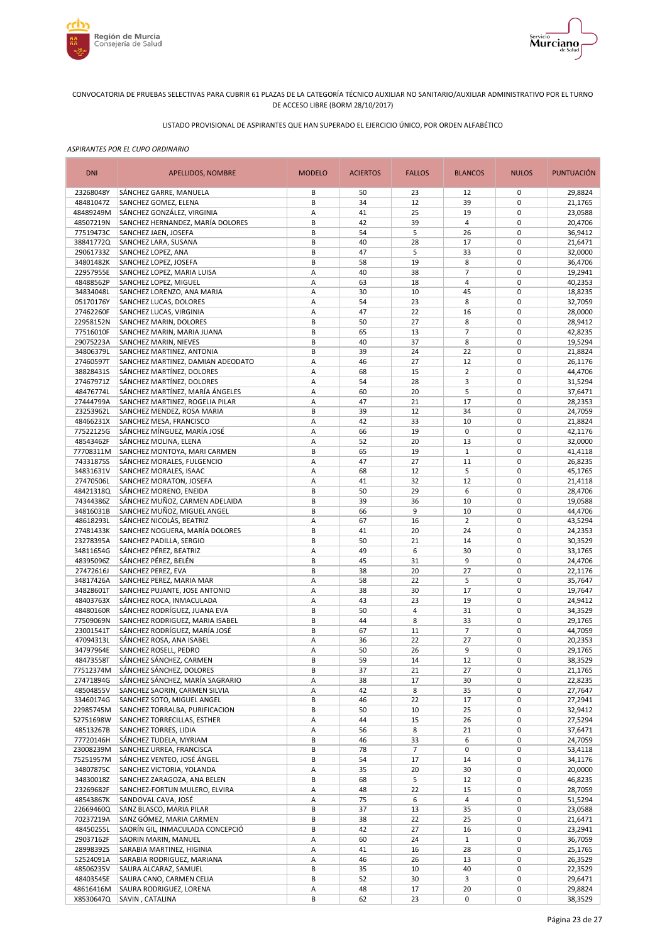



# LISTADO PROVISIONAL DE ASPIRANTES QUE HAN SUPERADO EL EJERCICIO ÚNICO, POR ORDEN ALFABÉTICO

| <b>DNI</b>             | APELLIDOS, NOMBRE                                                | <b>MODELO</b> | <b>ACIERTOS</b> | <b>FALLOS</b> | <b>BLANCOS</b>       | <b>NULOS</b>               | <b>PUNTUACIÓN</b>  |
|------------------------|------------------------------------------------------------------|---------------|-----------------|---------------|----------------------|----------------------------|--------------------|
| 23268048Y              | SÁNCHEZ GARRE, MANUELA                                           | В             | 50              | 23            | 12                   | 0                          | 29,8824            |
| 48481047Z              | SANCHEZ GOMEZ, ELENA                                             | B             | 34              | 12            | 39                   | 0                          | 21,1765            |
| 48489249M              | SÁNCHEZ GONZÁLEZ, VIRGINIA                                       | Α             | 41              | 25            | 19                   | $\mathbf 0$                | 23,0588            |
| 48507219N              | SANCHEZ HERNANDEZ, MARÍA DOLORES<br>SANCHEZ JAEN, JOSEFA         | B<br>B        | 42<br>54        | 39<br>5       | 4                    | $\mathbf 0$<br>$\mathbf 0$ | 20,4706            |
| 77519473C<br>38841772Q | SANCHEZ LARA, SUSANA                                             | B             | 40              | 28            | 26<br>17             | $\mathbf 0$                | 36,9412<br>21,6471 |
| 29061733Z              | SANCHEZ LOPEZ, ANA                                               | B             | 47              | 5             | 33                   | $\mathbf 0$                | 32,0000            |
| 34801482K              | SANCHEZ LOPEZ, JOSEFA                                            | B             | 58              | 19            | 8                    | $\mathbf 0$                | 36,4706            |
| 22957955E              | SANCHEZ LOPEZ, MARIA LUISA                                       | Α             | 40              | 38            | $\overline{7}$       | $\mathbf 0$                | 19,2941            |
| 48488562P              | SANCHEZ LOPEZ, MIGUEL                                            | Α             | 63              | 18            | 4                    | $\mathbf 0$                | 40,2353            |
| 34834048L              | SANCHEZ LORENZO, ANA MARIA                                       | Α             | 30              | 10            | 45                   | $\mathbf 0$                | 18,8235            |
| 05170176Y              | SANCHEZ LUCAS, DOLORES                                           | Α             | 54              | 23            | 8                    | $\mathbf 0$                | 32,7059            |
| 27462260F              | SANCHEZ LUCAS, VIRGINIA<br>SANCHEZ MARIN, DOLORES                | Α<br>B        | 47<br>50        | 22<br>27      | 16<br>8              | $\mathbf 0$<br>$\mathbf 0$ | 28,0000<br>28,9412 |
| 22958152N<br>77516010F | SANCHEZ MARIN, MARIA JUANA                                       | B             | 65              | 13            | $\overline{7}$       | $\mathbf 0$                | 42,8235            |
| 29075223A              | SANCHEZ MARIN, NIEVES                                            | B             | 40              | 37            | 8                    | $\mathbf 0$                | 19,5294            |
| 34806379L              | SANCHEZ MARTINEZ, ANTONIA                                        | B             | 39              | 24            | 22                   | 0                          | 21,8824            |
| 27460597T              | SANCHEZ MARTINEZ, DAMIAN ADEODATO                                | A             | 46              | 27            | 12                   | $\mathbf 0$                | 26,1176            |
| 38828431S              | SÁNCHEZ MARTÍNEZ, DOLORES                                        | A             | 68              | 15            | $\overline{2}$       | $\mathbf 0$                | 44,4706            |
| 27467971Z              | SÁNCHEZ MARTÍNEZ, DOLORES                                        | A             | 54              | 28            | 3                    | $\mathbf 0$                | 31,5294            |
| 48476774L              | SÁNCHEZ MARTÍNEZ, MARÍA ÁNGELES                                  | A             | 60              | 20            | 5                    | $\mathbf 0$                | 37,6471            |
| 27444799A              | SANCHEZ MARTINEZ, ROGELIA PILAR                                  | A             | 47              | 21            | 17                   | $\mathbf 0$                | 28,2353            |
| 23253962L<br>48466231X | SANCHEZ MENDEZ, ROSA MARIA<br>SANCHEZ MESA, FRANCISCO            | B<br>A        | 39<br>42        | 12<br>33      | 34<br>10             | 0<br>$\mathbf 0$           | 24,7059<br>21,8824 |
| 77522125G              | SÁNCHEZ MÍNGUEZ, MARÍA JOSÉ                                      | Α             | 66              | 19            | 0                    | 0                          | 42,1176            |
| 48543462F              | SÁNCHEZ MOLINA, ELENA                                            | Α             | 52              | 20            | 13                   | $\mathbf 0$                | 32,0000            |
| 77708311M              | SANCHEZ MONTOYA, MARI CARMEN                                     | B             | 65              | 19            | $\mathbf{1}$         | 0                          | 41,4118            |
| 74331875S              | SÁNCHEZ MORALES, FULGENCIO                                       | Α             | 47              | 27            | 11                   | $\mathbf 0$                | 26,8235            |
| 34831631V              | SANCHEZ MORALES, ISAAC                                           | Α             | 68              | 12            | 5                    | $\mathbf 0$                | 45,1765            |
| 27470506L              | SANCHEZ MORATON, JOSEFA                                          | A             | 41              | 32            | 12                   | $\mathbf 0$                | 21,4118            |
| 48421318Q              | SÁNCHEZ MORENO, ENEIDA                                           | B             | 50              | 29            | 6                    | $\mathbf 0$                | 28,4706            |
| 74344386Z              | SÁNCHEZ MUÑOZ, CARMEN ADELAIDA                                   | B             | 39              | 36            | 10                   | $\mathbf 0$                | 19,0588            |
| 34816031B<br>48618293L | SANCHEZ MUÑOZ, MIGUEL ANGEL<br>SÁNCHEZ NICOLÁS, BEATRIZ          | B<br>Α        | 66<br>67        | 9<br>16       | 10<br>$\overline{2}$ | $\mathbf 0$<br>$\mathbf 0$ | 44,4706<br>43,5294 |
| 27481433K              | SANCHEZ NOGUERA, MARÍA DOLORES                                   | B             | 41              | 20            | 24                   | $\mathbf 0$                | 24,2353            |
| 23278395A              | SANCHEZ PADILLA, SERGIO                                          | B             | 50              | 21            | 14                   | $\mathbf 0$                | 30,3529            |
| 34811654G              | SÁNCHEZ PÉREZ, BEATRIZ                                           | Α             | 49              | 6             | 30                   | $\mathbf 0$                | 33,1765            |
| 48395096Z              | SÁNCHEZ PÉREZ, BELÉN                                             | B             | 45              | 31            | 9                    | $\mathbf 0$                | 24,4706            |
| 27472616J              | SANCHEZ PEREZ, EVA                                               | B             | 38              | 20            | 27                   | $\mathbf 0$                | 22,1176            |
| 34817426A              | SANCHEZ PEREZ, MARIA MAR                                         | Α             | 58              | 22            | 5                    | $\mathbf 0$                | 35,7647            |
| 34828601T              | SANCHEZ PUJANTE, JOSE ANTONIO                                    | A             | 38              | 30            | 17                   | $\mathbf 0$                | 19,7647            |
| 48403763X<br>48480160R | SÁNCHEZ ROCA, INMACULADA<br>SÁNCHEZ RODRÍGUEZ, JUANA EVA         | A<br>B        | 43<br>50        | 23<br>4       | 19<br>31             | 0<br>$\mathbf 0$           | 24,9412<br>34,3529 |
| 77509069N              | SANCHEZ RODRIGUEZ, MARIA ISABEL                                  | B             | 44              | 8             | 33                   | 0                          | 29,1765            |
| 23001541T              | SÁNCHEZ RODRÍGUEZ, MARÍA JOSÉ                                    | B             | 67              | 11            | $\overline{7}$       | $\mathbf 0$                | 44,7059            |
| 47094313L              | SÁNCHEZ ROSA, ANA ISABEL                                         | Α             | 36              | 22            | 27                   | 0                          | 20,2353            |
| 34797964E              | SANCHEZ ROSELL, PEDRO                                            | A             | 50              | 26            | 9                    | $\pmb{0}$                  | 29,1765            |
| 48473558T              | SÁNCHEZ SÁNCHEZ, CARMEN                                          | B             | 59              | 14            | 12                   | $\mathbf 0$                | 38,3529            |
| 77512374M              | SÁNCHEZ SÁNCHEZ, DOLORES                                         | В             | 37              | 21            | 27                   | 0                          | 21,1765            |
| 27471894G<br>48504855V | SÁNCHEZ SÁNCHEZ, MARÍA SAGRARIO<br>SANCHEZ SAORIN, CARMEN SILVIA | Α<br>Α        | 38<br>42        | 17<br>8       | 30<br>35             | 0<br>0                     | 22,8235<br>27,7647 |
| 33460174G              | SANCHEZ SOTO, MIGUEL ANGEL                                       | В             | 46              | 22            | 17                   | 0                          | 27,2941            |
| 22985745M              | SANCHEZ TORRALBA, PURIFICACION                                   | B             | 50              | 10            | 25                   | 0                          | 32,9412            |
| 52751698W              | SANCHEZ TORRECILLAS, ESTHER                                      | Α             | 44              | 15            | 26                   | 0                          | 27,5294            |
| 48513267B              | SANCHEZ TORRES, LIDIA                                            | Α             | 56              | 8             | 21                   | 0                          | 37,6471            |
| 77720146H              | SÁNCHEZ TUDELA, MYRIAM                                           | B             | 46              | 33            | 6                    | 0                          | 24,7059            |
| 23008239M              | SANCHEZ URREA, FRANCISCA                                         | B             | 78              | 7             | 0                    | 0                          | 53,4118            |
| 75251957M              | SÁNCHEZ VENTEO, JOSÉ ÁNGEL                                       | B             | 54              | 17            | 14                   | 0                          | 34,1176            |
| 34807875C<br>34830018Z | SANCHEZ VICTORIA, YOLANDA<br>SANCHEZ ZARAGOZA, ANA BELEN         | Α<br>B        | 35<br>68        | 20<br>5       | 30<br>12             | 0<br>0                     | 20,0000<br>46,8235 |
| 23269682F              | SANCHEZ-FORTUN MULERO, ELVIRA                                    | Α             | 48              | 22            | 15                   | 0                          | 28,7059            |
| 48543867K              | SANDOVAL CAVA, JOSÉ                                              | Α             | 75              | 6             | 4                    | 0                          | 51,5294            |
| 22669460Q              | SANZ BLASCO, MARIA PILAR                                         | B             | 37              | 13            | 35                   | 0                          | 23,0588            |
| 70237219A              | SANZ GÓMEZ, MARIA CARMEN                                         | B             | 38              | 22            | 25                   | 0                          | 21,6471            |
| 48450255L              | SAORÍN GIL, INMACULADA CONCEPCIÓ                                 | B             | 42              | 27            | 16                   | 0                          | 23,2941            |
| 29037162F              | SAORIN MARIN, MANUEL                                             | Α             | 60              | 24            | $\mathbf{1}$         | 0                          | 36,7059            |
| 28998392S              | SARABIA MARTINEZ, HIGINIA                                        | А             | 41              | 16            | 28                   | 0                          | 25,1765            |
| 52524091A              | SARABIA RODRIGUEZ, MARIANA                                       | А             | 46              | 26            | 13                   | 0                          | 26,3529            |
| 48506235V<br>48403545E | SAURA ALCARAZ, SAMUEL<br>SAURA CANO, CARMEN CELIA                | B<br>B        | 35<br>52        | 10<br>30      | 40<br>3              | 0<br>0                     | 22,3529<br>29,6471 |
| 48616416M              | SAURA RODRIGUEZ, LORENA                                          | Α             | 48              | 17            | 20                   | 0                          | 29,8824            |
| X8530647Q              | SAVIN, CATALINA                                                  | B             | 62              | 23            | 0                    | 0                          | 38,3529            |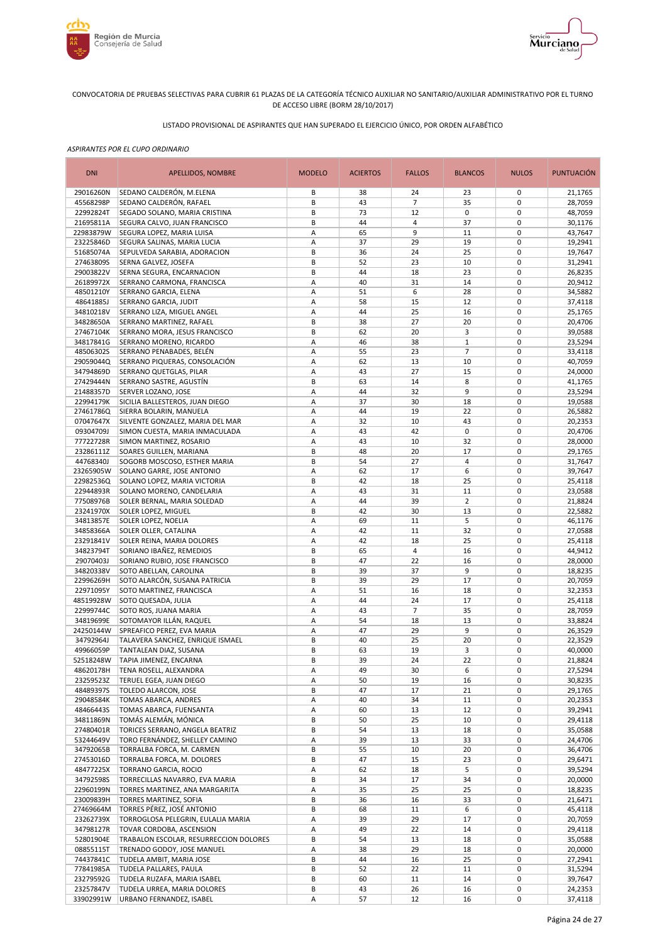



# LISTADO PROVISIONAL DE ASPIRANTES QUE HAN SUPERADO EL EJERCICIO ÚNICO, POR ORDEN ALFABÉTICO

| <b>DNI</b>             | APELLIDOS, NOMBRE                                              | <b>MODELO</b> | <b>ACIERTOS</b> | <b>FALLOS</b>        | <b>BLANCOS</b>    | <b>NULOS</b>               | <b>PUNTUACIÓN</b>  |
|------------------------|----------------------------------------------------------------|---------------|-----------------|----------------------|-------------------|----------------------------|--------------------|
| 29016260N              | SEDANO CALDERÓN, M.ELENA                                       | В             | 38              | 24                   | 23                | 0                          | 21,1765            |
| 45568298P              | SEDANO CALDERÓN, RAFAEL                                        | B             | 43              | $\overline{7}$       | 35                | $\mathbf 0$                | 28,7059            |
| 22992824T              | SEGADO SOLANO, MARIA CRISTINA                                  | B<br>B        | 73<br>44        | 12<br>$\overline{4}$ | $\mathbf 0$       | $\mathbf 0$<br>$\mathbf 0$ | 48,7059            |
| 21695811A<br>22983879W | SEGURA CALVO, JUAN FRANCISCO<br>SEGURA LOPEZ, MARIA LUISA      | A             | 65              | 9                    | 37<br>11          | $\mathbf 0$                | 30,1176<br>43.7647 |
| 23225846D              | SEGURA SALINAS, MARIA LUCIA                                    | Α             | 37              | 29                   | 19                | $\pmb{0}$                  | 19,2941            |
| 51685074A              | SEPULVEDA SARABIA, ADORACION                                   | B             | 36              | 24                   | 25                | $\mathbf 0$                | 19,7647            |
| 27463809S              | SERNA GALVEZ, JOSEFA                                           | B             | 52              | 23                   | 10                | $\pmb{0}$                  | 31,2941            |
| 29003822V              | SERNA SEGURA, ENCARNACION                                      | B             | 44              | 18                   | 23                | $\mathbf 0$                | 26,8235            |
| 26189972X              | SERRANO CARMONA, FRANCISCA                                     | А             | 40              | 31                   | 14                | $\pmb{0}$                  | 20,9412            |
| 48501210Y              | SERRANO GARCIA, ELENA                                          | Α             | 51              | 6                    | 28                | $\mathbf 0$                | 34,5882            |
| 48641885J              | SERRANO GARCIA, JUDIT                                          | А             | 58              | 15                   | 12                | $\pmb{0}$                  | 37,4118            |
| 34810218V              | SERRANO LIZA, MIGUEL ANGEL                                     | Α             | 44              | 25                   | 16                | $\mathbf 0$                | 25,1765            |
| 34828650A              | SERRANO MARTINEZ, RAFAEL                                       | B             | 38              | 27                   | 20                | $\mathbf 0$                | 20,4706            |
| 27467104K<br>34817841G | SERRANO MORA, JESUS FRANCISCO<br>SERRANO MORENO, RICARDO       | B<br>Α        | 62<br>46        | 20<br>38             | 3<br>$\mathbf{1}$ | $\mathbf 0$<br>$\mathbf 0$ | 39,0588<br>23,5294 |
| 48506302S              | SERRANO PENABADES, BELÉN                                       | А             | 55              | 23                   | $\overline{7}$    | $\mathbf 0$                | 33,4118            |
| 29059044Q              | SERRANO PIQUERAS, CONSOLACIÓN                                  | Α             | 62              | 13                   | 10                | $\mathbf 0$                | 40,7059            |
| 34794869D              | SERRANO QUETGLAS, PILAR                                        | Α             | 43              | 27                   | 15                | $\mathbf 0$                | 24,0000            |
| 27429444N              | SERRANO SASTRE, AGUSTÍN                                        | B             | 63              | 14                   | 8                 | $\mathbf 0$                | 41,1765            |
| 21488357D              | SERVER LOZANO, JOSE                                            | А             | 44              | 32                   | 9                 | $\mathbf 0$                | 23,5294            |
| 22994179K              | SICILIA BALLESTEROS, JUAN DIEGO                                | Α             | 37              | 30                   | 18                | $\mathbf 0$                | 19,0588            |
| 27461786Q              | SIERRA BOLARIN, MANUELA                                        | Α             | 44              | 19                   | 22                | $\mathbf 0$                | 26,5882            |
| 07047647X              | SILVENTE GONZALEZ, MARIA DEL MAR                               | A             | 32              | 10                   | 43                | $\mathbf 0$                | 20,2353            |
| 09304709J              | SIMON CUESTA, MARIA INMACULADA                                 | А             | 43              | 42                   | $\pmb{0}$         | $\mathbf 0$                | 20,4706            |
| 77722728R              | SIMON MARTINEZ, ROSARIO                                        | А             | 43              | 10                   | 32                | $\mathbf 0$                | 28,0000            |
| 23286111Z              | SOARES GUILLEN, MARIANA                                        | B             | 48              | 20                   | 17                | $\mathbf 0$                | 29,1765            |
| 44768340J              | SOGORB MOSCOSO, ESTHER MARIA                                   | B             | 54              | 27                   | 4                 | $\mathbf 0$                | 31,7647            |
| 23265905W              | SOLANO GARRE, JOSE ANTONIO                                     | Α             | 62              | 17                   | 6                 | $\mathbf 0$                | 39,7647            |
| 22982536Q<br>22944893R | SOLANO LOPEZ, MARIA VICTORIA                                   | B<br>А        | 42<br>43        | 18<br>31             | 25<br>11          | $\mathbf 0$<br>$\mathbf 0$ | 25,4118<br>23,0588 |
| 77508976B              | SOLANO MORENO, CANDELARIA<br>SOLER BERNAL, MARIA SOLEDAD       | А             | 44              | 39                   | $\overline{2}$    | $\mathbf 0$                | 21,8824            |
| 23241970X              | SOLER LOPEZ, MIGUEL                                            | B             | 42              | 30                   | 13                | $\pmb{0}$                  | 22,5882            |
| 34813857E              | SOLER LOPEZ, NOELIA                                            | А             | 69              | 11                   | 5                 | $\mathbf 0$                | 46,1176            |
| 34858366A              | SOLER OLLER, CATALINA                                          | Α             | 42              | 11                   | 32                | $\pmb{0}$                  | 27,0588            |
| 23291841V              | SOLER REINA, MARIA DOLORES                                     | Α             | 42              | 18                   | 25                | $\mathbf 0$                | 25,4118            |
| 34823794T              | SORIANO IBAÑEZ, REMEDIOS                                       | В             | 65              | 4                    | 16                | $\mathbf 0$                | 44,9412            |
| 29070403J              | SORIANO RUBIO, JOSE FRANCISCO                                  | B             | 47              | 22                   | 16                | $\mathbf 0$                | 28,0000            |
| 34820338V              | SOTO ABELLAN, CAROLINA                                         | B             | 39              | 37                   | 9                 | $\mathbf 0$                | 18,8235            |
| 22996269H              | SOTO ALARCÓN, SUSANA PATRICIA                                  | B             | 39              | 29                   | 17                | $\mathbf 0$                | 20,7059            |
| 22971095Y              | SOTO MARTINEZ, FRANCISCA                                       | Α             | 51              | 16                   | 18                | $\mathbf 0$                | 32,2353            |
| 48519928W              | SOTO QUESADA, JULIA                                            | А             | 44              | 24                   | 17                | $\mathbf 0$                | 25,4118            |
| 22999744C              | SOTO ROS, JUANA MARIA                                          | А             | 43              | $\overline{7}$       | 35                | $\mathbf 0$<br>$\mathbf 0$ | 28,7059            |
| 34819699E<br>24250144W | SOTOMAYOR ILLÁN, RAQUEL<br>SPREAFICO PEREZ, EVA MARIA          | А<br>Α        | 54<br>47        | 18<br>29             | 13<br>9           | $\mathbf 0$                | 33,8824<br>26,3529 |
| 34792964J              | TALAVERA SANCHEZ, ENRIQUE ISMAEL                               | B             | 40              | 25                   | 20                | $\mathbf 0$                | 22,3529            |
| 49966059P              | TANTALEAN DIAZ, SUSANA                                         | B             | 63              | 19                   | 3                 | $\mathbf 0$                | 40,0000            |
| 52518248W              | <b>TAPIA JIMENEZ, ENCARNA</b>                                  | B             | 39              | 24                   | 22                | $\mathbf 0$                | 21,8824            |
| 48620178H              | TENA ROSELL, ALEXANDRA                                         | Α             | 49              | 30                   | 6                 | 0                          | 27,5294            |
| 23259523Z              | TERUEL EGEA, JUAN DIEGO                                        | А             | 50              | 19                   | 16                | $\pmb{0}$                  | 30,8235            |
| 48489397S              | TOLEDO ALARCON, JOSE                                           | B             | 47              | 17                   | 21                | $\pmb{0}$                  | 29,1765            |
| 29048584K              | TOMAS ABARCA, ANDRES                                           | Α             | 40              | 34                   | 11                | $\pmb{0}$                  | 20,2353            |
| 48466443S              | TOMAS ABARCA, FUENSANTA                                        | А             | 60              | 13                   | 12                | $\pmb{0}$                  | 39,2941            |
| 34811869N              | TOMÁS ALEMÁN, MÓNICA                                           | В             | 50              | 25                   | 10                | $\pmb{0}$                  | 29,4118            |
| 27480401R              | TORICES SERRANO, ANGELA BEATRIZ                                | B             | 54              | 13                   | 18                | $\pmb{0}$                  | 35,0588            |
| 53244649V              | TORO FERNÁNDEZ, SHELLEY CAMINO                                 | Α             | 39              | 13                   | 33                | $\pmb{0}$                  | 24,4706            |
| 34792065B<br>27453016D | TORRALBA FORCA, M. CARMEN                                      | B<br>В        | 55<br>47        | 10<br>15             | 20<br>23          | $\pmb{0}$<br>$\pmb{0}$     | 36,4706            |
| 48477225X              | TORRALBA FORCA, M. DOLORES<br><b>TORRANO GARCIA, ROCIO</b>     | Α             | 62              | 18                   | 5                 | 0                          | 29,6471<br>39,5294 |
| 34792598S              | TORRECILLAS NAVARRO, EVA MARIA                                 | В             | 34              | 17                   | 34                | $\pmb{0}$                  | 20,0000            |
| 22960199N              | TORRES MARTINEZ, ANA MARGARITA                                 | А             | 35              | 25                   | 25                | $\pmb{0}$                  | 18,8235            |
| 23009839H              | TORRES MARTINEZ, SOFIA                                         | В             | 36              | 16                   | 33                | $\pmb{0}$                  | 21,6471            |
| 27469664M              | TORRES PÉREZ, JOSÉ ANTONIO                                     | В             | 68              | 11                   | 6                 | $\pmb{0}$                  | 45,4118            |
| 23262739X              | TORROGLOSA PELEGRIN, EULALIA MARIA                             | Α             | 39              | 29                   | 17                | $\pmb{0}$                  | 20,7059            |
| 34798127R              | TOVAR CORDOBA, ASCENSION                                       | А             | 49              | 22                   | 14                | 0                          | 29,4118            |
| 52801904E              | TRABALON ESCOLAR, RESURRECCION DOLORES                         | В             | 54              | 13                   | 18                | $\pmb{0}$                  | 35,0588            |
| 08855115T              | TRENADO GODOY, JOSE MANUEL                                     | Α             | 38              | 29                   | 18                | $\mathbf 0$                | 20,0000            |
| 74437841C              | TUDELA AMBIT, MARIA JOSE                                       | B             | 44              | 16                   | 25                | $\pmb{0}$                  | 27,2941            |
| 77841985A              | TUDELA PALLARES, PAULA                                         | B             | 52              | 22                   | 11                | 0                          | 31,5294            |
| 23279592G              | TUDELA RUZAFA, MARIA ISABEL                                    | B<br>В        | 60              | 11                   | 14                | $\pmb{0}$<br>0             | 39,7647            |
| 23257847V<br>33902991W | TUDELA URREA, MARIA DOLORES<br><b>URBANO FERNANDEZ, ISABEL</b> | Α             | 43<br>57        | 26<br>12             | 16<br>16          | 0                          | 24,2353            |
|                        |                                                                |               |                 |                      |                   |                            | 37,4118            |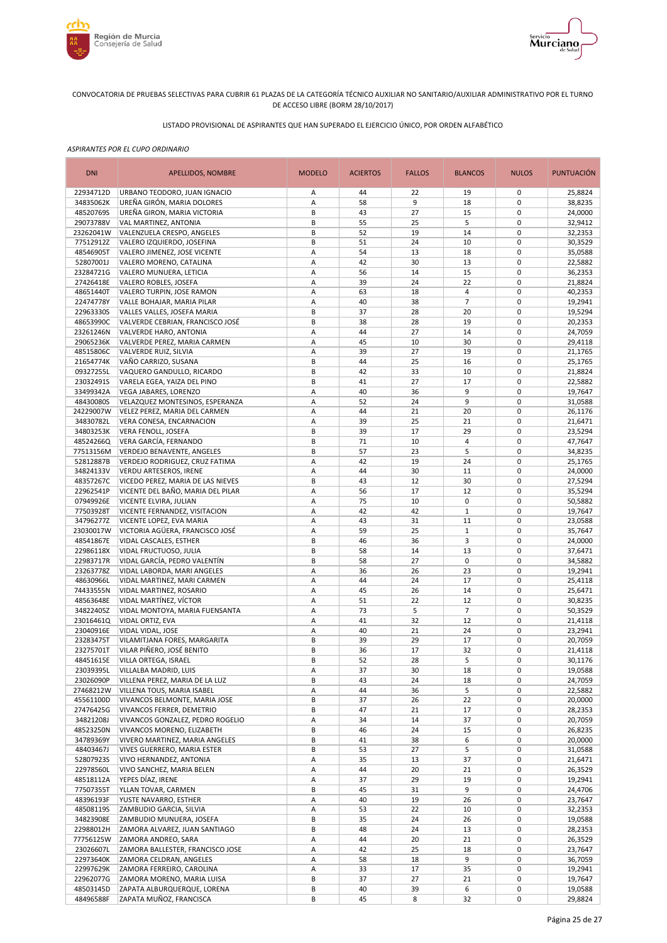



# LISTADO PROVISIONAL DE ASPIRANTES QUE HAN SUPERADO EL EJERCICIO ÚNICO, POR ORDEN ALFABÉTICO

| <b>DNI</b>             | <b>APELLIDOS, NOMBRE</b>                                  | <b>MODELO</b> | <b>ACIERTOS</b> | <b>FALLOS</b> | <b>BLANCOS</b>           | <b>NULOS</b>               | <b>PUNTUACIÓN</b>  |
|------------------------|-----------------------------------------------------------|---------------|-----------------|---------------|--------------------------|----------------------------|--------------------|
| 22934712D              | URBANO TEODORO, JUAN IGNACIO                              | Α             | 44              | 22            | 19                       | 0                          | 25,8824            |
| 34835062K              | UREÑA GIRÓN, MARIA DOLORES                                | А             | 58              | 9             | 18                       | $\mathbf 0$                | 38,8235            |
| 48520769S              | UREÑA GIRON, MARIA VICTORIA                               | B             | 43              | 27            | 15                       | $\mathbf 0$                | 24,0000            |
| 29073788V              | VAL MARTINEZ, ANTONIA                                     | В             | 55<br>52        | 25<br>19      | 5<br>14                  | $\mathbf 0$<br>$\mathbf 0$ | 32,9412            |
| 23262041W<br>77512912Z | VALENZUELA CRESPO, ANGELES<br>VALERO IZQUIERDO, JOSEFINA  | В<br>B        | 51              | 24            | 10                       | $\mathbf 0$                | 32,2353<br>30,3529 |
| 48546905T              | VALERO JIMENEZ, JOSE VICENTE                              | Α             | 54              | 13            | 18                       | $\mathbf 0$                | 35,0588            |
| 52807001J              | VALERO MORENO, CATALINA                                   | А             | 42              | 30            | 13                       | $\mathbf 0$                | 22,5882            |
| 23284721G              | VALERO MUNUERA, LETICIA                                   | Α             | 56              | 14            | 15                       | $\mathbf 0$                | 36,2353            |
| 27426418E              | VALERO ROBLES, JOSEFA                                     | А             | 39              | 24            | 22                       | $\mathbf 0$                | 21,8824            |
| 48651440T              | VALERO TURPIN, JOSE RAMON                                 | А             | 63              | 18            | $\overline{4}$           | $\mathbf 0$                | 40,2353            |
| 22474778Y              | VALLE BOHAJAR, MARIA PILAR                                | Α             | 40              | 38            | $\overline{7}$           | $\mathbf 0$                | 19,2941            |
| 22963330S              | VALLES VALLES, JOSEFA MARIA                               | B             | 37              | 28            | 20                       | $\mathbf 0$                | 19,5294            |
| 48653990C              | VALVERDE CEBRIAN, FRANCISCO JOSÉ                          | B             | 38              | 28            | 19                       | $\mathbf 0$                | 20,2353            |
| 23261246N              | VALVERDE HARO, ANTONIA                                    | А             | 44              | 27            | 14                       | $\mathbf 0$                | 24,7059            |
| 29065236K              | VALVERDE PEREZ, MARIA CARMEN                              | Α             | 45              | 10            | 30                       | $\mathbf 0$                | 29,4118            |
| 48515806C<br>21654774K | VALVERDE RUIZ, SILVIA<br>VAÑO CARRIZO, SUSANA             | Α<br>B        | 39<br>44        | 27<br>25      | 19<br>16                 | $\mathbf 0$<br>$\mathbf 0$ | 21,1765<br>25,1765 |
| 09327255L              | VAQUERO GANDULLO, RICARDO                                 | B             | 42              | 33            | 10                       | $\mathbf 0$                | 21,8824            |
| 23032491S              | VARELA EGEA, YAIZA DEL PINO                               | B             | 41              | 27            | 17                       | $\mathbf 0$                | 22,5882            |
| 33499342A              | VEGA JABARES, LORENZO                                     | А             | 40              | 36            | 9                        | $\mathbf 0$                | 19,7647            |
| 48430080S              | VELAZQUEZ MONTESINOS, ESPERANZA                           | A             | 52              | 24            | 9                        | $\mathbf 0$                | 31,0588            |
| 24229007W              | VELEZ PEREZ, MARIA DEL CARMEN                             | Α             | 44              | 21            | 20                       | $\mathbf 0$                | 26,1176            |
| 34830782L              | VERA CONESA, ENCARNACION                                  | А             | 39              | 25            | 21                       | $\mathbf 0$                | 21,6471            |
| 34803253K              | VERA FENOLL, JOSEFA                                       | B             | 39              | 17            | 29                       | $\mathbf 0$                | 23,5294            |
| 48524266Q              | VERA GARCÍA, FERNANDO                                     | B             | 71              | 10            | 4                        | $\mathbf 0$                | 47,7647            |
| 77513156M              | VERDEJO BENAVENTE, ANGELES                                | B             | 57              | 23            | 5                        | $\pmb{0}$                  | 34,8235            |
| 52812887B              | VERDEJO RODRIGUEZ, CRUZ FATIMA                            | А             | 42              | 19            | 24                       | $\mathbf 0$                | 25,1765            |
| 34824133V              | <b>VERDU ARTESEROS, IRENE</b>                             | Α             | 44              | 30            | 11                       | $\pmb{0}$                  | 24,0000            |
| 48357267C              | VICEDO PEREZ, MARIA DE LAS NIEVES                         | B             | 43              | 12            | 30                       | $\mathbf 0$                | 27,5294            |
| 22962541P              | VICENTE DEL BAÑO, MARIA DEL PILAR                         | А             | 56              | 17            | 12                       | $\pmb{0}$                  | 35,5294            |
| 07949926E              | VICENTE ELVIRA, JULIAN                                    | Α             | 75              | 10            | $\pmb{0}$<br>$\mathbf 1$ | $\mathbf 0$<br>$\mathbf 0$ | 50,5882            |
| 77503928T<br>34796277Z | VICENTE FERNANDEZ, VISITACION<br>VICENTE LOPEZ, EVA MARIA | Α<br>А        | 42<br>43        | 42<br>31      | 11                       | $\mathbf 0$                | 19,7647<br>23,0588 |
| 23030017W              | VICTORIA AGÜERA, FRANCISCO JOSÉ                           | Α             | 59              | 25            | $\mathbf 1$              | $\mathbf 0$                | 35,7647            |
| 48541867E              | VIDAL CASCALES, ESTHER                                    | B             | 46              | 36            | 3                        | $\mathbf 0$                | 24,0000            |
| 22986118X              | VIDAL FRUCTUOSO, JULIA                                    | B             | 58              | 14            | 13                       | $\mathbf 0$                | 37,6471            |
| 22983717R              | VIDAL GARCÍA, PEDRO VALENTÍN                              | B             | 58              | 27            | $\pmb{0}$                | $\mathbf 0$                | 34,5882            |
| 23263778Z              | VIDAL LABORDA, MARI ANGELES                               | А             | 36              | 26            | 23                       | $\mathbf 0$                | 19,2941            |
| 48630966L              | VIDAL MARTINEZ, MARI CARMEN                               | А             | 44              | 24            | 17                       | $\mathbf 0$                | 25,4118            |
| 74433555N              | VIDAL MARTINEZ, ROSARIO                                   | А             | 45              | 26            | 14                       | $\mathbf 0$                | 25,6471            |
| 48563648E              | VIDAL MARTÍNEZ, VÍCTOR                                    | Α             | 51              | 22            | 12                       | $\mathbf 0$                | 30,8235            |
| 34822405Z              | VIDAL MONTOYA, MARIA FUENSANTA                            | А             | 73              | 5             | $\overline{7}$           | $\mathbf 0$                | 50,3529            |
| 23016461Q              | VIDAL ORTIZ, EVA                                          | А             | 41              | 32            | 12                       | $\mathbf 0$                | 21,4118            |
| 23040916E              | VIDAL VIDAL, JOSE                                         | А             | 40              | 21            | 24                       | $\mathbf 0$                | 23,2941            |
| 23283475T              | VILAMITJANA FORES, MARGARITA                              | B<br>B        | 39              | 29            | 17                       | $\mathbf 0$<br>$\mathbf 0$ | 20,7059            |
| 23275701T<br>48451615E | VILAR PIÑERO, JOSÉ BENITO<br>VILLA ORTEGA, ISRAEL         | B             | 36<br>52        | 17<br>28      | 32<br>5                  | $\mathbf 0$                | 21,4118<br>30,1176 |
| 23039395L              | VILLALBA MADRID, LUIS                                     | Α             | 37              | 30            | 18                       | 0                          | 19,0588            |
| 23026090P              | VILLENA PEREZ, MARIA DE LA LUZ                            | B             | 43              | 24            | 18                       | 0                          | 24,7059            |
| 27468212W              | VILLENA TOUS, MARIA ISABEL                                | Α             | 44              | 36            | 5                        | 0                          | 22,5882            |
| 45561100D              | VIVANCOS BELMONTE, MARIA JOSE                             | В             | 37              | 26            | 22                       | $\pmb{0}$                  | 20,0000            |
| 27476425G              | VIVANCOS FERRER, DEMETRIO                                 | В             | 47              | 21            | 17                       | $\pmb{0}$                  | 28,2353            |
| 34821208J              | VIVANCOS GONZALEZ, PEDRO ROGELIO                          | Α             | 34              | 14            | 37                       | $\pmb{0}$                  | 20,7059            |
| 48523250N              | VIVANCOS MORENO, ELIZABETH                                | В             | 46              | 24            | 15                       | $\pmb{0}$                  | 26,8235            |
| 34789369Y              | VIVERO MARTINEZ, MARIA ANGELES                            | B             | 41              | 38            | 6                        | $\pmb{0}$                  | 20,0000            |
| 48403467J              | VIVES GUERRERO, MARIA ESTER                               | В             | 53              | 27            | 5                        | $\pmb{0}$                  | 31,0588            |
| 52807923S              | VIVO HERNANDEZ, ANTONIA                                   | Α             | 35              | 13            | 37                       | $\pmb{0}$                  | 21,6471            |
| 22978560L              | VIVO SANCHEZ, MARIA BELEN                                 | А             | 44              | 20            | 21                       | $\pmb{0}$                  | 26,3529            |
| 48518112A              | YEPES DÍAZ, IRENE                                         | Α             | 37              | 29            | 19                       | $\pmb{0}$                  | 19,2941            |
| 77507355T<br>48396193F | YLLAN TOVAR, CARMEN<br>YUSTE NAVARRO, ESTHER              | B<br>Α        | 45<br>40        | 31<br>19      | 9<br>26                  | $\mathbf 0$<br>$\pmb{0}$   | 24,4706<br>23,7647 |
| 48508119S              | ZAMBUDIO GARCIA, SILVIA                                   | А             | 53              | 22            | 10                       | 0                          | 32,2353            |
| 34823908E              | ZAMBUDIO MUNUERA, JOSEFA                                  | B             | 35              | 24            | 26                       | $\pmb{0}$                  | 19,0588            |
| 22988012H              | ZAMORA ALVAREZ, JUAN SANTIAGO                             | B             | 48              | 24            | 13                       | $\pmb{0}$                  | 28,2353            |
| 77756125W              | ZAMORA ANDREO, SARA                                       | А             | 44              | 20            | 21                       | $\pmb{0}$                  | 26,3529            |
| 23026607L              | ZAMORA BALLESTER, FRANCISCO JOSE                          | Α             | 42              | 25            | 18                       | $\pmb{0}$                  | 23,7647            |
| 22973640K              | ZAMORA CELDRAN, ANGELES                                   | Α             | 58              | 18            | 9                        | $\pmb{0}$                  | 36,7059            |
| 22997629K              | ZAMORA FERREIRO, CAROLINA                                 | Α             | 33              | 17            | 35                       | $\pmb{0}$                  | 19,2941            |
| 22962077G              | ZAMORA MORENO, MARIA LUISA                                | B             | 37              | 27            | 21                       | $\pmb{0}$                  | 19,7647            |
| 48503145D              | ZAPATA ALBURQUERQUE, LORENA                               | В             | 40              | 39            | 6                        | $\pmb{0}$                  | 19,0588            |
| 48496588F              | ZAPATA MUÑOZ, FRANCISCA                                   | B             | 45              | 8             | 32                       | 0                          | 29,8824            |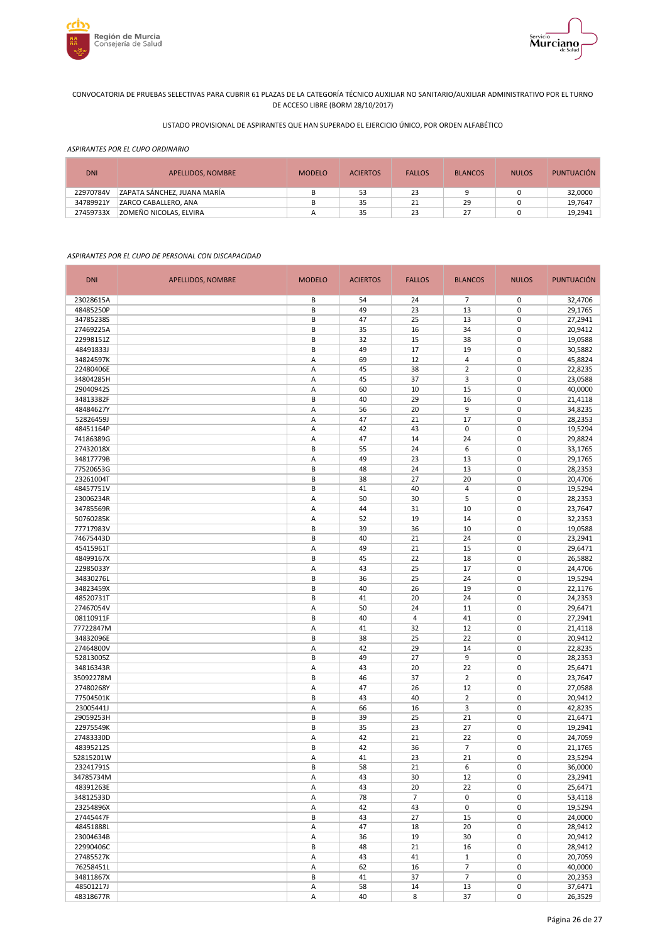



# LISTADO PROVISIONAL DE ASPIRANTES QUE HAN SUPERADO EL EJERCICIO ÚNICO, POR ORDEN ALFABÉTICO

#### *ASPIRANTES POR EL CUPO ORDINARIO*

| <b>DNI</b> | APELLIDOS, NOMBRE           | <b>MODELO</b> | <b>ACIERTOS</b> | <b>FALLOS</b> | <b>BLANCOS</b> | <b>NULOS</b> | <b>PUNTUACIÓN</b> |
|------------|-----------------------------|---------------|-----------------|---------------|----------------|--------------|-------------------|
| 22970784V  | ZAPATA SÁNCHEZ, JUANA MARÍA |               | 53              | 23            |                |              | 32,0000           |
| 34789921Y  | ZARCO CABALLERO, ANA        |               | 35              |               | 29             |              | 19.7647           |
| 27459733X  | ZOMEÑO NICOLAS. ELVIRA      |               | 35              | 23            | 27             |              | 19,2941           |

### *ASPIRANTES POR EL CUPO DE PERSONAL CON DISCAPACIDAD*

| <b>DNI</b> | APELLIDOS, NOMBRE | <b>MODELO</b> | <b>ACIERTOS</b> | <b>FALLOS</b>  | <b>BLANCOS</b> | <b>NULOS</b> | PUNTUACIÓN |
|------------|-------------------|---------------|-----------------|----------------|----------------|--------------|------------|
| 23028615A  |                   | В             | 54              | 24             | 7              | 0            | 32,4706    |
| 48485250P  |                   | B             | 49              | 23             | 13             | 0            | 29,1765    |
| 34785238S  |                   | B             | 47              | 25             | 13             | 0            | 27,2941    |
| 27469225A  |                   | В             | 35              | 16             | 34             | 0            | 20,9412    |
| 22998151Z  |                   | B             | 32              | 15             | 38             | 0            | 19,0588    |
| 48491833J  |                   | B             | 49              | 17             | 19             | 0            | 30,5882    |
| 34824597K  |                   | Α             | 69              | 12             | 4              | 0            | 45,8824    |
| 22480406E  |                   | Α             | 45              | 38             | $\overline{2}$ | 0            | 22,8235    |
| 34804285H  |                   | Α             | 45              | 37             | 3              | 0            | 23,0588    |
| 29040942S  |                   | Α             | 60              | 10             | 15             | 0            | 40,0000    |
| 34813382F  |                   | B             | 40              | 29             | 16             | $\mathbf 0$  | 21,4118    |
| 48484627Y  |                   | Α             | 56              | 20             | 9              | 0            | 34,8235    |
| 52826459J  |                   | A             | 47              | 21             | 17             | $\mathbf 0$  | 28,2353    |
| 48451164P  |                   | Α             | 42              | 43             | 0              | $\mathbf 0$  | 19,5294    |
| 74186389G  |                   | A             | 47              | 14             | 24             | $\mathbf 0$  | 29,8824    |
| 27432018X  |                   | B             | 55              | 24             | 6              | 0            | 33,1765    |
| 34817779B  |                   | Α             | 49              | 23             | 13             | 0            | 29,1765    |
| 77520653G  |                   | B             | 48              | 24             | 13             | 0            | 28,2353    |
| 23261004T  |                   | B             | 38              | 27             | 20             | 0            | 20,4706    |
| 48457751V  |                   | B             | 41              | 40             | 4              | $\mathbf 0$  | 19,5294    |
| 23006234R  |                   | A             | 50              | 30             | 5              | $\mathbf 0$  | 28,2353    |
| 34785569R  |                   | A             | 44              | 31             | 10             | $\mathbf 0$  | 23,7647    |
| 50760285K  |                   | Α             | 52              | 19             | 14             | $\mathbf 0$  | 32,2353    |
| 77717983V  |                   | B             | 39              | 36             | 10             | 0            | 19,0588    |
| 74675443D  |                   | B             | 40              | 21             | 24             | $\mathbf 0$  | 23,2941    |
| 45415961T  |                   | A             | 49              | 21             | 15             | 0            | 29,6471    |
| 48499167X  |                   | B             | 45              | 22             | 18             | 0            | 26,5882    |
|            |                   |               |                 |                |                | 0            |            |
| 22985033Y  |                   | A             | 43              | 25<br>25       | 17             |              | 24,4706    |
| 34830276L  |                   | В             | 36              |                | 24             | 0            | 19,5294    |
| 34823459X  |                   | B             | 40              | 26             | 19             | 0            | 22,1176    |
| 48520731T  |                   | В             | 41              | 20             | 24             | 0            | 24,2353    |
| 27467054V  |                   | Α             | 50              | 24             | 11             | 0            | 29,6471    |
| 08110911F  |                   | B             | 40              | $\overline{4}$ | 41             | $\mathbf 0$  | 27,2941    |
| 77722847M  |                   | Α             | 41              | 32             | 12             | 0<br>0       | 21,4118    |
| 34832096E  |                   | B             | 38              | 25             | 22             |              | 20,9412    |
| 27464800V  |                   | Α             | 42              | 29             | 14             | $\mathbf 0$  | 22,8235    |
| 52813005Z  |                   | B             | 49              | 27             | 9              | $\mathbf 0$  | 28,2353    |
| 34816343R  |                   | Α             | 43              | 20             | 22             | $\mathbf 0$  | 25,6471    |
| 35092278M  |                   | B             | 46              | 37             | $\overline{2}$ | $\mathbf 0$  | 23,7647    |
| 27480268Y  |                   | Α             | 47              | 26             | 12             | $\mathbf 0$  | 27,0588    |
| 77504501K  |                   | B             | 43              | 40             | $\overline{2}$ | $\mathbf 0$  | 20,9412    |
| 23005441J  |                   | Α             | 66              | 16             | 3              | 0            | 42,8235    |
| 29059253H  |                   | B             | 39              | 25             | 21             | 0            | 21,6471    |
| 22975549K  |                   | B             | 35              | 23             | 27             | 0            | 19,2941    |
| 27483330D  |                   | A             | 42              | 21             | 22             | $\mathbf 0$  | 24,7059    |
| 48395212S  |                   | B             | 42              | 36             | $\overline{7}$ | 0            | 21,1765    |
| 52815201W  |                   | A             | 41              | 23             | 21             | 0            | 23,5294    |
| 23241791S  |                   | B             | 58              | 21             | 6              | $\mathbf 0$  | 36,0000    |
| 34785734M  |                   | Α             | 43              | 30             | 12             | 0            | 23,2941    |
| 48391263E  |                   | Α             | 43              | 20             | 22             | 0            | 25,6471    |
| 34812533D  |                   | Α             | 78              | $\overline{7}$ | 0              | 0            | 53,4118    |
| 23254896X  |                   | А             | 42              | 43             | 0              | 0            | 19,5294    |
| 27445447F  |                   | B             | 43              | 27             | 15             | 0            | 24,0000    |
| 48451888L  |                   | Α             | 47              | 18             | 20             | 0            | 28,9412    |
| 23004634B  |                   | Α             | 36              | 19             | 30             | 0            | 20,9412    |
| 22990406C  |                   | В             | 48              | 21             | 16             | 0            | 28,9412    |
| 27485527K  |                   | Α             | 43              | 41             | $1\,$          | 0            | 20,7059    |
| 76258451L  |                   | Α             | 62              | 16             | 7              | 0            | 40,0000    |
| 34811867X  |                   | B             | 41              | 37             | $\overline{7}$ | 0            | 20,2353    |
| 48501217J  |                   | Α             | 58              | 14             | 13             | 0            | 37,6471    |
| 48318677R  |                   | А             | 40              | 8              | 37             | $\mathbf 0$  | 26,3529    |